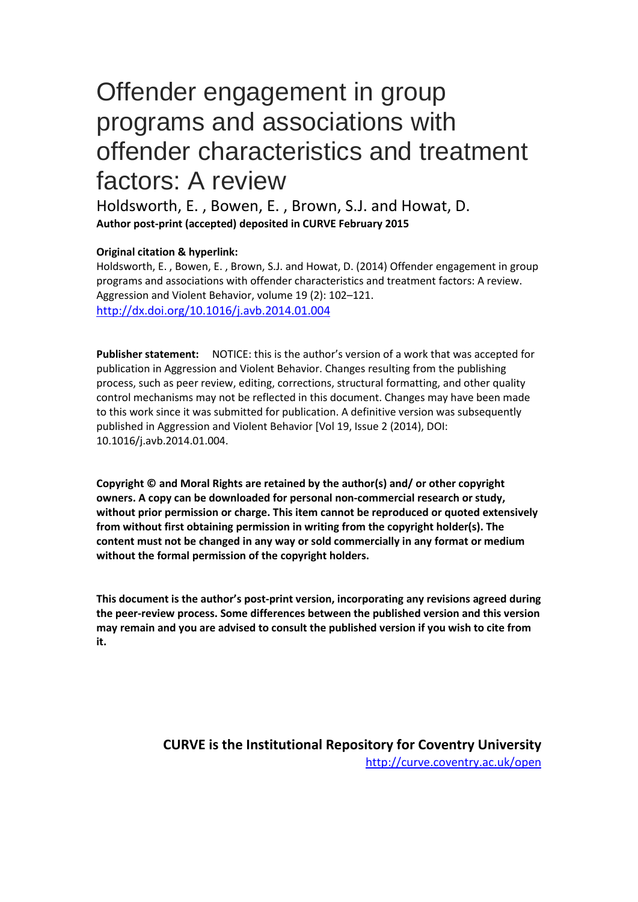# Offender engagement in group programs and associations with offender characteristics and treatment factors: A review

Holdsworth, E. , Bowen, E. , Brown, S.J. and Howat, D. **Author post-print (accepted) deposited in CURVE February 2015**

# **Original citation & hyperlink:**

Holdsworth, E. , Bowen, E. , Brown, S.J. and Howat, D. (2014) Offender engagement in group programs and associations with offender characteristics and treatment factors: A review. Aggression and Violent Behavior, volume 19 (2): 102–121. <http://dx.doi.org/10.1016/j.avb.2014.01.004>

**Publisher statement:** NOTICE: this is the author's version of a work that was accepted for publication in Aggression and Violent Behavior. Changes resulting from the publishing process, such as peer review, editing, corrections, structural formatting, and other quality control mechanisms may not be reflected in this document. Changes may have been made to this work since it was submitted for publication. A definitive version was subsequently published in Aggression and Violent Behavior [Vol 19, Issue 2 (2014), DOI: 10.1016/j.avb.2014.01.004.

**Copyright © and Moral Rights are retained by the author(s) and/ or other copyright owners. A copy can be downloaded for personal non-commercial research or study, without prior permission or charge. This item cannot be reproduced or quoted extensively from without first obtaining permission in writing from the copyright holder(s). The content must not be changed in any way or sold commercially in any format or medium without the formal permission of the copyright holders.** 

**This document is the author's post-print version, incorporating any revisions agreed during the peer-review process. Some differences between the published version and this version may remain and you are advised to consult the published version if you wish to cite from it.** 

> **CURVE is the Institutional Repository for Coventry University** <http://curve.coventry.ac.uk/open>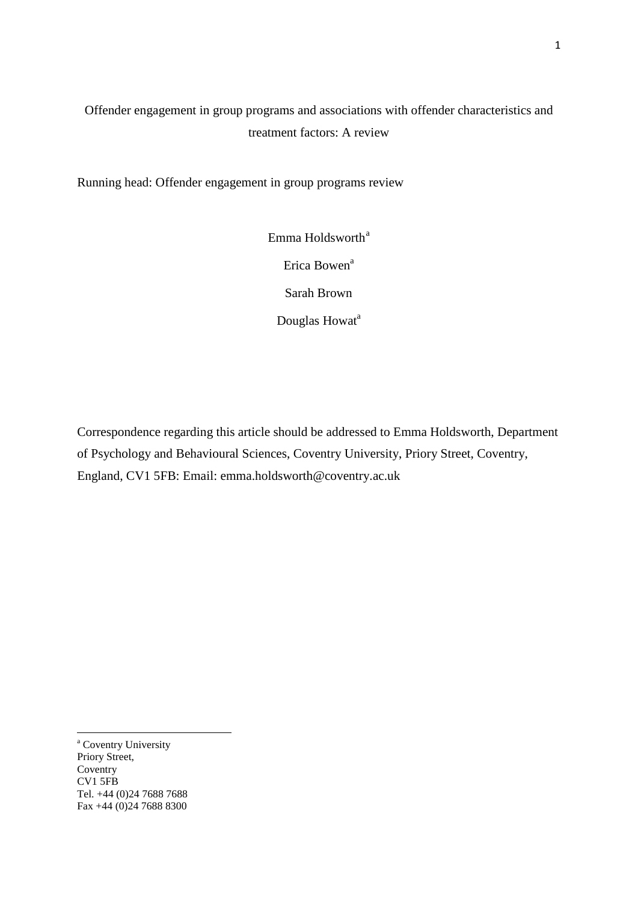# Offender engagement in group programs and associations with offender characteristics and treatment factors: A review

Running head: Offender engagement in group programs review

<span id="page-1-2"></span><span id="page-1-0"></span>Emm[a](#page-1-1) Holdsworth<sup>a</sup> Erica Bowen<sup>a</sup> Sarah Brow[n](#page-1-0) Douglas Howa[t](#page-1-0)<sup>a</sup>

Correspondence regarding this article should be addressed to Emma Holdsworth, Department of Psychology and Behavioural Sciences, Coventry University, Priory Street, Coventry, England, CV1 5FB: Email: emma.holdsworth@coventry.ac.uk

<span id="page-1-1"></span><sup>a</sup> Coventry University Priory Street, **Coventry** CV1 5FB Tel. +44 (0)24 7688 7688 Fax +44 (0)24 7688 8300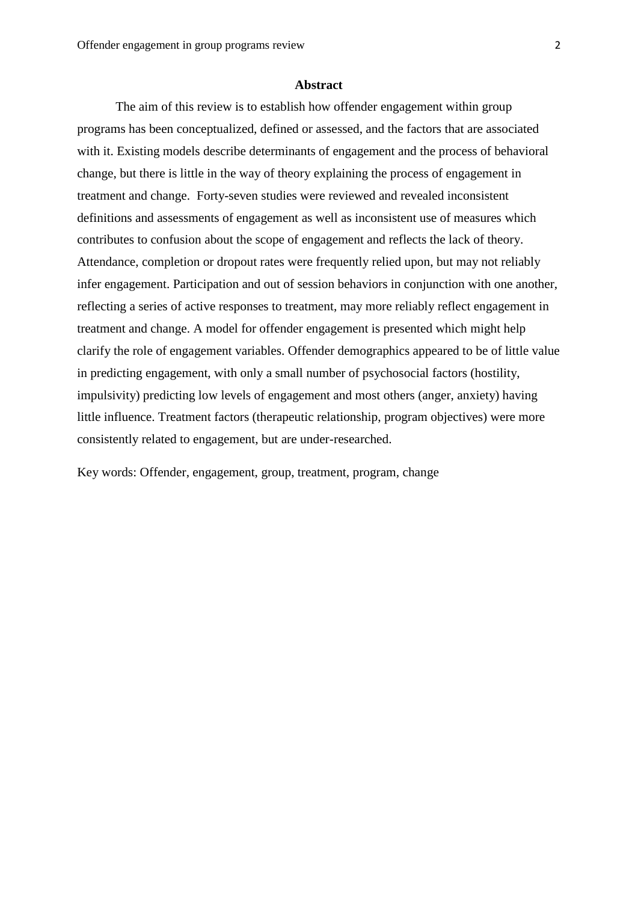### **Abstract**

The aim of this review is to establish how offender engagement within group programs has been conceptualized, defined or assessed, and the factors that are associated with it. Existing models describe determinants of engagement and the process of behavioral change, but there is little in the way of theory explaining the process of engagement in treatment and change. Forty-seven studies were reviewed and revealed inconsistent definitions and assessments of engagement as well as inconsistent use of measures which contributes to confusion about the scope of engagement and reflects the lack of theory. Attendance, completion or dropout rates were frequently relied upon, but may not reliably infer engagement. Participation and out of session behaviors in conjunction with one another, reflecting a series of active responses to treatment, may more reliably reflect engagement in treatment and change. A model for offender engagement is presented which might help clarify the role of engagement variables. Offender demographics appeared to be of little value in predicting engagement, with only a small number of psychosocial factors (hostility, impulsivity) predicting low levels of engagement and most others (anger, anxiety) having little influence. Treatment factors (therapeutic relationship, program objectives) were more consistently related to engagement, but are under-researched.

Key words: Offender, engagement, group, treatment, program, change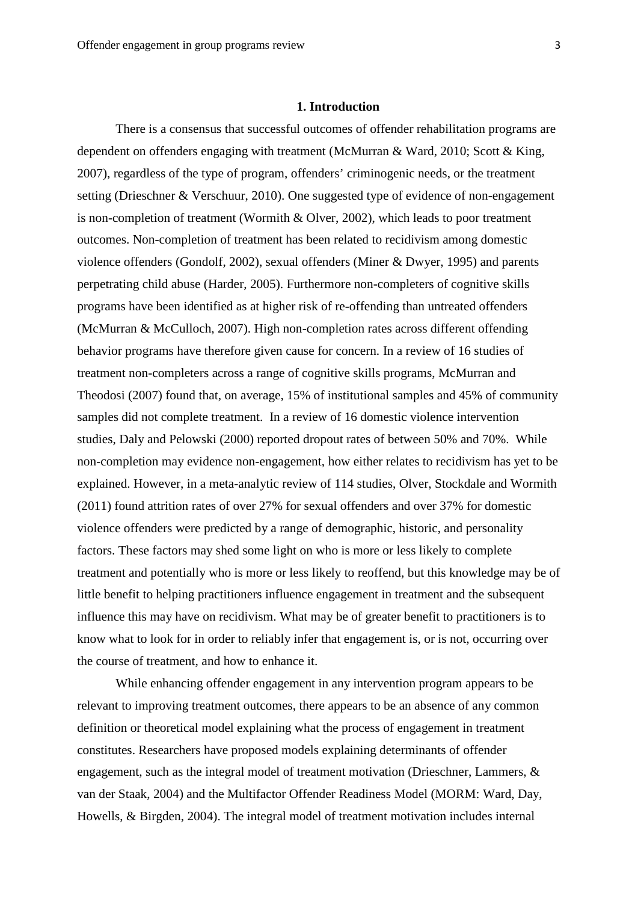### **1. Introduction**

There is a consensus that successful outcomes of offender rehabilitation programs are dependent on offenders engaging with treatment (McMurran & Ward, 2010; Scott & King, 2007), regardless of the type of program, offenders' criminogenic needs, or the treatment setting (Drieschner & Verschuur, 2010). One suggested type of evidence of non-engagement is non-completion of treatment (Wormith & Olver, 2002), which leads to poor treatment outcomes. Non-completion of treatment has been related to recidivism among domestic violence offenders (Gondolf, 2002), sexual offenders (Miner & Dwyer, 1995) and parents perpetrating child abuse (Harder, 2005). Furthermore non-completers of cognitive skills programs have been identified as at higher risk of re-offending than untreated offenders (McMurran & McCulloch, 2007). High non-completion rates across different offending behavior programs have therefore given cause for concern. In a review of 16 studies of treatment non-completers across a range of cognitive skills programs, McMurran and Theodosi (2007) found that, on average, 15% of institutional samples and 45% of community samples did not complete treatment. In a review of 16 domestic violence intervention studies, Daly and Pelowski (2000) reported dropout rates of between 50% and 70%. While non-completion may evidence non-engagement, how either relates to recidivism has yet to be explained. However, in a meta-analytic review of 114 studies, Olver, Stockdale and Wormith (2011) found attrition rates of over 27% for sexual offenders and over 37% for domestic violence offenders were predicted by a range of demographic, historic, and personality factors. These factors may shed some light on who is more or less likely to complete treatment and potentially who is more or less likely to reoffend, but this knowledge may be of little benefit to helping practitioners influence engagement in treatment and the subsequent influence this may have on recidivism. What may be of greater benefit to practitioners is to know what to look for in order to reliably infer that engagement is, or is not, occurring over the course of treatment, and how to enhance it.

While enhancing offender engagement in any intervention program appears to be relevant to improving treatment outcomes, there appears to be an absence of any common definition or theoretical model explaining what the process of engagement in treatment constitutes. Researchers have proposed models explaining determinants of offender engagement, such as the integral model of treatment motivation (Drieschner, Lammers, & van der Staak, 2004) and the Multifactor Offender Readiness Model (MORM: Ward, Day, Howells, & Birgden, 2004). The integral model of treatment motivation includes internal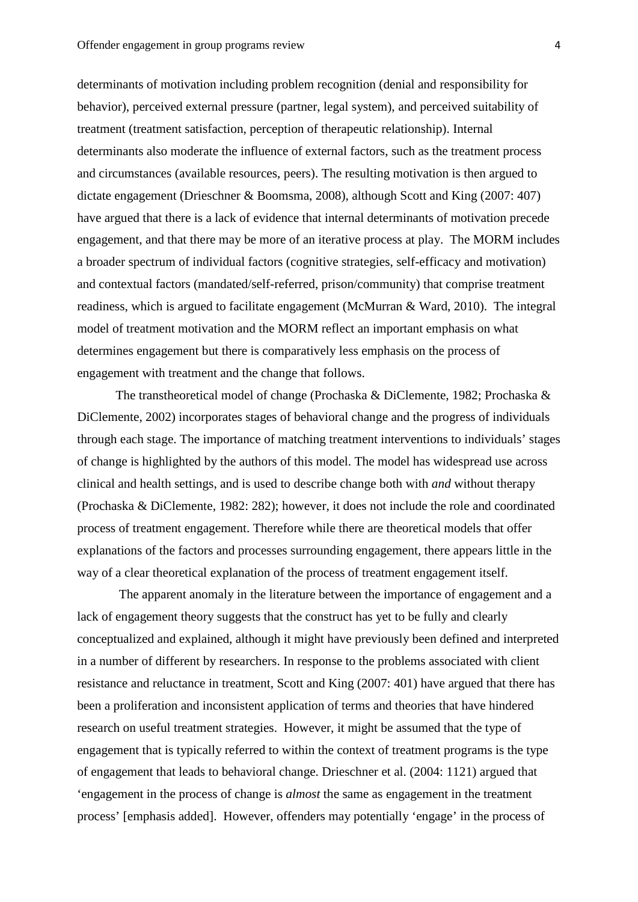determinants of motivation including problem recognition (denial and responsibility for behavior), perceived external pressure (partner, legal system), and perceived suitability of treatment (treatment satisfaction, perception of therapeutic relationship). Internal determinants also moderate the influence of external factors, such as the treatment process and circumstances (available resources, peers). The resulting motivation is then argued to dictate engagement (Drieschner & Boomsma, 2008), although Scott and King (2007: 407) have argued that there is a lack of evidence that internal determinants of motivation precede engagement, and that there may be more of an iterative process at play. The MORM includes a broader spectrum of individual factors (cognitive strategies, self-efficacy and motivation) and contextual factors (mandated/self-referred, prison/community) that comprise treatment readiness, which is argued to facilitate engagement (McMurran & Ward, 2010). The integral model of treatment motivation and the MORM reflect an important emphasis on what determines engagement but there is comparatively less emphasis on the process of engagement with treatment and the change that follows.

The transtheoretical model of change (Prochaska & DiClemente, 1982; Prochaska & DiClemente, 2002) incorporates stages of behavioral change and the progress of individuals through each stage. The importance of matching treatment interventions to individuals' stages of change is highlighted by the authors of this model. The model has widespread use across clinical and health settings, and is used to describe change both with *and* without therapy (Prochaska & DiClemente, 1982: 282); however, it does not include the role and coordinated process of treatment engagement. Therefore while there are theoretical models that offer explanations of the factors and processes surrounding engagement, there appears little in the way of a clear theoretical explanation of the process of treatment engagement itself.

The apparent anomaly in the literature between the importance of engagement and a lack of engagement theory suggests that the construct has yet to be fully and clearly conceptualized and explained, although it might have previously been defined and interpreted in a number of different by researchers. In response to the problems associated with client resistance and reluctance in treatment, Scott and King (2007: 401) have argued that there has been a proliferation and inconsistent application of terms and theories that have hindered research on useful treatment strategies. However, it might be assumed that the type of engagement that is typically referred to within the context of treatment programs is the type of engagement that leads to behavioral change. Drieschner et al. (2004: 1121) argued that 'engagement in the process of change is *almost* the same as engagement in the treatment process' [emphasis added]. However, offenders may potentially 'engage' in the process of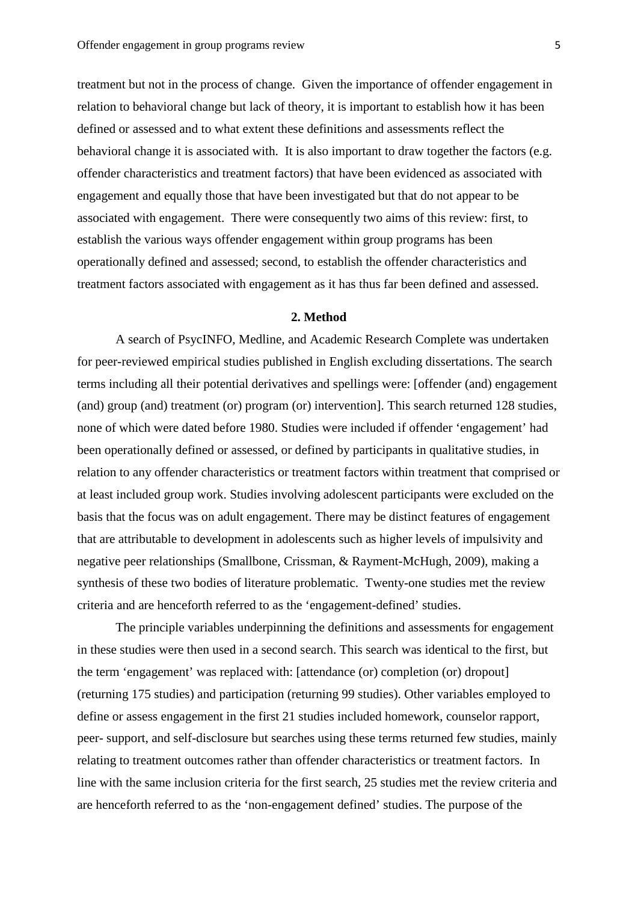treatment but not in the process of change. Given the importance of offender engagement in relation to behavioral change but lack of theory, it is important to establish how it has been defined or assessed and to what extent these definitions and assessments reflect the behavioral change it is associated with. It is also important to draw together the factors (e.g. offender characteristics and treatment factors) that have been evidenced as associated with engagement and equally those that have been investigated but that do not appear to be associated with engagement. There were consequently two aims of this review: first, to establish the various ways offender engagement within group programs has been operationally defined and assessed; second, to establish the offender characteristics and treatment factors associated with engagement as it has thus far been defined and assessed.

# **2. Method**

A search of PsycINFO, Medline, and Academic Research Complete was undertaken for peer-reviewed empirical studies published in English excluding dissertations. The search terms including all their potential derivatives and spellings were: [offender (and) engagement (and) group (and) treatment (or) program (or) intervention]. This search returned 128 studies, none of which were dated before 1980. Studies were included if offender 'engagement' had been operationally defined or assessed, or defined by participants in qualitative studies, in relation to any offender characteristics or treatment factors within treatment that comprised or at least included group work. Studies involving adolescent participants were excluded on the basis that the focus was on adult engagement. There may be distinct features of engagement that are attributable to development in adolescents such as higher levels of impulsivity and negative peer relationships (Smallbone, Crissman, & Rayment-McHugh, 2009), making a synthesis of these two bodies of literature problematic. Twenty-one studies met the review criteria and are henceforth referred to as the 'engagement-defined' studies.

The principle variables underpinning the definitions and assessments for engagement in these studies were then used in a second search. This search was identical to the first, but the term 'engagement' was replaced with: [attendance (or) completion (or) dropout] (returning 175 studies) and participation (returning 99 studies). Other variables employed to define or assess engagement in the first 21 studies included homework, counselor rapport, peer- support, and self-disclosure but searches using these terms returned few studies, mainly relating to treatment outcomes rather than offender characteristics or treatment factors. In line with the same inclusion criteria for the first search, 25 studies met the review criteria and are henceforth referred to as the 'non-engagement defined' studies. The purpose of the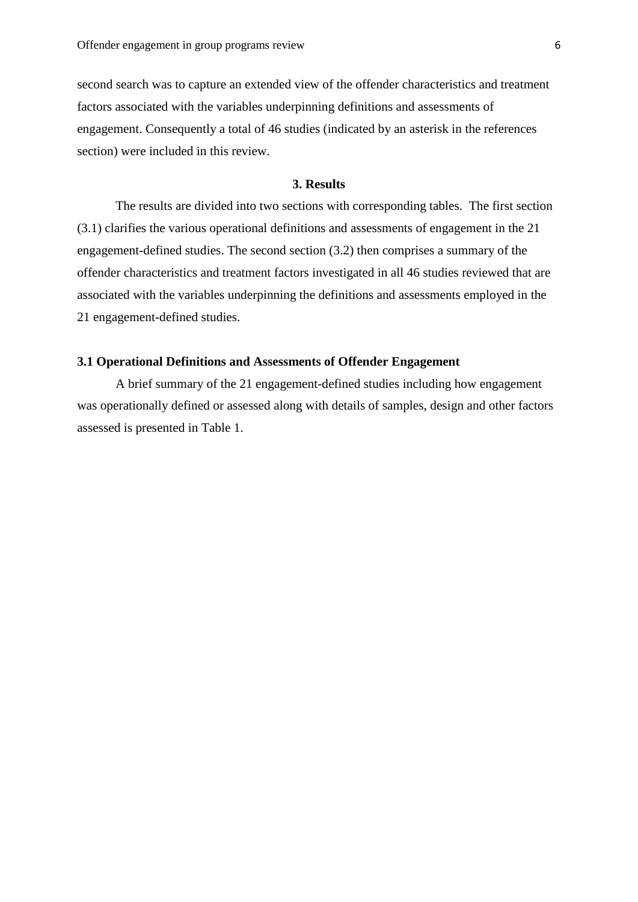second search was to capture an extended view of the offender characteristics and treatment factors associated with the variables underpinning definitions and assessments of engagement. Consequently a total of 46 studies (indicated by an asterisk in the references section) were included in this review.

# **3. Results**

The results are divided into two sections with corresponding tables. The first section (3.1) clarifies the various operational definitions and assessments of engagement in the 21 engagement-defined studies. The second section (3.2) then comprises a summary of the offender characteristics and treatment factors investigated in all 46 studies reviewed that are associated with the variables underpinning the definitions and assessments employed in the 21 engagement-defined studies.

# **3.1 Operational Definitions and Assessments of Offender Engagement**

A brief summary of the 21 engagement-defined studies including how engagement was operationally defined or assessed along with details of samples, design and other factors assessed is presented in Table 1.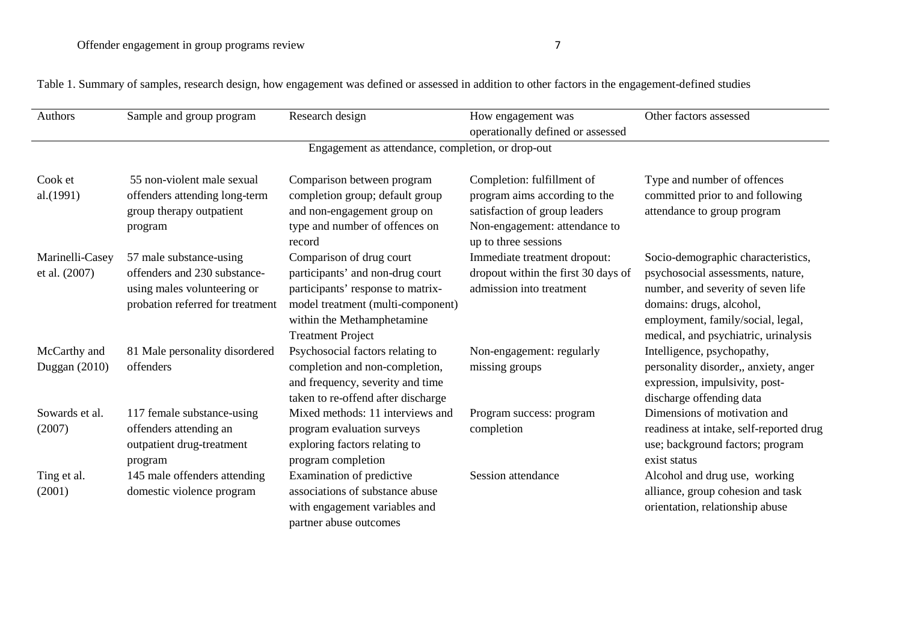| Authors                          | Sample and group program                                                                                                   | Research design                                                                                                                                                                                  | How engagement was<br>operationally defined or assessed                                                                                               | Other factors assessed                                                                                                                                                                                                 |
|----------------------------------|----------------------------------------------------------------------------------------------------------------------------|--------------------------------------------------------------------------------------------------------------------------------------------------------------------------------------------------|-------------------------------------------------------------------------------------------------------------------------------------------------------|------------------------------------------------------------------------------------------------------------------------------------------------------------------------------------------------------------------------|
|                                  |                                                                                                                            | Engagement as attendance, completion, or drop-out                                                                                                                                                |                                                                                                                                                       |                                                                                                                                                                                                                        |
| Cook et<br>al.(1991)             | 55 non-violent male sexual<br>offenders attending long-term<br>group therapy outpatient<br>program                         | Comparison between program<br>completion group; default group<br>and non-engagement group on<br>type and number of offences on<br>record                                                         | Completion: fulfillment of<br>program aims according to the<br>satisfaction of group leaders<br>Non-engagement: attendance to<br>up to three sessions | Type and number of offences<br>committed prior to and following<br>attendance to group program                                                                                                                         |
| Marinelli-Casey<br>et al. (2007) | 57 male substance-using<br>offenders and 230 substance-<br>using males volunteering or<br>probation referred for treatment | Comparison of drug court<br>participants' and non-drug court<br>participants' response to matrix-<br>model treatment (multi-component)<br>within the Methamphetamine<br><b>Treatment Project</b> | Immediate treatment dropout:<br>dropout within the first 30 days of<br>admission into treatment                                                       | Socio-demographic characteristics,<br>psychosocial assessments, nature,<br>number, and severity of seven life<br>domains: drugs, alcohol,<br>employment, family/social, legal,<br>medical, and psychiatric, urinalysis |
| McCarthy and<br>Duggan $(2010)$  | 81 Male personality disordered<br>offenders                                                                                | Psychosocial factors relating to<br>completion and non-completion,<br>and frequency, severity and time<br>taken to re-offend after discharge                                                     | Non-engagement: regularly<br>missing groups                                                                                                           | Intelligence, psychopathy,<br>personality disorder,, anxiety, anger<br>expression, impulsivity, post-<br>discharge offending data                                                                                      |
| Sowards et al.<br>(2007)         | 117 female substance-using<br>offenders attending an<br>outpatient drug-treatment<br>program                               | Mixed methods: 11 interviews and<br>program evaluation surveys<br>exploring factors relating to<br>program completion                                                                            | Program success: program<br>completion                                                                                                                | Dimensions of motivation and<br>readiness at intake, self-reported drug<br>use; background factors; program<br>exist status                                                                                            |
| Ting et al.<br>(2001)            | 145 male offenders attending<br>domestic violence program                                                                  | Examination of predictive<br>associations of substance abuse<br>with engagement variables and<br>partner abuse outcomes                                                                          | Session attendance                                                                                                                                    | Alcohol and drug use, working<br>alliance, group cohesion and task<br>orientation, relationship abuse                                                                                                                  |

Table 1. Summary of samples, research design, how engagement was defined or assessed in addition to other factors in the engagement-defined studies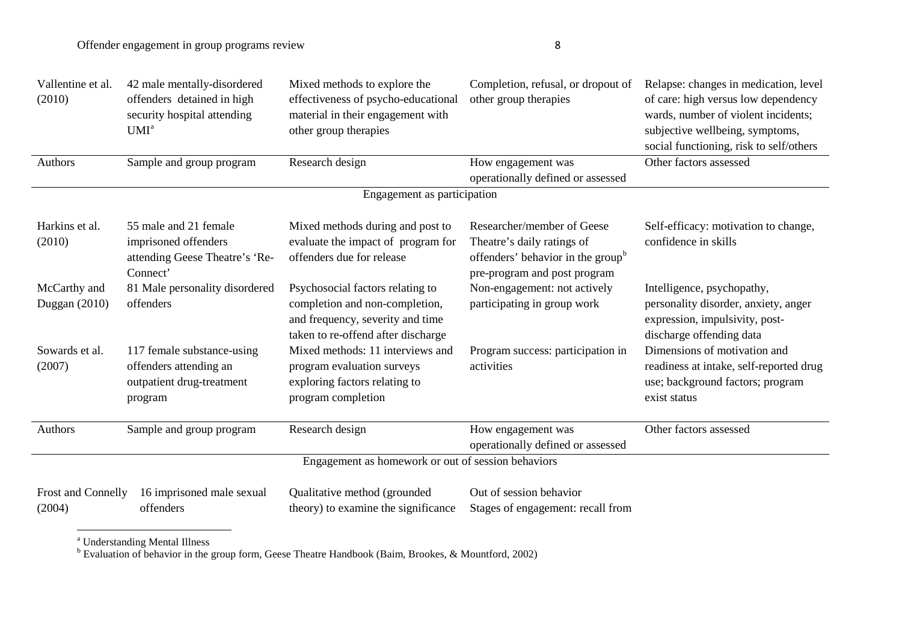<span id="page-8-0"></span>

| Vallentine et al.<br>(2010)     | 42 male mentally-disordered<br>offenders detained in high<br>security hospital attending<br>UMI <sup>a</sup> | Mixed methods to explore the<br>effectiveness of psycho-educational<br>material in their engagement with<br>other group therapies            | Completion, refusal, or dropout of<br>other group therapies                                                                               | Relapse: changes in medication, level<br>of care: high versus low dependency<br>wards, number of violent incidents;<br>subjective wellbeing, symptoms,<br>social functioning, risk to self/others |
|---------------------------------|--------------------------------------------------------------------------------------------------------------|----------------------------------------------------------------------------------------------------------------------------------------------|-------------------------------------------------------------------------------------------------------------------------------------------|---------------------------------------------------------------------------------------------------------------------------------------------------------------------------------------------------|
| Authors                         | Sample and group program                                                                                     | Research design                                                                                                                              | How engagement was<br>operationally defined or assessed                                                                                   | Other factors assessed                                                                                                                                                                            |
|                                 |                                                                                                              | Engagement as participation                                                                                                                  |                                                                                                                                           |                                                                                                                                                                                                   |
| Harkins et al.<br>(2010)        | 55 male and 21 female<br>imprisoned offenders<br>attending Geese Theatre's 'Re-<br>Connect'                  | Mixed methods during and post to<br>evaluate the impact of program for<br>offenders due for release                                          | Researcher/member of Geese<br>Theatre's daily ratings of<br>offenders' behavior in the group <sup>b</sup><br>pre-program and post program | Self-efficacy: motivation to change,<br>confidence in skills                                                                                                                                      |
| McCarthy and<br>Duggan $(2010)$ | 81 Male personality disordered<br>offenders                                                                  | Psychosocial factors relating to<br>completion and non-completion,<br>and frequency, severity and time<br>taken to re-offend after discharge | Non-engagement: not actively<br>participating in group work                                                                               | Intelligence, psychopathy,<br>personality disorder, anxiety, anger<br>expression, impulsivity, post-<br>discharge offending data                                                                  |
| Sowards et al.<br>(2007)        | 117 female substance-using<br>offenders attending an<br>outpatient drug-treatment<br>program                 | Mixed methods: 11 interviews and<br>program evaluation surveys<br>exploring factors relating to<br>program completion                        | Program success: participation in<br>activities                                                                                           | Dimensions of motivation and<br>readiness at intake, self-reported drug<br>use; background factors; program<br>exist status                                                                       |
| Authors                         | Sample and group program                                                                                     | Research design                                                                                                                              | How engagement was<br>operationally defined or assessed                                                                                   | Other factors assessed                                                                                                                                                                            |
|                                 |                                                                                                              | Engagement as homework or out of session behaviors                                                                                           |                                                                                                                                           |                                                                                                                                                                                                   |
| Frost and Connelly<br>(2004)    | 16 imprisoned male sexual<br>offenders                                                                       | Qualitative method (grounded<br>theory) to examine the significance                                                                          | Out of session behavior<br>Stages of engagement: recall from                                                                              |                                                                                                                                                                                                   |

<sup>a</sup> Understanding Mental Illness

<sup>b</sup> Evaluation of behavior in the group form, Geese Theatre Handbook (Baim, Brookes, & Mountford, 2002)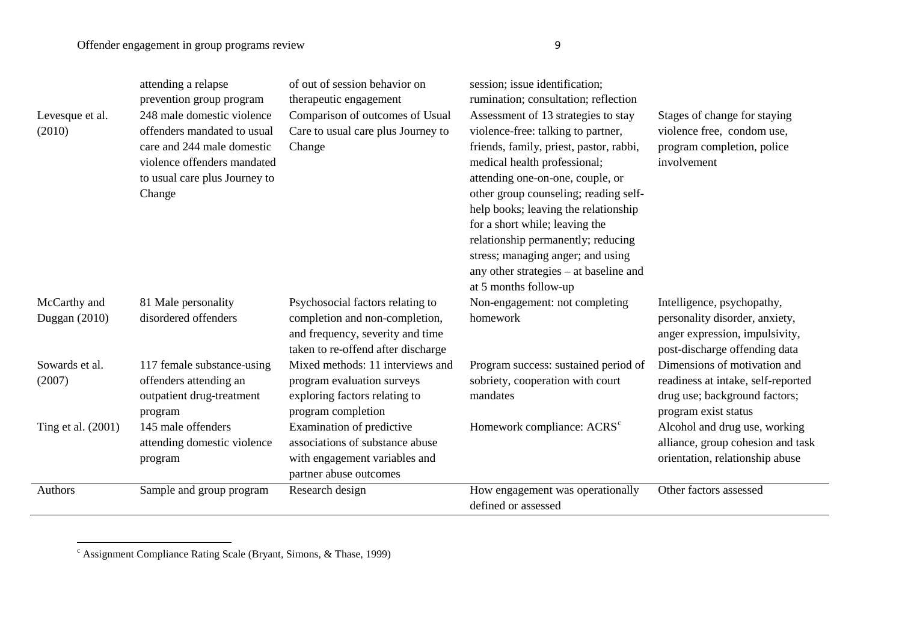<span id="page-9-0"></span>

|                    | attending a relapse           | of out of session behavior on      | session; issue identification;          |                                    |
|--------------------|-------------------------------|------------------------------------|-----------------------------------------|------------------------------------|
|                    | prevention group program      | therapeutic engagement             | rumination; consultation; reflection    |                                    |
| Levesque et al.    | 248 male domestic violence    | Comparison of outcomes of Usual    | Assessment of 13 strategies to stay     | Stages of change for staying       |
| (2010)             | offenders mandated to usual   | Care to usual care plus Journey to | violence-free: talking to partner,      | violence free, condom use,         |
|                    | care and 244 male domestic    | Change                             | friends, family, priest, pastor, rabbi, | program completion, police         |
|                    | violence offenders mandated   |                                    | medical health professional;            | involvement                        |
|                    | to usual care plus Journey to |                                    | attending one-on-one, couple, or        |                                    |
|                    | Change                        |                                    | other group counseling; reading self-   |                                    |
|                    |                               |                                    | help books; leaving the relationship    |                                    |
|                    |                               |                                    | for a short while; leaving the          |                                    |
|                    |                               |                                    | relationship permanently; reducing      |                                    |
|                    |                               |                                    | stress; managing anger; and using       |                                    |
|                    |                               |                                    | any other strategies - at baseline and  |                                    |
|                    |                               |                                    | at 5 months follow-up                   |                                    |
| McCarthy and       | 81 Male personality           | Psychosocial factors relating to   | Non-engagement: not completing          | Intelligence, psychopathy,         |
| Duggan $(2010)$    | disordered offenders          | completion and non-completion,     | homework                                | personality disorder, anxiety,     |
|                    |                               | and frequency, severity and time   |                                         | anger expression, impulsivity,     |
|                    |                               | taken to re-offend after discharge |                                         | post-discharge offending data      |
| Sowards et al.     | 117 female substance-using    | Mixed methods: 11 interviews and   | Program success: sustained period of    | Dimensions of motivation and       |
| (2007)             | offenders attending an        | program evaluation surveys         | sobriety, cooperation with court        | readiness at intake, self-reported |
|                    | outpatient drug-treatment     | exploring factors relating to      | mandates                                | drug use; background factors;      |
|                    | program                       | program completion                 |                                         | program exist status               |
| Ting et al. (2001) | 145 male offenders            | Examination of predictive          | Homework compliance: ACRS <sup>c</sup>  | Alcohol and drug use, working      |
|                    | attending domestic violence   | associations of substance abuse    |                                         | alliance, group cohesion and task  |
|                    | program                       | with engagement variables and      |                                         | orientation, relationship abuse    |
|                    |                               | partner abuse outcomes             |                                         |                                    |
| Authors            | Sample and group program      | Research design                    | How engagement was operationally        | Other factors assessed             |
|                    |                               |                                    | defined or assessed                     |                                    |

<sup>c</sup> Assignment Compliance Rating Scale (Bryant, Simons, & Thase, 1999)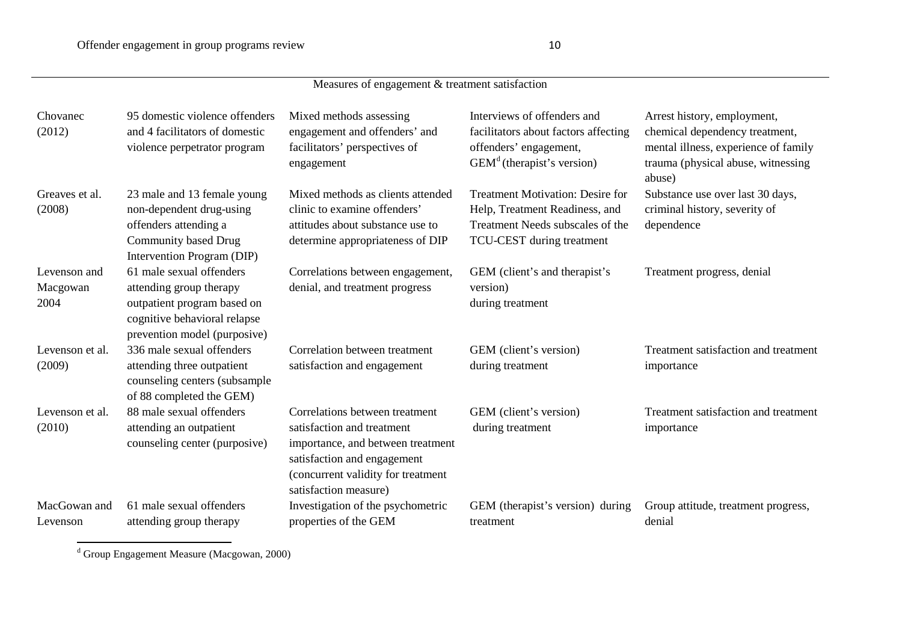<span id="page-10-1"></span><span id="page-10-0"></span>

| Measures of engagement & treatment satisfaction |  |  |
|-------------------------------------------------|--|--|
|                                                 |  |  |

| Chovanec<br>(2012)               | 95 domestic violence offenders<br>and 4 facilitators of domestic<br>violence perpetrator program                                                   | Mixed methods assessing<br>engagement and offenders' and<br>facilitators' perspectives of<br>engagement                                                                                         | Interviews of offenders and<br>facilitators about factors affecting<br>offenders' engagement,<br>$GEMd$ (therapist's version)              | Arrest history, employment,<br>chemical dependency treatment,<br>mental illness, experience of family<br>trauma (physical abuse, witnessing<br>abuse) |
|----------------------------------|----------------------------------------------------------------------------------------------------------------------------------------------------|-------------------------------------------------------------------------------------------------------------------------------------------------------------------------------------------------|--------------------------------------------------------------------------------------------------------------------------------------------|-------------------------------------------------------------------------------------------------------------------------------------------------------|
| Greaves et al.<br>(2008)         | 23 male and 13 female young<br>non-dependent drug-using<br>offenders attending a<br><b>Community based Drug</b><br>Intervention Program (DIP)      | Mixed methods as clients attended<br>clinic to examine offenders'<br>attitudes about substance use to<br>determine appropriateness of DIP                                                       | <b>Treatment Motivation: Desire for</b><br>Help, Treatment Readiness, and<br>Treatment Needs subscales of the<br>TCU-CEST during treatment | Substance use over last 30 days,<br>criminal history, severity of<br>dependence                                                                       |
| Levenson and<br>Macgowan<br>2004 | 61 male sexual offenders<br>attending group therapy<br>outpatient program based on<br>cognitive behavioral relapse<br>prevention model (purposive) | Correlations between engagement,<br>denial, and treatment progress                                                                                                                              | GEM (client's and therapist's<br>version)<br>during treatment                                                                              | Treatment progress, denial                                                                                                                            |
| Levenson et al.<br>(2009)        | 336 male sexual offenders<br>attending three outpatient<br>counseling centers (subsample<br>of 88 completed the GEM)                               | Correlation between treatment<br>satisfaction and engagement                                                                                                                                    | GEM (client's version)<br>during treatment                                                                                                 | Treatment satisfaction and treatment<br>importance                                                                                                    |
| Levenson et al.<br>(2010)        | 88 male sexual offenders<br>attending an outpatient<br>counseling center (purposive)                                                               | Correlations between treatment<br>satisfaction and treatment<br>importance, and between treatment<br>satisfaction and engagement<br>(concurrent validity for treatment<br>satisfaction measure) | GEM (client's version)<br>during treatment                                                                                                 | Treatment satisfaction and treatment<br>importance                                                                                                    |
| MacGowan and<br>Levenson         | 61 male sexual offenders<br>attending group therapy                                                                                                | Investigation of the psychometric<br>properties of the GEM                                                                                                                                      | GEM (therapist's version) during<br>treatment                                                                                              | Group attitude, treatment progress,<br>denial                                                                                                         |

<sup>d</sup> Group Engagement Measure (Macgowan, 2000)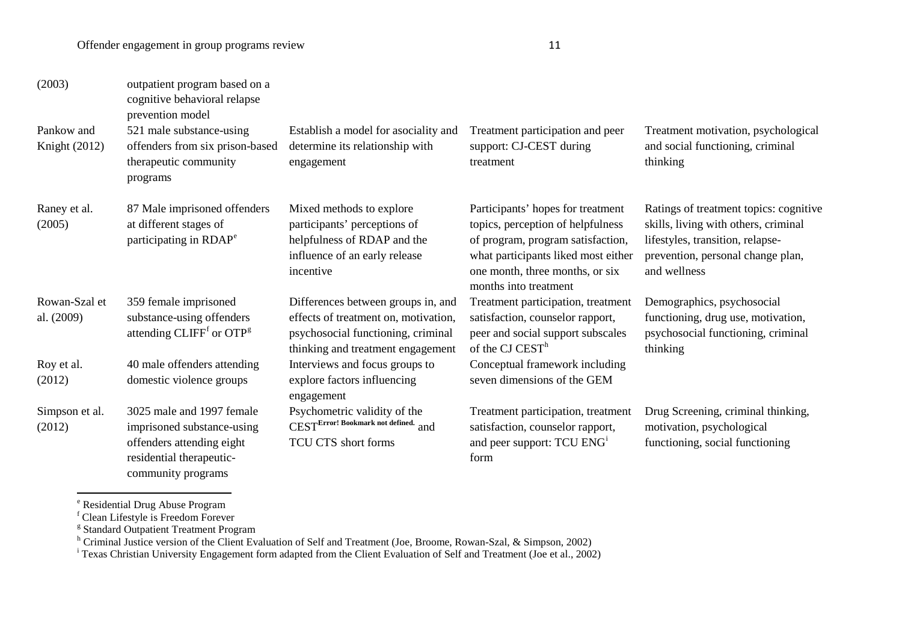| (2003)                      | outpatient program based on a<br>cognitive behavioral relapse<br>prevention model                                                      |                                                                                                                                                       |                                                                                                                                                                                                                |                                                                                                                                                                         |
|-----------------------------|----------------------------------------------------------------------------------------------------------------------------------------|-------------------------------------------------------------------------------------------------------------------------------------------------------|----------------------------------------------------------------------------------------------------------------------------------------------------------------------------------------------------------------|-------------------------------------------------------------------------------------------------------------------------------------------------------------------------|
| Pankow and<br>Knight (2012) | 521 male substance-using<br>offenders from six prison-based<br>therapeutic community<br>programs                                       | Establish a model for asociality and<br>determine its relationship with<br>engagement                                                                 | Treatment participation and peer<br>support: CJ-CEST during<br>treatment                                                                                                                                       | Treatment motivation, psychological<br>and social functioning, criminal<br>thinking                                                                                     |
| Raney et al.<br>(2005)      | 87 Male imprisoned offenders<br>at different stages of<br>participating in RDAP <sup>e</sup>                                           | Mixed methods to explore<br>participants' perceptions of<br>helpfulness of RDAP and the<br>influence of an early release<br>incentive                 | Participants' hopes for treatment<br>topics, perception of helpfulness<br>of program, program satisfaction,<br>what participants liked most either<br>one month, three months, or six<br>months into treatment | Ratings of treatment topics: cognitive<br>skills, living with others, criminal<br>lifestyles, transition, relapse-<br>prevention, personal change plan,<br>and wellness |
| Rowan-Szal et<br>al. (2009) | 359 female imprisoned<br>substance-using offenders<br>attending $CLIFFf$ or $OTPg$                                                     | Differences between groups in, and<br>effects of treatment on, motivation,<br>psychosocial functioning, criminal<br>thinking and treatment engagement | Treatment participation, treatment<br>satisfaction, counselor rapport,<br>peer and social support subscales<br>of the CJ CEST <sup>h</sup>                                                                     | Demographics, psychosocial<br>functioning, drug use, motivation,<br>psychosocial functioning, criminal<br>thinking                                                      |
| Roy et al.<br>(2012)        | 40 male offenders attending<br>domestic violence groups                                                                                | Interviews and focus groups to<br>explore factors influencing<br>engagement                                                                           | Conceptual framework including<br>seven dimensions of the GEM                                                                                                                                                  |                                                                                                                                                                         |
| Simpson et al.<br>(2012)    | 3025 male and 1997 female<br>imprisoned substance-using<br>offenders attending eight<br>residential therapeutic-<br>community programs | Psychometric validity of the<br>CEST <sup>Error!</sup> Bookmark not defined. and<br>TCU CTS short forms                                               | Treatment participation, treatment<br>satisfaction, counselor rapport,<br>and peer support: TCU ENG <sup>1</sup><br>form                                                                                       | Drug Screening, criminal thinking,<br>motivation, psychological<br>functioning, social functioning                                                                      |

e<br>Residential Drug Abuse Program

<sup>f</sup> Clean Lifestyle is Freedom Forever

<sup>g</sup> Standard Outpatient Treatment Program

<sup>h</sup> Criminal Justice version of the Client Evaluation of Self and Treatment (Joe, Broome, Rowan-Szal, & Simpson, 2002)<br><sup>i</sup> Texas Christian University Engagement form adapted from the Client Evaluation of Self and Treatment

<span id="page-11-5"></span><span id="page-11-4"></span><span id="page-11-3"></span><span id="page-11-2"></span><span id="page-11-1"></span><span id="page-11-0"></span>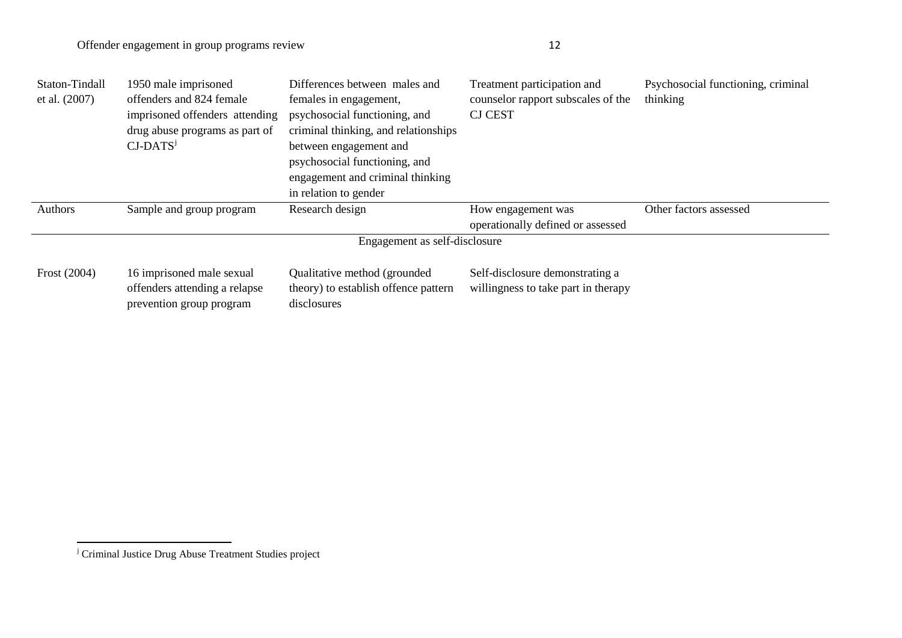<span id="page-12-0"></span>

| I | ٠  |
|---|----|
|   |    |
|   | ۰. |
|   |    |

| Staton-Tindall | 1950 male imprisoned                                                                   | Differences between males and                                                       | Treatment participation and                                            | Psychosocial functioning, criminal |
|----------------|----------------------------------------------------------------------------------------|-------------------------------------------------------------------------------------|------------------------------------------------------------------------|------------------------------------|
| et al. (2007)  | offenders and 824 female                                                               | females in engagement,                                                              | counselor rapport subscales of the                                     | thinking                           |
|                | imprisoned offenders attending                                                         | psychosocial functioning, and                                                       | <b>CJ CEST</b>                                                         |                                    |
|                | drug abuse programs as part of                                                         | criminal thinking, and relationships                                                |                                                                        |                                    |
|                | $CJ$ -DATS <sup>1</sup>                                                                | between engagement and                                                              |                                                                        |                                    |
|                |                                                                                        | psychosocial functioning, and                                                       |                                                                        |                                    |
|                |                                                                                        | engagement and criminal thinking                                                    |                                                                        |                                    |
|                |                                                                                        | in relation to gender                                                               |                                                                        |                                    |
| Authors        | Sample and group program                                                               | Research design                                                                     | How engagement was                                                     | Other factors assessed             |
|                |                                                                                        |                                                                                     | operationally defined or assessed                                      |                                    |
|                |                                                                                        | Engagement as self-disclosure                                                       |                                                                        |                                    |
| Frost (2004)   | 16 imprisoned male sexual<br>offenders attending a relapse<br>prevention group program | Qualitative method (grounded<br>theory) to establish offence pattern<br>disclosures | Self-disclosure demonstrating a<br>willingness to take part in therapy |                                    |

j <sup>j</sup> Criminal Justice Drug Abuse Treatment Studies project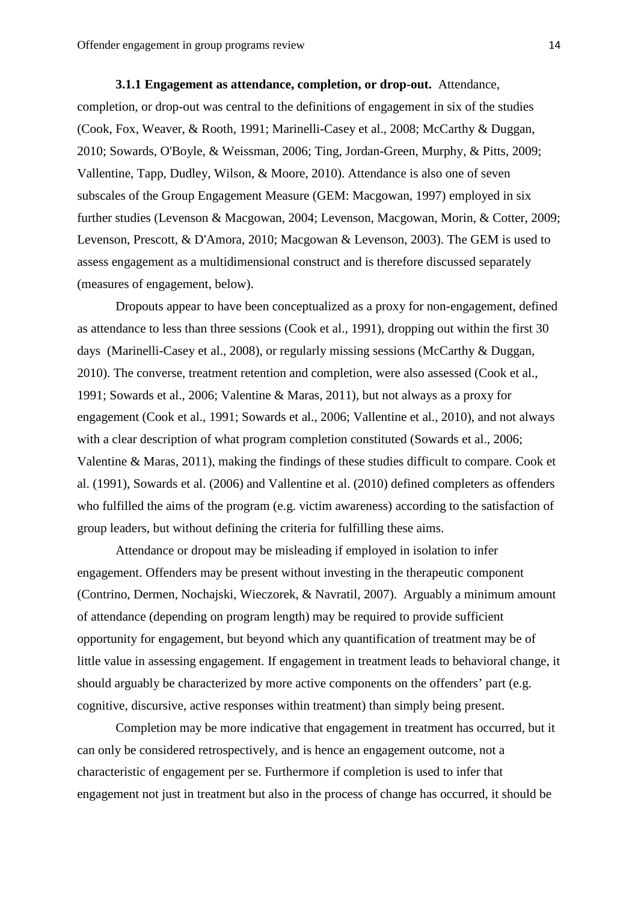**3.1.1 Engagement as attendance, completion, or drop-out.** Attendance, completion, or drop-out was central to the definitions of engagement in six of the studies (Cook, Fox, Weaver, & Rooth, 1991; Marinelli-Casey et al., 2008; McCarthy & Duggan, 2010; Sowards, O'Boyle, & Weissman, 2006; Ting, Jordan-Green, Murphy, & Pitts, 2009; Vallentine, Tapp, Dudley, Wilson, & Moore, 2010). Attendance is also one of seven subscales of the Group Engagement Measure (GEM: Macgowan, 1997) employed in six further studies (Levenson & Macgowan, 2004; Levenson, Macgowan, Morin, & Cotter, 2009; Levenson, Prescott, & D'Amora, 2010; Macgowan & Levenson, 2003). The GEM is used to assess engagement as a multidimensional construct and is therefore discussed separately (measures of engagement, below).

Dropouts appear to have been conceptualized as a proxy for non-engagement, defined as attendance to less than three sessions (Cook et al., 1991), dropping out within the first 30 days (Marinelli-Casey et al., 2008), or regularly missing sessions (McCarthy & Duggan, 2010). The converse, treatment retention and completion, were also assessed (Cook et al., 1991; Sowards et al., 2006; Valentine & Maras, 2011), but not always as a proxy for engagement (Cook et al., 1991; Sowards et al., 2006; Vallentine et al., 2010), and not always with a clear description of what program completion constituted (Sowards et al., 2006; Valentine & Maras, 2011), making the findings of these studies difficult to compare. Cook et al. (1991), Sowards et al. (2006) and Vallentine et al. (2010) defined completers as offenders who fulfilled the aims of the program (e.g. victim awareness) according to the satisfaction of group leaders, but without defining the criteria for fulfilling these aims.

Attendance or dropout may be misleading if employed in isolation to infer engagement. Offenders may be present without investing in the therapeutic component (Contrino, Dermen, Nochajski, Wieczorek, & Navratil, 2007). Arguably a minimum amount of attendance (depending on program length) may be required to provide sufficient opportunity for engagement, but beyond which any quantification of treatment may be of little value in assessing engagement. If engagement in treatment leads to behavioral change, it should arguably be characterized by more active components on the offenders' part (e.g. cognitive, discursive, active responses within treatment) than simply being present.

Completion may be more indicative that engagement in treatment has occurred, but it can only be considered retrospectively, and is hence an engagement outcome, not a characteristic of engagement per se. Furthermore if completion is used to infer that engagement not just in treatment but also in the process of change has occurred, it should be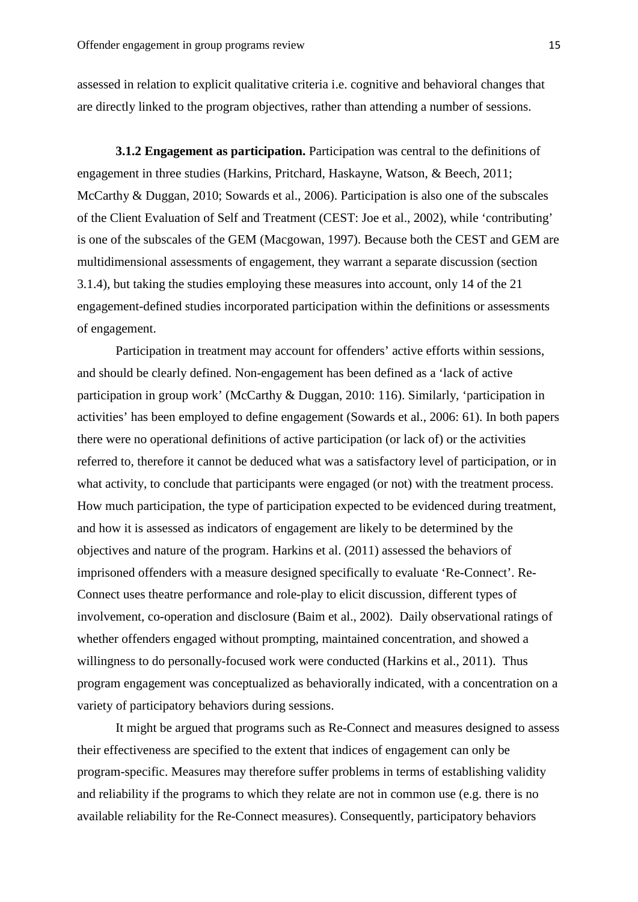assessed in relation to explicit qualitative criteria i.e. cognitive and behavioral changes that are directly linked to the program objectives, rather than attending a number of sessions.

**3.1.2 Engagement as participation.** Participation was central to the definitions of engagement in three studies (Harkins, Pritchard, Haskayne, Watson, & Beech, 2011; McCarthy & Duggan, 2010; Sowards et al., 2006). Participation is also one of the subscales of the Client Evaluation of Self and Treatment (CEST: Joe et al., 2002), while 'contributing' is one of the subscales of the GEM (Macgowan, 1997). Because both the CEST and GEM are multidimensional assessments of engagement, they warrant a separate discussion (section 3.1.4), but taking the studies employing these measures into account, only 14 of the 21 engagement-defined studies incorporated participation within the definitions or assessments of engagement.

Participation in treatment may account for offenders' active efforts within sessions, and should be clearly defined. Non-engagement has been defined as a 'lack of active participation in group work' (McCarthy & Duggan, 2010: 116). Similarly, 'participation in activities' has been employed to define engagement (Sowards et al., 2006: 61). In both papers there were no operational definitions of active participation (or lack of) or the activities referred to, therefore it cannot be deduced what was a satisfactory level of participation, or in what activity, to conclude that participants were engaged (or not) with the treatment process. How much participation, the type of participation expected to be evidenced during treatment, and how it is assessed as indicators of engagement are likely to be determined by the objectives and nature of the program. Harkins et al. (2011) assessed the behaviors of imprisoned offenders with a measure designed specifically to evaluate 'Re-Connect'. Re-Connect uses theatre performance and role-play to elicit discussion, different types of involvement, co-operation and disclosure (Baim et al., 2002). Daily observational ratings of whether offenders engaged without prompting, maintained concentration, and showed a willingness to do personally-focused work were conducted (Harkins et al., 2011). Thus program engagement was conceptualized as behaviorally indicated, with a concentration on a variety of participatory behaviors during sessions.

It might be argued that programs such as Re-Connect and measures designed to assess their effectiveness are specified to the extent that indices of engagement can only be program-specific. Measures may therefore suffer problems in terms of establishing validity and reliability if the programs to which they relate are not in common use (e.g. there is no available reliability for the Re-Connect measures). Consequently, participatory behaviors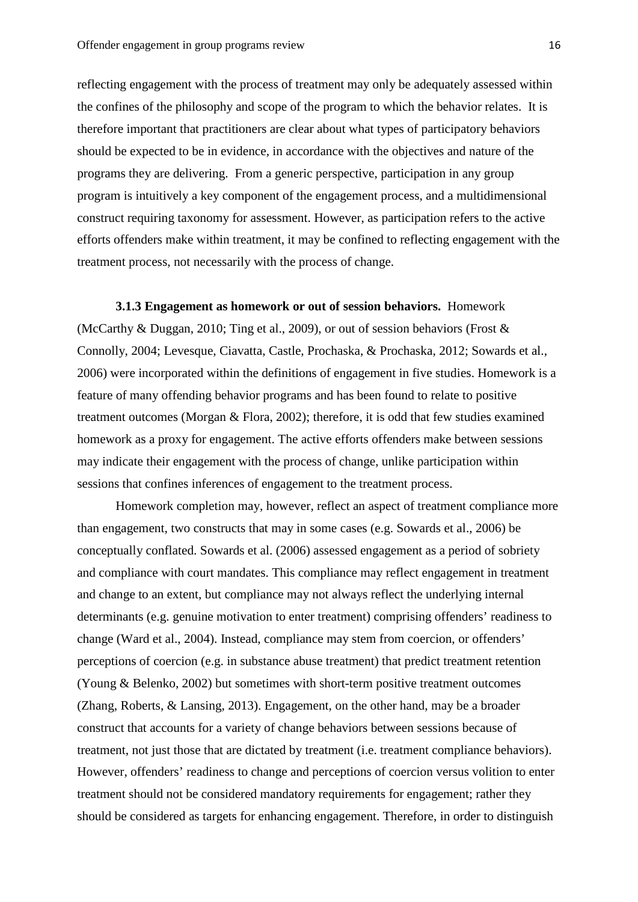reflecting engagement with the process of treatment may only be adequately assessed within the confines of the philosophy and scope of the program to which the behavior relates. It is therefore important that practitioners are clear about what types of participatory behaviors should be expected to be in evidence, in accordance with the objectives and nature of the programs they are delivering. From a generic perspective, participation in any group program is intuitively a key component of the engagement process, and a multidimensional construct requiring taxonomy for assessment. However, as participation refers to the active efforts offenders make within treatment, it may be confined to reflecting engagement with the treatment process, not necessarily with the process of change.

**3.1.3 Engagement as homework or out of session behaviors.** Homework (McCarthy & Duggan, 2010; Ting et al., 2009), or out of session behaviors (Frost & Connolly, 2004; Levesque, Ciavatta, Castle, Prochaska, & Prochaska, 2012; Sowards et al., 2006) were incorporated within the definitions of engagement in five studies. Homework is a feature of many offending behavior programs and has been found to relate to positive treatment outcomes (Morgan & Flora, 2002); therefore, it is odd that few studies examined homework as a proxy for engagement. The active efforts offenders make between sessions may indicate their engagement with the process of change, unlike participation within sessions that confines inferences of engagement to the treatment process.

Homework completion may, however, reflect an aspect of treatment compliance more than engagement, two constructs that may in some cases (e.g. Sowards et al., 2006) be conceptually conflated. Sowards et al. (2006) assessed engagement as a period of sobriety and compliance with court mandates. This compliance may reflect engagement in treatment and change to an extent, but compliance may not always reflect the underlying internal determinants (e.g. genuine motivation to enter treatment) comprising offenders' readiness to change (Ward et al., 2004). Instead, compliance may stem from coercion, or offenders' perceptions of coercion (e.g. in substance abuse treatment) that predict treatment retention (Young & Belenko, 2002) but sometimes with short-term positive treatment outcomes (Zhang, Roberts, & Lansing, 2013). Engagement, on the other hand, may be a broader construct that accounts for a variety of change behaviors between sessions because of treatment, not just those that are dictated by treatment (i.e. treatment compliance behaviors). However, offenders' readiness to change and perceptions of coercion versus volition to enter treatment should not be considered mandatory requirements for engagement; rather they should be considered as targets for enhancing engagement. Therefore, in order to distinguish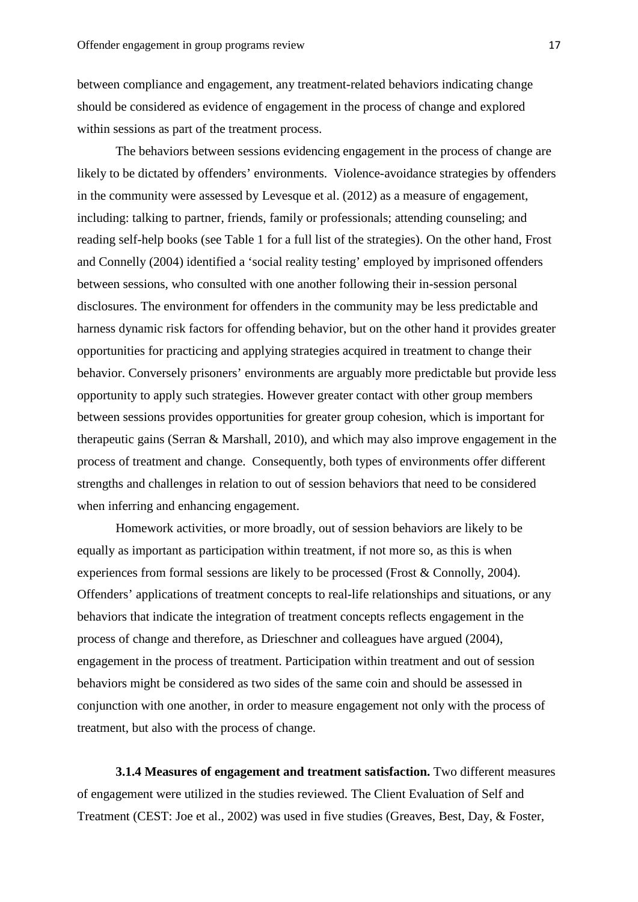between compliance and engagement, any treatment-related behaviors indicating change should be considered as evidence of engagement in the process of change and explored within sessions as part of the treatment process.

The behaviors between sessions evidencing engagement in the process of change are likely to be dictated by offenders' environments. Violence-avoidance strategies by offenders in the community were assessed by Levesque et al. (2012) as a measure of engagement, including: talking to partner, friends, family or professionals; attending counseling; and reading self-help books (see Table 1 for a full list of the strategies). On the other hand, Frost and Connelly (2004) identified a 'social reality testing' employed by imprisoned offenders between sessions, who consulted with one another following their in-session personal disclosures. The environment for offenders in the community may be less predictable and harness dynamic risk factors for offending behavior, but on the other hand it provides greater opportunities for practicing and applying strategies acquired in treatment to change their behavior. Conversely prisoners' environments are arguably more predictable but provide less opportunity to apply such strategies. However greater contact with other group members between sessions provides opportunities for greater group cohesion, which is important for therapeutic gains (Serran & Marshall, 2010), and which may also improve engagement in the process of treatment and change. Consequently, both types of environments offer different strengths and challenges in relation to out of session behaviors that need to be considered when inferring and enhancing engagement.

Homework activities, or more broadly, out of session behaviors are likely to be equally as important as participation within treatment, if not more so, as this is when experiences from formal sessions are likely to be processed (Frost & Connolly, 2004). Offenders' applications of treatment concepts to real-life relationships and situations, or any behaviors that indicate the integration of treatment concepts reflects engagement in the process of change and therefore, as Drieschner and colleagues have argued (2004), engagement in the process of treatment. Participation within treatment and out of session behaviors might be considered as two sides of the same coin and should be assessed in conjunction with one another, in order to measure engagement not only with the process of treatment, but also with the process of change.

**3.1.4 Measures of engagement and treatment satisfaction.** Two different measures of engagement were utilized in the studies reviewed. The Client Evaluation of Self and Treatment (CEST: Joe et al., 2002) was used in five studies (Greaves, Best, Day, & Foster,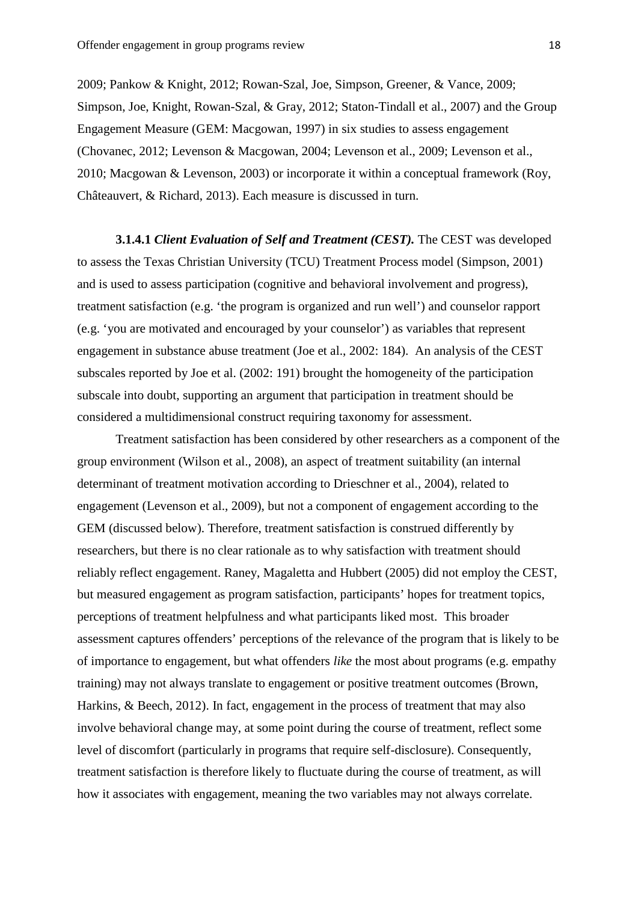2009; Pankow & Knight, 2012; Rowan-Szal, Joe, Simpson, Greener, & Vance, 2009; Simpson, Joe, Knight, Rowan-Szal, & Gray, 2012; Staton-Tindall et al., 2007) and the Group Engagement Measure (GEM: Macgowan, 1997) in six studies to assess engagement (Chovanec, 2012; Levenson & Macgowan, 2004; Levenson et al., 2009; Levenson et al., 2010; Macgowan & Levenson, 2003) or incorporate it within a conceptual framework (Roy, Châteauvert, & Richard, 2013). Each measure is discussed in turn.

**3.1.4.1** *Client Evaluation of Self and Treatment (CEST).* The CEST was developed to assess the Texas Christian University (TCU) Treatment Process model (Simpson, 2001) and is used to assess participation (cognitive and behavioral involvement and progress), treatment satisfaction (e.g. 'the program is organized and run well') and counselor rapport (e.g. 'you are motivated and encouraged by your counselor') as variables that represent engagement in substance abuse treatment (Joe et al., 2002: 184). An analysis of the CEST subscales reported by Joe et al. (2002: 191) brought the homogeneity of the participation subscale into doubt, supporting an argument that participation in treatment should be considered a multidimensional construct requiring taxonomy for assessment.

Treatment satisfaction has been considered by other researchers as a component of the group environment (Wilson et al., 2008), an aspect of treatment suitability (an internal determinant of treatment motivation according to Drieschner et al., 2004), related to engagement (Levenson et al., 2009), but not a component of engagement according to the GEM (discussed below). Therefore, treatment satisfaction is construed differently by researchers, but there is no clear rationale as to why satisfaction with treatment should reliably reflect engagement. Raney, Magaletta and Hubbert (2005) did not employ the CEST, but measured engagement as program satisfaction, participants' hopes for treatment topics, perceptions of treatment helpfulness and what participants liked most. This broader assessment captures offenders' perceptions of the relevance of the program that is likely to be of importance to engagement, but what offenders *like* the most about programs (e.g. empathy training) may not always translate to engagement or positive treatment outcomes (Brown, Harkins, & Beech, 2012). In fact, engagement in the process of treatment that may also involve behavioral change may, at some point during the course of treatment, reflect some level of discomfort (particularly in programs that require self-disclosure). Consequently, treatment satisfaction is therefore likely to fluctuate during the course of treatment, as will how it associates with engagement, meaning the two variables may not always correlate.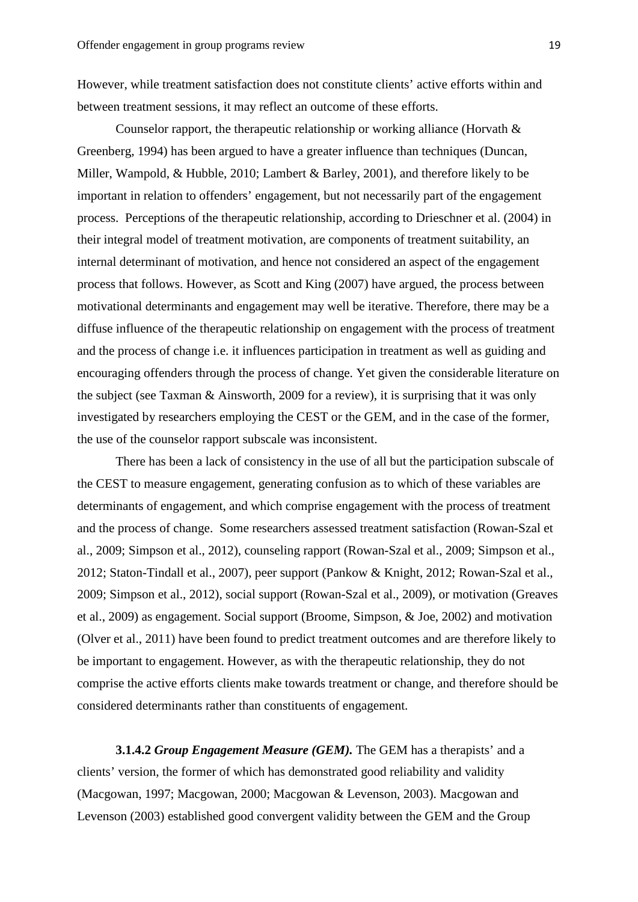However, while treatment satisfaction does not constitute clients' active efforts within and between treatment sessions, it may reflect an outcome of these efforts.

Counselor rapport, the therapeutic relationship or working alliance (Horvath & Greenberg, 1994) has been argued to have a greater influence than techniques (Duncan, Miller, Wampold, & Hubble, 2010; Lambert & Barley, 2001), and therefore likely to be important in relation to offenders' engagement, but not necessarily part of the engagement process. Perceptions of the therapeutic relationship, according to Drieschner et al. (2004) in their integral model of treatment motivation, are components of treatment suitability, an internal determinant of motivation, and hence not considered an aspect of the engagement process that follows. However, as Scott and King (2007) have argued, the process between motivational determinants and engagement may well be iterative. Therefore, there may be a diffuse influence of the therapeutic relationship on engagement with the process of treatment and the process of change i.e. it influences participation in treatment as well as guiding and encouraging offenders through the process of change. Yet given the considerable literature on the subject (see Taxman & Ainsworth, 2009 for a review), it is surprising that it was only investigated by researchers employing the CEST or the GEM, and in the case of the former, the use of the counselor rapport subscale was inconsistent.

There has been a lack of consistency in the use of all but the participation subscale of the CEST to measure engagement, generating confusion as to which of these variables are determinants of engagement, and which comprise engagement with the process of treatment and the process of change. Some researchers assessed treatment satisfaction (Rowan-Szal et al., 2009; Simpson et al., 2012), counseling rapport (Rowan-Szal et al., 2009; Simpson et al., 2012; Staton-Tindall et al., 2007), peer support (Pankow & Knight, 2012; Rowan-Szal et al., 2009; Simpson et al., 2012), social support (Rowan-Szal et al., 2009), or motivation (Greaves et al., 2009) as engagement. Social support (Broome, Simpson, & Joe, 2002) and motivation (Olver et al., 2011) have been found to predict treatment outcomes and are therefore likely to be important to engagement. However, as with the therapeutic relationship, they do not comprise the active efforts clients make towards treatment or change, and therefore should be considered determinants rather than constituents of engagement.

**3.1.4.2** *Group Engagement Measure (GEM).* The GEM has a therapists' and a clients' version, the former of which has demonstrated good reliability and validity (Macgowan, 1997; Macgowan, 2000; Macgowan & Levenson, 2003). Macgowan and Levenson (2003) established good convergent validity between the GEM and the Group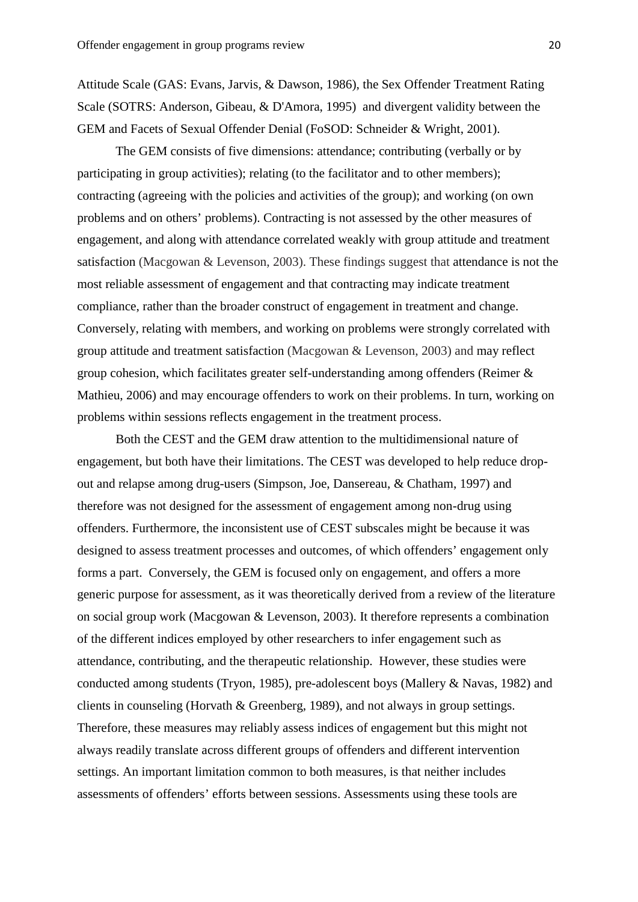Attitude Scale (GAS: Evans, Jarvis, & Dawson, 1986), the Sex Offender Treatment Rating Scale (SOTRS: Anderson, Gibeau, & D'Amora, 1995) and divergent validity between the GEM and Facets of Sexual Offender Denial (FoSOD: Schneider & Wright, 2001).

The GEM consists of five dimensions: attendance; contributing (verbally or by participating in group activities); relating (to the facilitator and to other members); contracting (agreeing with the policies and activities of the group); and working (on own problems and on others' problems). Contracting is not assessed by the other measures of engagement, and along with attendance correlated weakly with group attitude and treatment satisfaction (Macgowan & Levenson, 2003). These findings suggest that attendance is not the most reliable assessment of engagement and that contracting may indicate treatment compliance, rather than the broader construct of engagement in treatment and change. Conversely, relating with members, and working on problems were strongly correlated with group attitude and treatment satisfaction (Macgowan & Levenson, 2003) and may reflect group cohesion, which facilitates greater self-understanding among offenders (Reimer & Mathieu, 2006) and may encourage offenders to work on their problems. In turn, working on problems within sessions reflects engagement in the treatment process.

Both the CEST and the GEM draw attention to the multidimensional nature of engagement, but both have their limitations. The CEST was developed to help reduce dropout and relapse among drug-users (Simpson, Joe, Dansereau, & Chatham, 1997) and therefore was not designed for the assessment of engagement among non-drug using offenders. Furthermore, the inconsistent use of CEST subscales might be because it was designed to assess treatment processes and outcomes, of which offenders' engagement only forms a part. Conversely, the GEM is focused only on engagement, and offers a more generic purpose for assessment, as it was theoretically derived from a review of the literature on social group work (Macgowan & Levenson, 2003). It therefore represents a combination of the different indices employed by other researchers to infer engagement such as attendance, contributing, and the therapeutic relationship. However, these studies were conducted among students (Tryon, 1985), pre-adolescent boys (Mallery & Navas, 1982) and clients in counseling (Horvath & Greenberg, 1989), and not always in group settings. Therefore, these measures may reliably assess indices of engagement but this might not always readily translate across different groups of offenders and different intervention settings. An important limitation common to both measures, is that neither includes assessments of offenders' efforts between sessions. Assessments using these tools are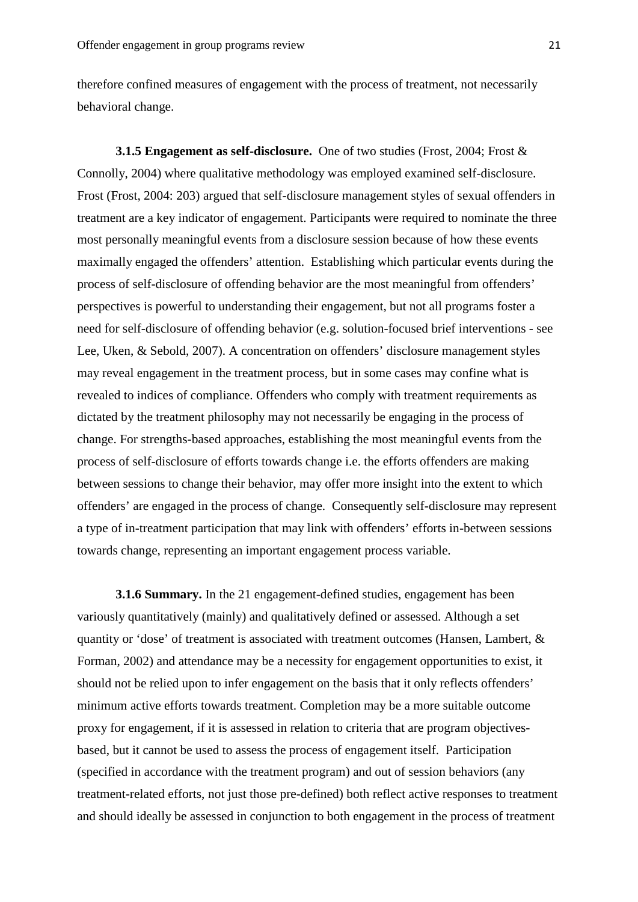therefore confined measures of engagement with the process of treatment, not necessarily behavioral change.

**3.1.5 Engagement as self-disclosure.** One of two studies (Frost, 2004; Frost & Connolly, 2004) where qualitative methodology was employed examined self-disclosure. Frost (Frost, 2004: 203) argued that self-disclosure management styles of sexual offenders in treatment are a key indicator of engagement. Participants were required to nominate the three most personally meaningful events from a disclosure session because of how these events maximally engaged the offenders' attention. Establishing which particular events during the process of self-disclosure of offending behavior are the most meaningful from offenders' perspectives is powerful to understanding their engagement, but not all programs foster a need for self-disclosure of offending behavior (e.g. solution-focused brief interventions - see Lee, Uken, & Sebold, 2007). A concentration on offenders' disclosure management styles may reveal engagement in the treatment process, but in some cases may confine what is revealed to indices of compliance. Offenders who comply with treatment requirements as dictated by the treatment philosophy may not necessarily be engaging in the process of change. For strengths-based approaches, establishing the most meaningful events from the process of self-disclosure of efforts towards change i.e. the efforts offenders are making between sessions to change their behavior, may offer more insight into the extent to which offenders' are engaged in the process of change. Consequently self-disclosure may represent a type of in-treatment participation that may link with offenders' efforts in-between sessions towards change, representing an important engagement process variable.

**3.1.6 Summary.** In the 21 engagement-defined studies, engagement has been variously quantitatively (mainly) and qualitatively defined or assessed. Although a set quantity or 'dose' of treatment is associated with treatment outcomes (Hansen, Lambert, & Forman, 2002) and attendance may be a necessity for engagement opportunities to exist, it should not be relied upon to infer engagement on the basis that it only reflects offenders' minimum active efforts towards treatment. Completion may be a more suitable outcome proxy for engagement, if it is assessed in relation to criteria that are program objectivesbased, but it cannot be used to assess the process of engagement itself. Participation (specified in accordance with the treatment program) and out of session behaviors (any treatment-related efforts, not just those pre-defined) both reflect active responses to treatment and should ideally be assessed in conjunction to both engagement in the process of treatment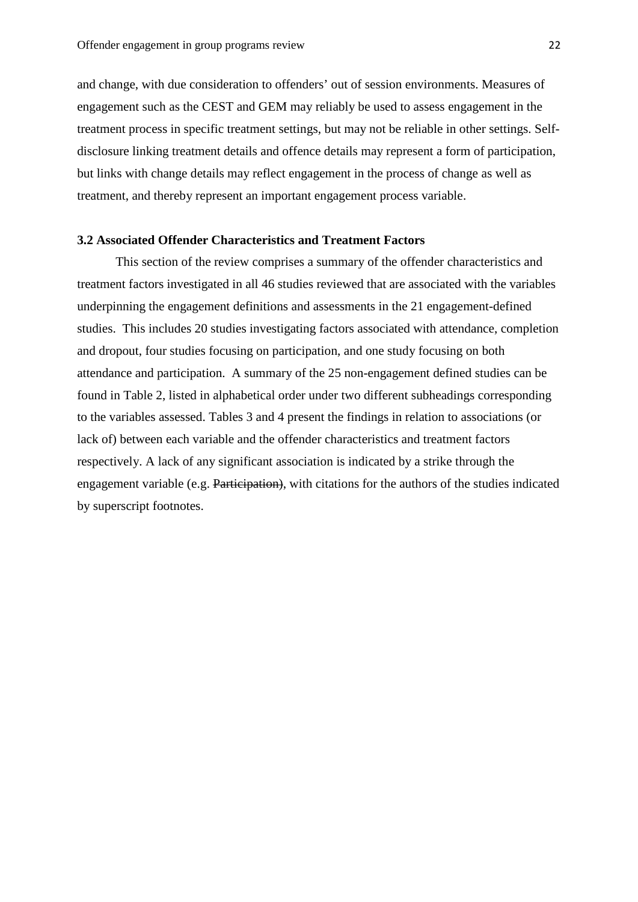and change, with due consideration to offenders' out of session environments. Measures of engagement such as the CEST and GEM may reliably be used to assess engagement in the treatment process in specific treatment settings, but may not be reliable in other settings. Selfdisclosure linking treatment details and offence details may represent a form of participation, but links with change details may reflect engagement in the process of change as well as treatment, and thereby represent an important engagement process variable.

## **3.2 Associated Offender Characteristics and Treatment Factors**

This section of the review comprises a summary of the offender characteristics and treatment factors investigated in all 46 studies reviewed that are associated with the variables underpinning the engagement definitions and assessments in the 21 engagement-defined studies. This includes 20 studies investigating factors associated with attendance, completion and dropout, four studies focusing on participation, and one study focusing on both attendance and participation. A summary of the 25 non-engagement defined studies can be found in Table 2, listed in alphabetical order under two different subheadings corresponding to the variables assessed. Tables 3 and 4 present the findings in relation to associations (or lack of) between each variable and the offender characteristics and treatment factors respectively. A lack of any significant association is indicated by a strike through the engagement variable (e.g. Participation), with citations for the authors of the studies indicated by superscript footnotes.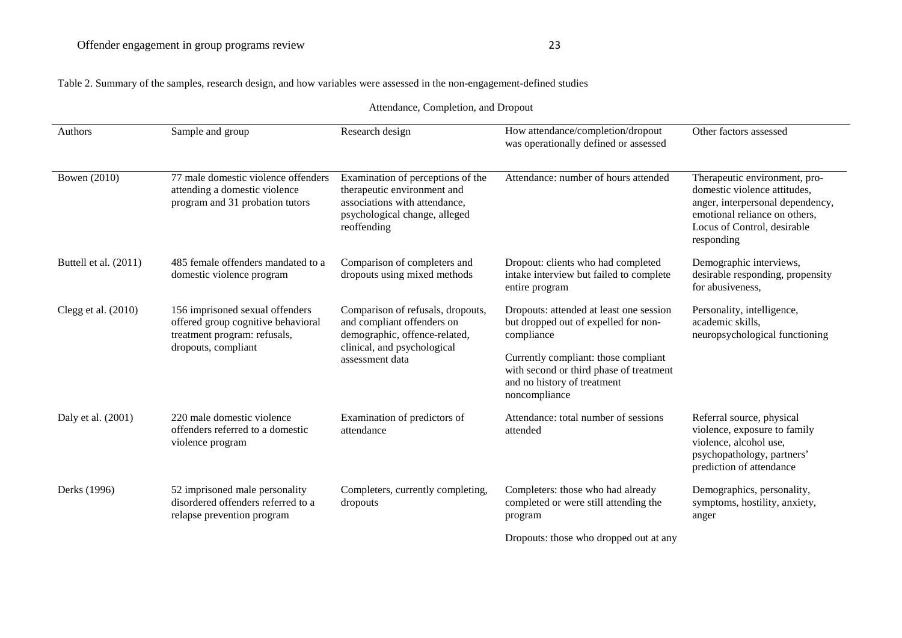### Table 2. Summary of the samples, research design, and how variables were assessed in the non-engagement-defined studies

Attendance, Completion, and Dropout Authors Sample and group Research design How attendance/completion/dropout was operationally defined or assessed Other factors assessed Bowen (2010) 77 male domestic violence offenders attending a domestic violence program and 31 probation tutors Examination of perceptions of the therapeutic environment and associations with attendance, psychological change, alleged reoffending Attendance: number of hours attended Therapeutic environment, prodomestic violence attitudes, anger, interpersonal dependency, emotional reliance on others, Locus of Control, desirable responding Buttell et al. (2011) 485 female offenders mandated to a domestic violence program Comparison of completers and dropouts using mixed methods Dropout: clients who had completed intake interview but failed to complete entire program Demographic interviews, desirable responding, propensity for abusiveness, Clegg et al. (2010) 156 imprisoned sexual offenders offered group cognitive behavioral treatment program: refusals, dropouts, compliant Comparison of refusals, dropouts, and compliant offenders on demographic, offence-related, clinical, and psychological assessment data Dropouts: attended at least one session but dropped out of expelled for noncompliance Currently compliant: those compliant with second or third phase of treatment and no history of treatment noncompliance Personality, intelligence, academic skills, neuropsychological functioning Daly et al. (2001) 220 male domestic violence offenders referred to a domestic violence program Examination of predictors of attendance Attendance: total number of sessions attended Referral source, physical violence, exposure to family violence, alcohol use, psychopathology, partners' prediction of attendance Derks (1996) 52 imprisoned male personality disordered offenders referred to a relapse prevention program Completers, currently completing, dropouts Completers: those who had already completed or were still attending the program Demographics, personality, symptoms, hostility, anxiety, anger

Dropouts: those who dropped out at any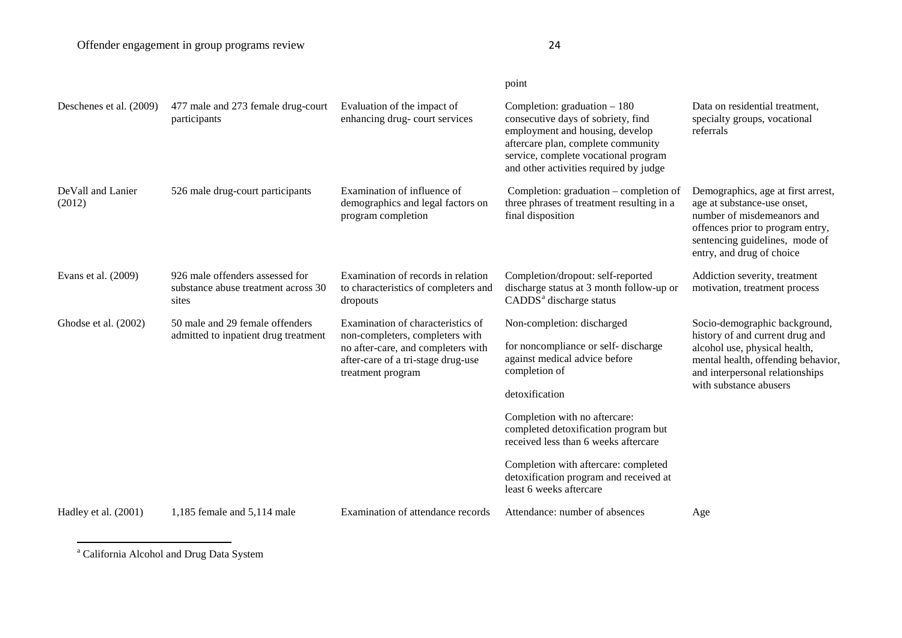<span id="page-24-0"></span>

|                             |                                                                                 |                                                                                                                                                                       | point                                                                                                                                                                                                                                                                                                                                                               |                                                                                                                                                                                                      |
|-----------------------------|---------------------------------------------------------------------------------|-----------------------------------------------------------------------------------------------------------------------------------------------------------------------|---------------------------------------------------------------------------------------------------------------------------------------------------------------------------------------------------------------------------------------------------------------------------------------------------------------------------------------------------------------------|------------------------------------------------------------------------------------------------------------------------------------------------------------------------------------------------------|
| Deschenes et al. (2009)     | 477 male and 273 female drug-court<br>participants                              | Evaluation of the impact of<br>enhancing drug-court services                                                                                                          | Completion: graduation $-180$<br>consecutive days of sobriety, find<br>employment and housing, develop<br>aftercare plan, complete community<br>service, complete vocational program<br>and other activities required by judge                                                                                                                                      | Data on residential treatment,<br>specialty groups, vocational<br>referrals                                                                                                                          |
| DeVall and Lanier<br>(2012) | 526 male drug-court participants                                                | Examination of influence of<br>demographics and legal factors on<br>program completion                                                                                | Completion: graduation – completion of<br>three phrases of treatment resulting in a<br>final disposition                                                                                                                                                                                                                                                            | Demographics, age at first arrest,<br>age at substance-use onset,<br>number of misdemeanors and<br>offences prior to program entry,<br>sentencing guidelines, mode of<br>entry, and drug of choice   |
| Evans et al. (2009)         | 926 male offenders assessed for<br>substance abuse treatment across 30<br>sites | Examination of records in relation<br>to characteristics of completers and<br>dropouts                                                                                | Completion/dropout: self-reported<br>discharge status at 3 month follow-up or<br>CADDS <sup>a</sup> discharge status                                                                                                                                                                                                                                                | Addiction severity, treatment<br>motivation, treatment process                                                                                                                                       |
| Ghodse et al. (2002)        | 50 male and 29 female offenders<br>admitted to inpatient drug treatment         | Examination of characteristics of<br>non-completers, completers with<br>no after-care, and completers with<br>after-care of a tri-stage drug-use<br>treatment program | Non-completion: discharged<br>for noncompliance or self-discharge<br>against medical advice before<br>completion of<br>detoxification<br>Completion with no aftercare:<br>completed detoxification program but<br>received less than 6 weeks aftercare<br>Completion with aftercare: completed<br>detoxification program and received at<br>least 6 weeks aftercare | Socio-demographic background,<br>history of and current drug and<br>alcohol use, physical health,<br>mental health, offending behavior,<br>and interpersonal relationships<br>with substance abusers |
| Hadley et al. (2001)        | $1,185$ female and $5,114$ male                                                 | Examination of attendance records                                                                                                                                     | Attendance: number of absences                                                                                                                                                                                                                                                                                                                                      | Age                                                                                                                                                                                                  |

<sup>a</sup> California Alcohol and Drug Data System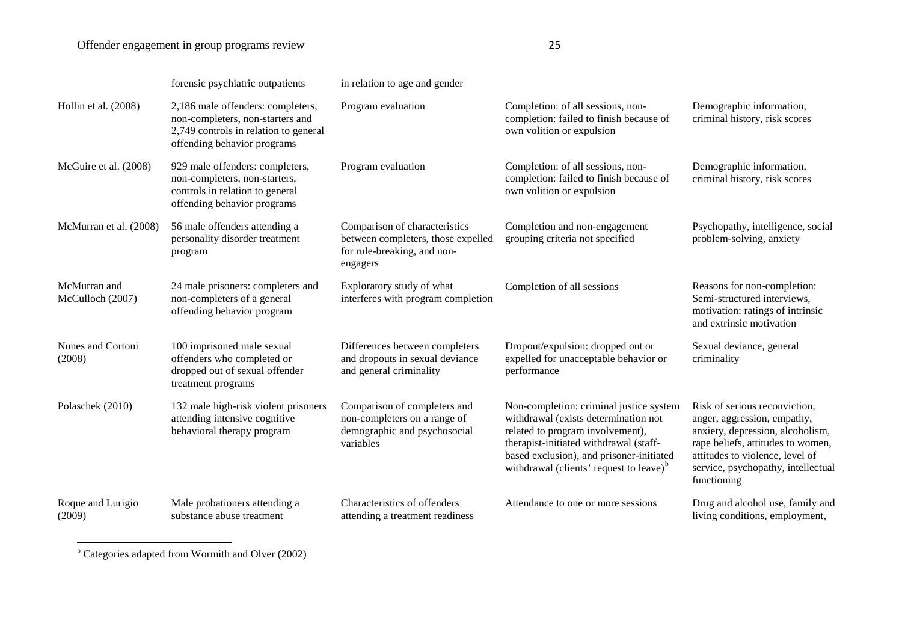<span id="page-25-0"></span>

|                                  | forensic psychiatric outpatients                                                                                                              | in relation to age and gender                                                                                  |                                                                                                                                                                                                                                                                  |                                                                                                                                                                                                                               |
|----------------------------------|-----------------------------------------------------------------------------------------------------------------------------------------------|----------------------------------------------------------------------------------------------------------------|------------------------------------------------------------------------------------------------------------------------------------------------------------------------------------------------------------------------------------------------------------------|-------------------------------------------------------------------------------------------------------------------------------------------------------------------------------------------------------------------------------|
| Hollin et al. (2008)             | 2,186 male offenders: completers,<br>non-completers, non-starters and<br>2,749 controls in relation to general<br>offending behavior programs | Program evaluation                                                                                             | Completion: of all sessions, non-<br>completion: failed to finish because of<br>own volition or expulsion                                                                                                                                                        | Demographic information,<br>criminal history, risk scores                                                                                                                                                                     |
| McGuire et al. (2008)            | 929 male offenders: completers,<br>non-completers, non-starters,<br>controls in relation to general<br>offending behavior programs            | Program evaluation                                                                                             | Completion: of all sessions, non-<br>completion: failed to finish because of<br>own volition or expulsion                                                                                                                                                        | Demographic information,<br>criminal history, risk scores                                                                                                                                                                     |
| McMurran et al. (2008)           | 56 male offenders attending a<br>personality disorder treatment<br>program                                                                    | Comparison of characteristics<br>between completers, those expelled<br>for rule-breaking, and non-<br>engagers | Completion and non-engagement<br>grouping criteria not specified                                                                                                                                                                                                 | Psychopathy, intelligence, social<br>problem-solving, anxiety                                                                                                                                                                 |
| McMurran and<br>McCulloch (2007) | 24 male prisoners: completers and<br>non-completers of a general<br>offending behavior program                                                | Exploratory study of what<br>interferes with program completion                                                | Completion of all sessions                                                                                                                                                                                                                                       | Reasons for non-completion:<br>Semi-structured interviews,<br>motivation: ratings of intrinsic<br>and extrinsic motivation                                                                                                    |
| Nunes and Cortoni<br>(2008)      | 100 imprisoned male sexual<br>offenders who completed or<br>dropped out of sexual offender<br>treatment programs                              | Differences between completers<br>and dropouts in sexual deviance<br>and general criminality                   | Dropout/expulsion: dropped out or<br>expelled for unacceptable behavior or<br>performance                                                                                                                                                                        | Sexual deviance, general<br>criminality                                                                                                                                                                                       |
| Polaschek (2010)                 | 132 male high-risk violent prisoners<br>attending intensive cognitive<br>behavioral therapy program                                           | Comparison of completers and<br>non-completers on a range of<br>demographic and psychosocial<br>variables      | Non-completion: criminal justice system<br>withdrawal (exists determination not<br>related to program involvement),<br>therapist-initiated withdrawal (staff-<br>based exclusion), and prisoner-initiated<br>withdrawal (clients' request to leave) <sup>b</sup> | Risk of serious reconviction,<br>anger, aggression, empathy,<br>anxiety, depression, alcoholism,<br>rape beliefs, attitudes to women,<br>attitudes to violence, level of<br>service, psychopathy, intellectual<br>functioning |
| Roque and Lurigio<br>(2009)      | Male probationers attending a<br>substance abuse treatment                                                                                    | Characteristics of offenders<br>attending a treatment readiness                                                | Attendance to one or more sessions                                                                                                                                                                                                                               | Drug and alcohol use, family and<br>living conditions, employment,                                                                                                                                                            |

 $\overline{\text{b}^{\text{b}}}$  Categories adapted from Wormith and Olver (2002)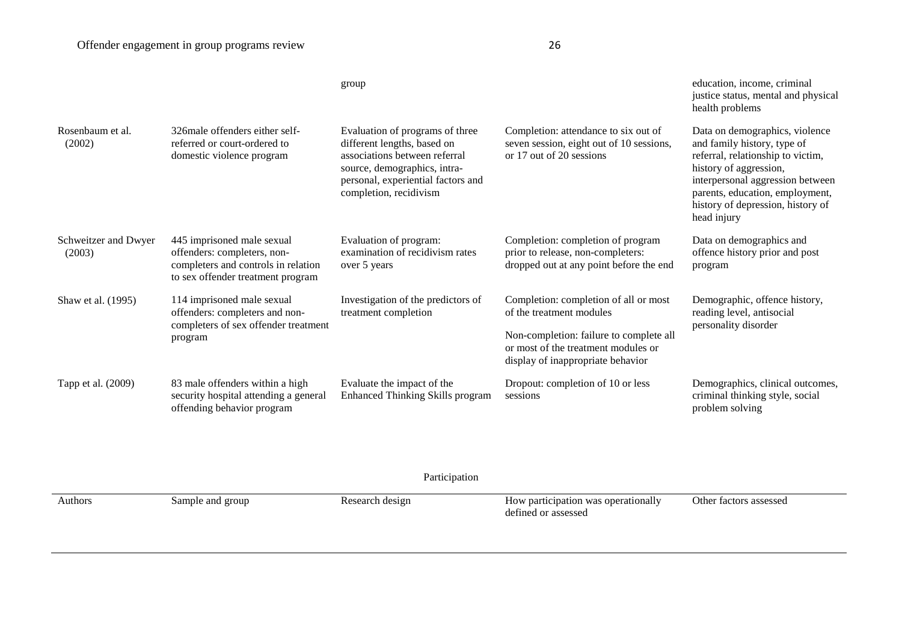|                                |                                                                                                                                       | group                                                                                                                                                                                           |                                                                                                                     | education, income, criminal<br>justice status, mental and physical<br>health problems                                                                                                                                                                   |
|--------------------------------|---------------------------------------------------------------------------------------------------------------------------------------|-------------------------------------------------------------------------------------------------------------------------------------------------------------------------------------------------|---------------------------------------------------------------------------------------------------------------------|---------------------------------------------------------------------------------------------------------------------------------------------------------------------------------------------------------------------------------------------------------|
| Rosenbaum et al.<br>(2002)     | 326 male offenders either self-<br>referred or court-ordered to<br>domestic violence program                                          | Evaluation of programs of three<br>different lengths, based on<br>associations between referral<br>source, demographics, intra-<br>personal, experiential factors and<br>completion, recidivism | Completion: attendance to six out of<br>seven session, eight out of 10 sessions,<br>or 17 out of 20 sessions        | Data on demographics, violence<br>and family history, type of<br>referral, relationship to victim,<br>history of aggression,<br>interpersonal aggression between<br>parents, education, employment,<br>history of depression, history of<br>head injury |
| Schweitzer and Dwyer<br>(2003) | 445 imprisoned male sexual<br>offenders: completers, non-<br>completers and controls in relation<br>to sex offender treatment program | Evaluation of program:<br>examination of recidivism rates<br>over 5 years                                                                                                                       | Completion: completion of program<br>prior to release, non-completers:<br>dropped out at any point before the end   | Data on demographics and<br>offence history prior and post<br>program                                                                                                                                                                                   |
| Shaw et al. (1995)             | 114 imprisoned male sexual<br>offenders: completers and non-                                                                          | Investigation of the predictors of<br>treatment completion                                                                                                                                      | Completion: completion of all or most<br>of the treatment modules                                                   | Demographic, offence history,<br>reading level, antisocial                                                                                                                                                                                              |
|                                | completers of sex offender treatment<br>program                                                                                       |                                                                                                                                                                                                 | Non-completion: failure to complete all<br>or most of the treatment modules or<br>display of inappropriate behavior | personality disorder                                                                                                                                                                                                                                    |
| Tapp et al. (2009)             | 83 male offenders within a high<br>security hospital attending a general<br>offending behavior program                                | Evaluate the impact of the<br><b>Enhanced Thinking Skills program</b>                                                                                                                           | Dropout: completion of 10 or less<br>sessions                                                                       | Demographics, clinical outcomes,<br>criminal thinking style, social<br>problem solving                                                                                                                                                                  |
|                                |                                                                                                                                       | Participation                                                                                                                                                                                   |                                                                                                                     |                                                                                                                                                                                                                                                         |
| Authors                        | Sample and group                                                                                                                      | Research design                                                                                                                                                                                 | How participation was operationally<br>defined or assessed                                                          | Other factors assessed                                                                                                                                                                                                                                  |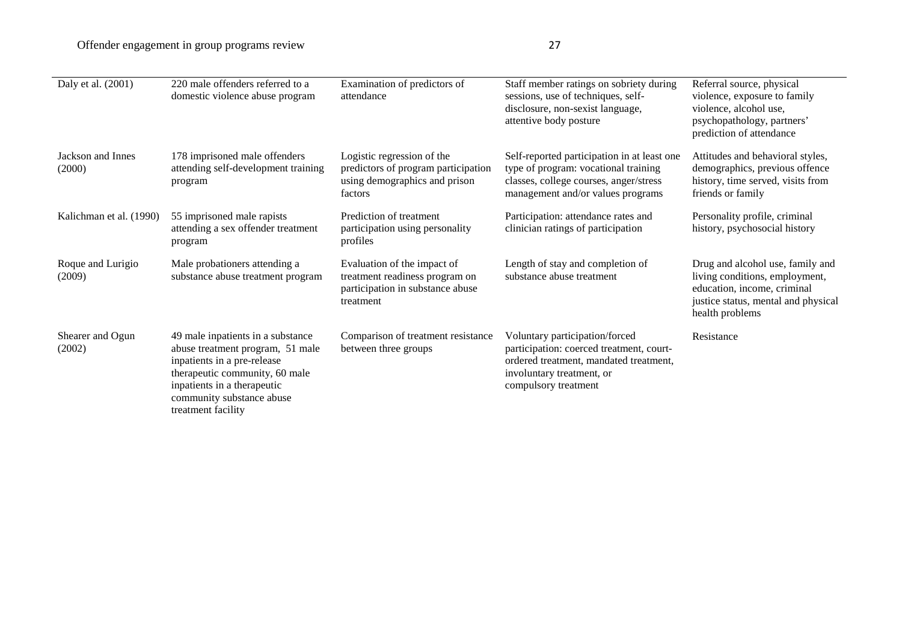| Daly et al. (2001)          | 220 male offenders referred to a<br>domestic violence abuse program                                                                                                                                                      | Examination of predictors of<br>attendance                                                                     | Staff member ratings on sobriety during<br>sessions, use of techniques, self-<br>disclosure, non-sexist language,<br>attentive body posture                               | Referral source, physical<br>violence, exposure to family<br>violence, alcohol use,<br>psychopathology, partners'<br>prediction of attendance               |
|-----------------------------|--------------------------------------------------------------------------------------------------------------------------------------------------------------------------------------------------------------------------|----------------------------------------------------------------------------------------------------------------|---------------------------------------------------------------------------------------------------------------------------------------------------------------------------|-------------------------------------------------------------------------------------------------------------------------------------------------------------|
| Jackson and Innes<br>(2000) | 178 imprisoned male offenders<br>attending self-development training<br>program                                                                                                                                          | Logistic regression of the<br>predictors of program participation<br>using demographics and prison<br>factors  | Self-reported participation in at least one<br>type of program: vocational training<br>classes, college courses, anger/stress<br>management and/or values programs        | Attitudes and behavioral styles,<br>demographics, previous offence<br>history, time served, visits from<br>friends or family                                |
| Kalichman et al. (1990)     | 55 imprisoned male rapists<br>attending a sex offender treatment<br>program                                                                                                                                              | Prediction of treatment<br>participation using personality<br>profiles                                         | Participation: attendance rates and<br>clinician ratings of participation                                                                                                 | Personality profile, criminal<br>history, psychosocial history                                                                                              |
| Roque and Lurigio<br>(2009) | Male probationers attending a<br>substance abuse treatment program                                                                                                                                                       | Evaluation of the impact of<br>treatment readiness program on<br>participation in substance abuse<br>treatment | Length of stay and completion of<br>substance abuse treatment                                                                                                             | Drug and alcohol use, family and<br>living conditions, employment,<br>education, income, criminal<br>justice status, mental and physical<br>health problems |
| Shearer and Ogun<br>(2002)  | 49 male inpatients in a substance<br>abuse treatment program, 51 male<br>inpatients in a pre-release<br>therapeutic community, 60 male<br>inpatients in a therapeutic<br>community substance abuse<br>treatment facility | Comparison of treatment resistance<br>between three groups                                                     | Voluntary participation/forced<br>participation: coerced treatment, court-<br>ordered treatment, mandated treatment,<br>involuntary treatment, or<br>compulsory treatment | Resistance                                                                                                                                                  |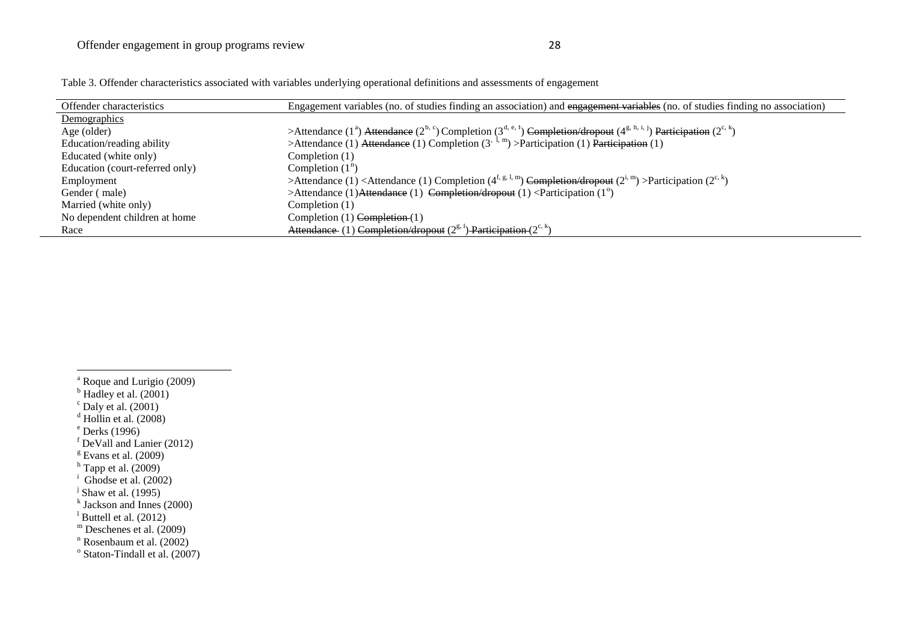# <span id="page-28-28"></span><span id="page-28-27"></span><span id="page-28-26"></span><span id="page-28-25"></span><span id="page-28-23"></span><span id="page-28-22"></span><span id="page-28-21"></span><span id="page-28-20"></span><span id="page-28-19"></span><span id="page-28-18"></span><span id="page-28-17"></span><span id="page-28-16"></span><span id="page-28-15"></span><span id="page-28-14"></span><span id="page-28-13"></span><span id="page-28-12"></span><span id="page-28-11"></span><span id="page-28-10"></span><span id="page-28-9"></span><span id="page-28-8"></span><span id="page-28-7"></span><span id="page-28-6"></span><span id="page-28-5"></span><span id="page-28-4"></span><span id="page-28-3"></span><span id="page-28-2"></span><span id="page-28-1"></span><span id="page-28-0"></span>Offender engagement in group programs review 28

<span id="page-28-24"></span>

| Table 3. Offender characteristics associated with variables underlying operational definitions and assessments of engagement |  |
|------------------------------------------------------------------------------------------------------------------------------|--|
|------------------------------------------------------------------------------------------------------------------------------|--|

| Offender characteristics        | Engagement variables (no. of studies finding an association) and engagement variables (no. of studies finding no association)                                                     |
|---------------------------------|-----------------------------------------------------------------------------------------------------------------------------------------------------------------------------------|
| Demographics                    |                                                                                                                                                                                   |
| Age (older)                     | >Attendance (1 <sup>a</sup> ) Attendance (2 <sup>b, c</sup> ) Completion (3 <sup>d, e, f</sup> ) Completion/dropout (4 <sup>g, h, i, j</sup> ) Participation (2 <sup>c, k</sup> ) |
| Education/reading ability       | >Attendance (1) Attendance (1) Completion (3 <sup>, 1, m</sup> ) >Participation (1) Participation (1)                                                                             |
| Educated (white only)           | Completion (1)                                                                                                                                                                    |
| Education (court-referred only) | Completion $(1^n)$                                                                                                                                                                |
| Employment                      | >Attendance (1) <attendance (1)="" (4<sup="" completion="">f, g, l, m) Completion/dropout (2<sup>i, m</sup>) &gt;Participation (2<sup>c, k</sup>)</attendance>                    |
| Gender (male)                   | >Attendance (1) Attendance (1) Completion/dropout (1) <participation (1<sup="">o)</participation>                                                                                 |
| Married (white only)            | Completion (1)                                                                                                                                                                    |
| No dependent children at home   | Completion (1) Completion (1)                                                                                                                                                     |
| Race                            | Attendance (1) Completion/dropout $(2^{g,1})$ Participation $(2^{c, k})$                                                                                                          |

- $a^a$  Roque and Lurigio (2009)
- $^{\circ}$  Hadley et al. (2001)<br> $^{\circ}$  Daly et al. (2001)<br> $^{\circ}$  Hollin et al. (2008)
- 
- 
- <sup>e</sup> Derks (1996)
- $f$  DeVall and Lanier (2012)<br><sup>g</sup> Evans et al. (2009)
- $\rm{^{g}}$  Evans et al. (2009)<br> $\rm{^{h}}$  Tapp et al. (2009)
- 
- <sup>i</sup> Ghodse et al.  $(2002)$ <br><sup>j</sup> Show et al.  $(1005)$
- 
- $k$  Jackson and Innes (2000)
- <sup>1</sup> Buttell et al.  $(2012)$
- $\sum_{n=1}^{\infty}$  Deschenes et al. (2009)<br>
n Rosenbaum et al. (2002)<br>
o Staton-Tindall et al. (2007)
-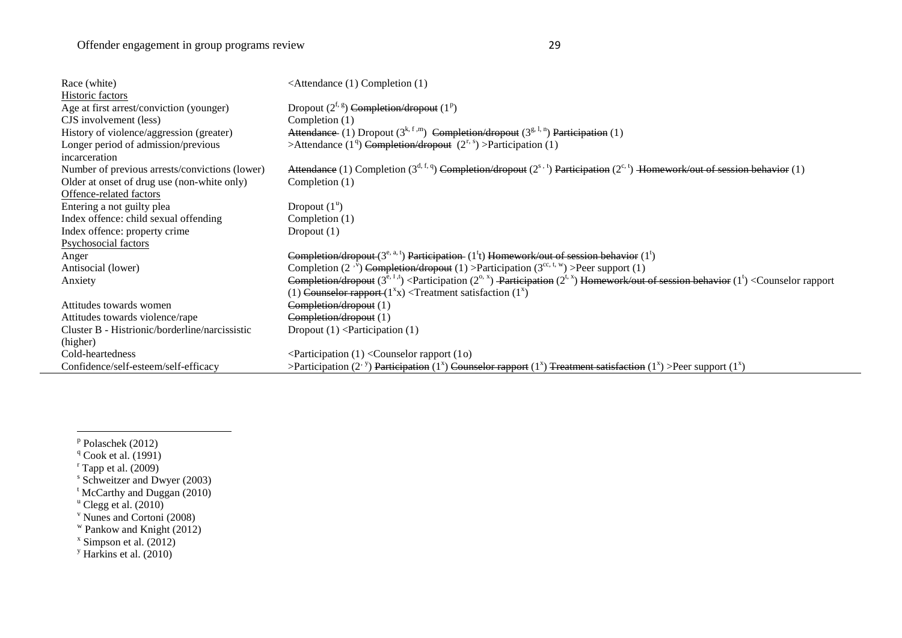# <span id="page-29-15"></span><span id="page-29-14"></span><span id="page-29-13"></span><span id="page-29-12"></span><span id="page-29-11"></span><span id="page-29-10"></span><span id="page-29-9"></span><span id="page-29-8"></span><span id="page-29-7"></span><span id="page-29-6"></span><span id="page-29-5"></span><span id="page-29-2"></span><span id="page-29-1"></span><span id="page-29-0"></span>Offender engagement in group programs review 29

| Race (white)                                   | <attendance (1)="" (1)<="" completion="" th=""></attendance>                                                                                                                                                          |
|------------------------------------------------|-----------------------------------------------------------------------------------------------------------------------------------------------------------------------------------------------------------------------|
| Historic factors                               |                                                                                                                                                                                                                       |
| Age at first arrest/conviction (younger)       | Dropout $(2^{1, g})$ Completion/dropout $(1^p)$                                                                                                                                                                       |
| CJS involvement (less)                         | Completion $(1)$                                                                                                                                                                                                      |
| History of violence/aggression (greater)       | Attendance (1) Dropout $(3^{k, f, m})$ Completion/dropout $(3^{g, l, n})$ Participation (1)                                                                                                                           |
| Longer period of admission/previous            | >Attendance $(1^q)$ Completion/dropout $(2^r s)$ >Participation (1)                                                                                                                                                   |
| incarceration                                  |                                                                                                                                                                                                                       |
| Number of previous arrests/convictions (lower) | Attendance (1) Completion $(3^{d,f,q})$ Completion/dropout $(2^{s,f})$ Participation $(2^{c,f})$ Homework/out of session behavior (1)                                                                                 |
| Older at onset of drug use (non-white only)    | Completion (1)                                                                                                                                                                                                        |
| Offence-related factors                        |                                                                                                                                                                                                                       |
| Entering a not guilty plea                     | Dropout $(1^u)$                                                                                                                                                                                                       |
| Index offence: child sexual offending          | Completion $(1)$                                                                                                                                                                                                      |
| Index offence: property crime                  | Dropout $(1)$                                                                                                                                                                                                         |
| Psychosocial factors                           |                                                                                                                                                                                                                       |
| Anger                                          | Completion/dropout $(3^{e, a, t})$ Participation $(1^t)$ Homework/out of session behavior $(1^t)$                                                                                                                     |
| Antisocial (lower)                             | Completion (2 <sup>, v</sup> ) Completion/dropout (1) > Participation (3 <sup>cc, t, w</sup> ) > Peer support (1)                                                                                                     |
| Anxiety                                        | Completion/dropout $(3^{e,1,t})$ <participation <math="">(2^{0,X}) Participation <math>(2^{t,X})</math> Homework/out of session behavior <math>(1^t)</math> <counselor rapport<="" td=""></counselor></participation> |
|                                                | (1) Counselor rapport $(1^x x)$ < Treatment satisfaction $(1^x)$                                                                                                                                                      |
| Attitudes towards women                        | Completion/dropout (1)                                                                                                                                                                                                |
| Attitudes towards violence/rape                | Completion/dropout (1)                                                                                                                                                                                                |
| Cluster B - Histrionic/borderline/narcissistic | Dropout $(1)$ <participation <math="">(1)</participation>                                                                                                                                                             |
| (higher)                                       |                                                                                                                                                                                                                       |
| Cold-heartedness                               | $\leq$ Participation (1) $\leq$ Counselor rapport (10)                                                                                                                                                                |
| Confidence/self-esteem/self-efficacy           | >Participation (2 <sup>, y</sup> ) Participation (1 <sup>x</sup> ) Counselor rapport (1 <sup>x</sup> ) Treatment satisfaction (1 <sup>x</sup> ) >Peer support (1 <sup>x</sup> )                                       |

# <span id="page-29-16"></span><span id="page-29-4"></span><span id="page-29-3"></span><sup>p</sup> Polaschek (2012)

- $q$  Cook et al. (1991)
- $r$  Tapp et al. (2009)
- 
- <sup>s</sup> Schweitzer and Dwyer (2003)<br><sup>t</sup> McCarthy and Duggan (2010)
- $^{\text{u}}$  Clegg et al. (2010)
- <sup>v</sup> Nunes and Cortoni (2008)
- <sup>w</sup> Pankow and Knight (2012)  $x^x$  Simpson et al. (2012)
- 
- <sup>y</sup> Harkins et al. (2010)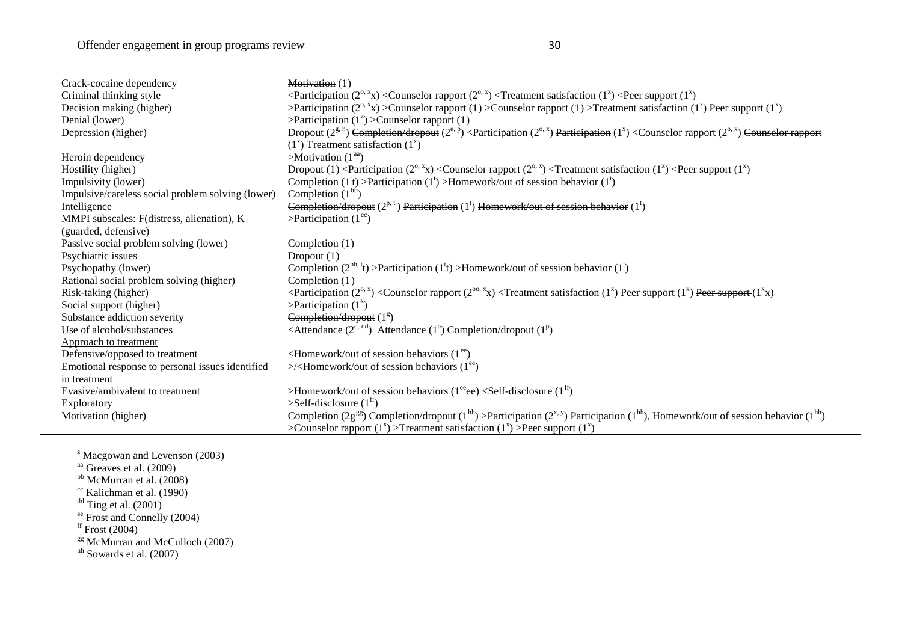<span id="page-30-13"></span><span id="page-30-12"></span><span id="page-30-11"></span><span id="page-30-10"></span><span id="page-30-9"></span><span id="page-30-8"></span><span id="page-30-7"></span><span id="page-30-6"></span><span id="page-30-5"></span><span id="page-30-1"></span><span id="page-30-0"></span>

| Crack-cocaine dependency                          | Motivation (1)                                                                                                                                                                                                    |
|---------------------------------------------------|-------------------------------------------------------------------------------------------------------------------------------------------------------------------------------------------------------------------|
| Criminal thinking style                           | $\langle$ Participation (2 <sup>o, x</sup> x) $\langle$ Counselor rapport (2 <sup>o, x</sup> ) $\langle$ Treatment satisfaction (1 <sup>x</sup> ) $\langle$ Peer support (1 <sup>x</sup> )                        |
| Decision making (higher)                          | >Participation (2 <sup>o, x</sup> x) >Counselor rapport (1) >Counselor rapport (1) >Treatment satisfaction (1 <sup>x</sup> ) Peer support (1 <sup>x</sup> )                                                       |
| Denial (lower)                                    | >Participation $(1^z)$ >Counselor rapport $(1)$                                                                                                                                                                   |
| Depression (higher)                               | Dropout $(2^{g,n})$ Completion/dropout $(2^{c,p})$ < Participation $(2^{o,x})$ Participation $(1^x)$ < Counselor rapport $(2^{o,x})$ Counselor rapport                                                            |
|                                                   | $(1^x)$ Treatment satisfaction $(1^x)$                                                                                                                                                                            |
| Heroin dependency                                 | >Motivation $(1^{aa})$                                                                                                                                                                                            |
| Hostility (higher)                                | Dropout (1) <participation (1*)="" (1*)<="" (2°="" <counselor="" <peer="" <treatment="" rapport="" satisfaction="" support="" td="" x)=""></participation>                                                        |
| Impulsivity (lower)                               | Completion (1 <sup>t</sup> t) >Participation (1 <sup>t</sup> ) >Homework/out of session behavior (1 <sup>t</sup> )                                                                                                |
| Impulsive/careless social problem solving (lower) | Completion $(1^{bb})$                                                                                                                                                                                             |
| Intelligence                                      | Completion/dropout $(2^{p, t})$ Participation $(1^{t})$ Homework/out of session behavior $(1^{t})$                                                                                                                |
| MMPI subscales: F(distress, alienation), K        | >Participation $(1^{\text{cc}})$                                                                                                                                                                                  |
| (guarded, defensive)                              |                                                                                                                                                                                                                   |
| Passive social problem solving (lower)            | Completion $(1)$                                                                                                                                                                                                  |
| Psychiatric issues                                | Dropout $(1)$                                                                                                                                                                                                     |
| Psychopathy (lower)                               | Completion (2 <sup>bb, t</sup> t) >Participation (1 <sup>t</sup> t) >Homework/out of session behavior (1 <sup>t</sup> )                                                                                           |
| Rational social problem solving (higher)          | Completion (1)                                                                                                                                                                                                    |
| Risk-taking (higher)                              | $\langle$ Participation (2 <sup>o, x</sup> ) $\langle$ Counselor rapport (2 <sup>oo, x</sup> x) $\langle$ Treatment satisfaction (1 <sup>x</sup> ) Peer support (1 <sup>x</sup> ) Peer support (1 <sup>x</sup> x) |
| Social support (higher)                           | >Participation $(1^x)$                                                                                                                                                                                            |
| Substance addiction severity                      | Completion/dropout $(1^g)$                                                                                                                                                                                        |
| Use of alcohol/substances                         | <attendance <math="">(2^{c, dd}) -Attendance <math>(1^a)</math> Completion/dropout <math>(1^p)</math></attendance>                                                                                                |
| Approach to treatment                             |                                                                                                                                                                                                                   |
| Defensive/opposed to treatment                    | $\leq$ Homework/out of session behaviors (1 <sup>ee</sup> )                                                                                                                                                       |
| Emotional response to personal issues identified  | $\geq$ / <homework (1<sup="" behaviors="" of="" out="" session="">ee)</homework>                                                                                                                                  |
| in treatment                                      |                                                                                                                                                                                                                   |
| Evasive/ambivalent to treatment                   | >Homework/out of session behaviors ( $1^{\text{ee}}$ ee) <self-disclosure (<math="">1^{\text{ff}})</self-disclosure>                                                                                              |
| Exploratory                                       | $>\mathbf{Self\text{-}disclosure}$ (1 <sup>th</sup> )                                                                                                                                                             |
| Motivation (higher)                               | Completion $(2g^{gg})$ Completion/dropout $(1^{hh})$ >Participation $(2^{x,y})$ Participation $(1^{hh})$ , Homework/out of session behavior $(1^{hh})$                                                            |
|                                                   | >Counselor rapport (1 <sup>x</sup> ) >Treatment satisfaction (1 <sup>x</sup> ) >Peer support (1 <sup>x</sup> )                                                                                                    |

<span id="page-30-2"></span> $\alpha$ <sup>z</sup> Macgowan and Levenson (2003)

<span id="page-30-4"></span><span id="page-30-3"></span>

- 
- 
- 
- <sup>aa</sup> Greaves et al. (2009)<br><sup>bb</sup> McMurran et al. (2008)<br><sup>cc</sup> Kalichman et al. (1990)<br><sup>dd</sup> Ting et al. (2001)<br><sup>ee</sup> Frost and Connelly (2004)<br><sup>ff</sup> Frost (2004)
- 

<sup>gg</sup> McMurran and McCulloch (2007)<br><sup>hh</sup> Sowards et al. (2007)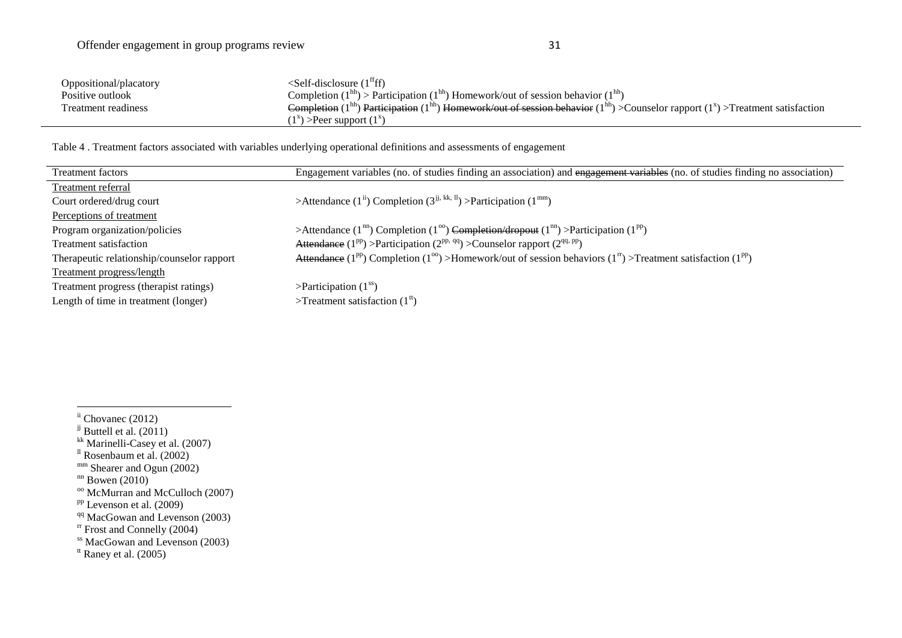| Oppositional/placatory | $\le$ Self-disclosure (1 <sup>n</sup> ff)                                                                                                     |
|------------------------|-----------------------------------------------------------------------------------------------------------------------------------------------|
| Positive outlook       | Completion (1 <sup>hh</sup> ) > Participation (1 <sup>hh</sup> ) Homework/out of session behavior (1 <sup>hh</sup> )                          |
| Treatment readiness    | Completion $(1^{hh})$ Participation $(1^{hh})$ Homework/out of session behavior $(1^{hh})$ >Counselor rapport $(1^x)$ >Treatment satisfaction |
|                        | $(1^x)$ >Peer support $(1^x)$                                                                                                                 |

| Table 4. Treatment factors associated with variables underlying operational definitions and assessments of engagement |  |
|-----------------------------------------------------------------------------------------------------------------------|--|
|-----------------------------------------------------------------------------------------------------------------------|--|

| Treatment factors                          | Engagement variables (no. of studies finding an association) and engagement variables (no. of studies finding no association)                               |
|--------------------------------------------|-------------------------------------------------------------------------------------------------------------------------------------------------------------|
| Treatment referral                         |                                                                                                                                                             |
| Court ordered/drug court                   | >Attendance $(1^{ii})$ Completion $(3^{jj, kk, ll})$ >Participation $(1^{mm})$                                                                              |
| Perceptions of treatment                   |                                                                                                                                                             |
| Program organization/policies              | >Attendance (1 <sup>nn</sup> ) Completion (1 <sup>oo</sup> ) Completion/dropout (1 <sup>nn</sup> ) >Participation (1 <sup>pp</sup> )                        |
| Treatment satisfaction                     | Attendance (1 <sup>pp</sup> ) > Participation (2 <sup>pp, qq</sup> ) > Counselor rapport (2 <sup>qq, pp</sup> )                                             |
| Therapeutic relationship/counselor rapport | Attendance (1 <sup>pp</sup> ) Completion (1 <sup>oo</sup> ) >Homework/out of session behaviors (1 <sup>n</sup> ) >Treatment satisfaction (1 <sup>pp</sup> ) |
| <b>Treatment progress/length</b>           |                                                                                                                                                             |
| Treatment progress (therapist ratings)     | >Participation $(1^{ss})$                                                                                                                                   |
| Length of time in treatment (longer)       | >Treatment satisfaction $(1tt)$                                                                                                                             |

- $\frac{1}{10}$  Chovanec (2012)
- 
- 
- 
- 
- 
- 
- 
- <sup>ij</sup> Buttell et al. (2011)<br><sup>kk</sup> Marinelli-Casey et al. (2007)<br><sup>n</sup> Rosenbaum et al. (2002)<br><sup>mm</sup> Shearer and Ogun (2002)<br><sup>nm</sup> Bowen (2010)<br><sup>on</sup> McMurran and McCulloch (2007)<br><sup>pp</sup> Levenson et al. (2009)<br><sup>qq</sup> MacGowan and Lev
- 
- s MacGowan and Levenson (2003)<br>  $\frac{q}{q}$  MacGowan and Levenson (2003)<br>  $\frac{1}{q}$  Frost and Connelly (2004)<br>  $\frac{1}{t}$  Raney et al. (2005)

<span id="page-31-16"></span><span id="page-31-15"></span><span id="page-31-14"></span><span id="page-31-13"></span><span id="page-31-12"></span><span id="page-31-11"></span><span id="page-31-10"></span><span id="page-31-9"></span><span id="page-31-8"></span><span id="page-31-7"></span><span id="page-31-6"></span><span id="page-31-5"></span><span id="page-31-4"></span><span id="page-31-3"></span><span id="page-31-2"></span><span id="page-31-1"></span><span id="page-31-0"></span>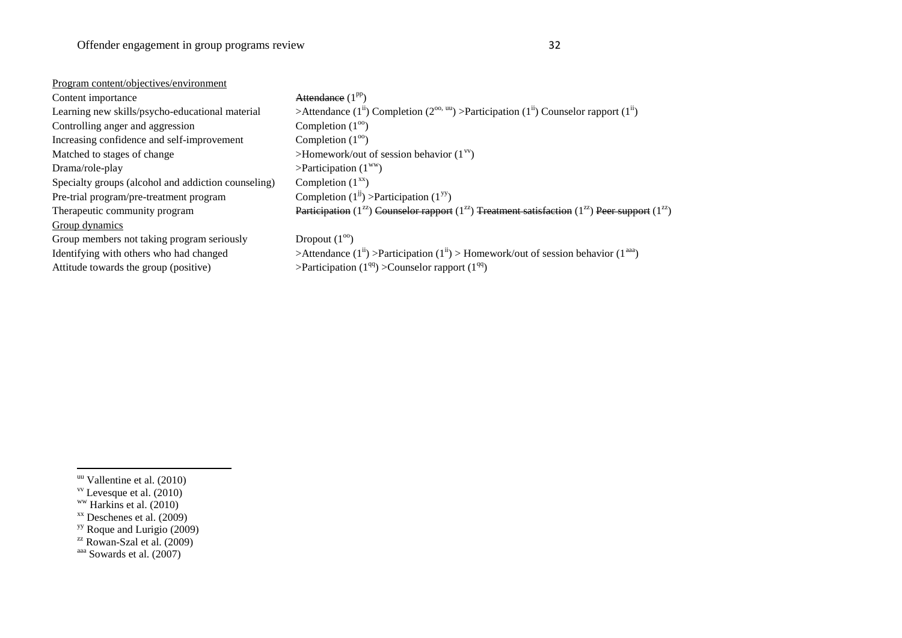<span id="page-32-6"></span><span id="page-32-5"></span><span id="page-32-4"></span><span id="page-32-3"></span><span id="page-32-2"></span><span id="page-32-1"></span><span id="page-32-0"></span>

| Program content/objectives/environment              |                                                                                                                                                 |
|-----------------------------------------------------|-------------------------------------------------------------------------------------------------------------------------------------------------|
| Content importance                                  | Attendance (1 <sup>PP</sup> )                                                                                                                   |
| Learning new skills/psycho-educational material     | >Attendance $(1^{ii})$ Completion $(2^{00, 101})$ >Participation $(1^{ii})$ Counselor rapport $(1^{ii})$                                        |
| Controlling anger and aggression                    | Completion $(1^{\circ\circ})$                                                                                                                   |
| Increasing confidence and self-improvement          | Completion $(1^{\circ\circ})$                                                                                                                   |
| Matched to stages of change                         | >Homework/out of session behavior $(1^{\text{vv}})$                                                                                             |
| Drama/role-play                                     | >Participation $(1ww)$                                                                                                                          |
| Specialty groups (alcohol and addiction counseling) | Completion $(1^{xx})$                                                                                                                           |
| Pre-trial program/pre-treatment program             | Completion $(1^{ij})$ > Participation $(1^{yy})$                                                                                                |
| Therapeutic community program                       | Participation (1 <sup>zz</sup> ) Counselor rapport (1 <sup>zz</sup> ) Treatment satisfaction (1 <sup>zz</sup> ) Peer support (1 <sup>zz</sup> ) |
| Group dynamics                                      |                                                                                                                                                 |
| Group members not taking program seriously          | Dropout $(1^{\infty})$                                                                                                                          |
| Identifying with others who had changed             | >Attendance (1 <sup>ii</sup> ) >Participation (1 <sup>ii</sup> ) > Homework/out of session behavior (1 <sup>aaa</sup> )                         |
| Attitude towards the group (positive)               | >Participation (1 <sup>qq</sup> ) >Counselor rapport (1 <sup>qq</sup> )                                                                         |

<sup>&</sup>lt;sup>uu</sup> Vallentine et al. (2010)<br><sup>ww</sup> Harkins et al. (2010)<br><sup>ww</sup> Harkins et al. (2010)<br><sup>xx</sup> Deschenes et al. (2009)<br><sup>yy</sup> Roque and Lurigio (2009)<br><sup>zz</sup> Rowan-Szal et al. (2009)<br><sup>aaa</sup> Sowards et al. (2007)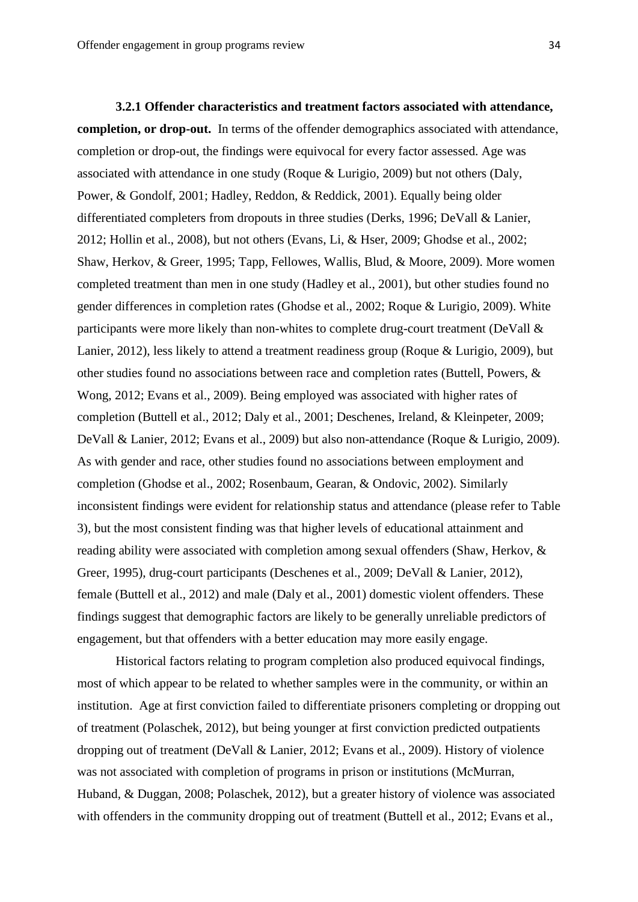**3.2.1 Offender characteristics and treatment factors associated with attendance, completion, or drop-out.** In terms of the offender demographics associated with attendance, completion or drop-out, the findings were equivocal for every factor assessed. Age was associated with attendance in one study (Roque & Lurigio, 2009) but not others (Daly, Power, & Gondolf, 2001; Hadley, Reddon, & Reddick, 2001). Equally being older differentiated completers from dropouts in three studies (Derks, 1996; DeVall & Lanier, 2012; Hollin et al., 2008), but not others (Evans, Li, & Hser, 2009; Ghodse et al., 2002; Shaw, Herkov, & Greer, 1995; Tapp, Fellowes, Wallis, Blud, & Moore, 2009). More women completed treatment than men in one study (Hadley et al., 2001), but other studies found no gender differences in completion rates (Ghodse et al., 2002; Roque & Lurigio, 2009). White participants were more likely than non-whites to complete drug-court treatment (DeVall & Lanier, 2012), less likely to attend a treatment readiness group (Roque & Lurigio, 2009), but other studies found no associations between race and completion rates (Buttell, Powers, & Wong, 2012; Evans et al., 2009). Being employed was associated with higher rates of completion (Buttell et al., 2012; Daly et al., 2001; Deschenes, Ireland, & Kleinpeter, 2009; DeVall & Lanier, 2012; Evans et al., 2009) but also non-attendance (Roque & Lurigio, 2009). As with gender and race, other studies found no associations between employment and completion (Ghodse et al., 2002; Rosenbaum, Gearan, & Ondovic, 2002). Similarly inconsistent findings were evident for relationship status and attendance (please refer to Table 3), but the most consistent finding was that higher levels of educational attainment and reading ability were associated with completion among sexual offenders (Shaw, Herkov, & Greer, 1995), drug-court participants (Deschenes et al., 2009; DeVall & Lanier, 2012), female (Buttell et al., 2012) and male (Daly et al., 2001) domestic violent offenders. These findings suggest that demographic factors are likely to be generally unreliable predictors of engagement, but that offenders with a better education may more easily engage.

Historical factors relating to program completion also produced equivocal findings, most of which appear to be related to whether samples were in the community, or within an institution. Age at first conviction failed to differentiate prisoners completing or dropping out of treatment (Polaschek, 2012), but being younger at first conviction predicted outpatients dropping out of treatment (DeVall & Lanier, 2012; Evans et al., 2009). History of violence was not associated with completion of programs in prison or institutions (McMurran, Huband, & Duggan, 2008; Polaschek, 2012), but a greater history of violence was associated with offenders in the community dropping out of treatment (Buttell et al., 2012; Evans et al.,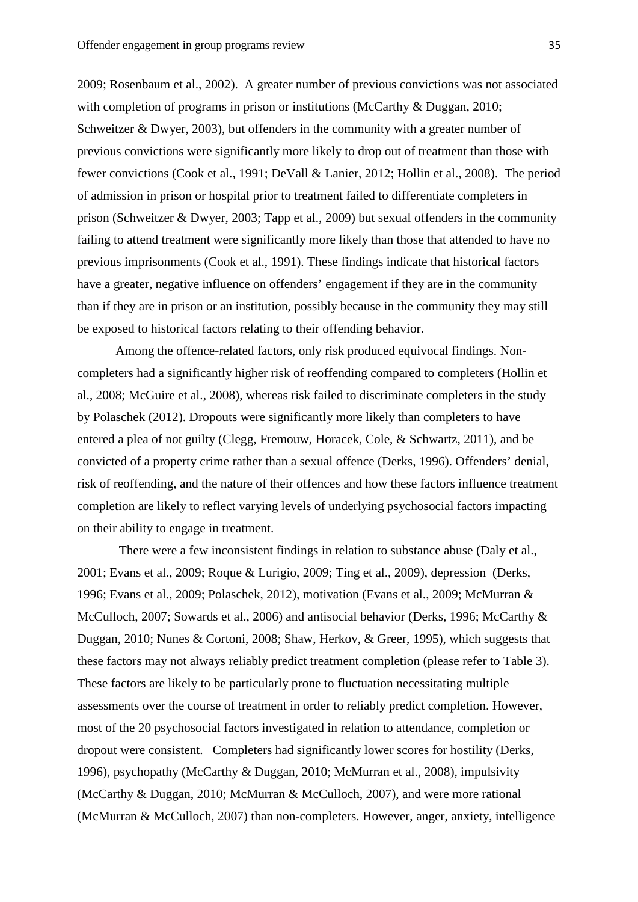2009; Rosenbaum et al., 2002). A greater number of previous convictions was not associated with completion of programs in prison or institutions (McCarthy & Duggan, 2010; Schweitzer & Dwyer, 2003), but offenders in the community with a greater number of previous convictions were significantly more likely to drop out of treatment than those with fewer convictions (Cook et al., 1991; DeVall & Lanier, 2012; Hollin et al., 2008). The period of admission in prison or hospital prior to treatment failed to differentiate completers in prison (Schweitzer & Dwyer, 2003; Tapp et al., 2009) but sexual offenders in the community failing to attend treatment were significantly more likely than those that attended to have no previous imprisonments (Cook et al., 1991). These findings indicate that historical factors have a greater, negative influence on offenders' engagement if they are in the community than if they are in prison or an institution, possibly because in the community they may still be exposed to historical factors relating to their offending behavior.

Among the offence-related factors, only risk produced equivocal findings. Noncompleters had a significantly higher risk of reoffending compared to completers (Hollin et al., 2008; McGuire et al., 2008), whereas risk failed to discriminate completers in the study by Polaschek (2012). Dropouts were significantly more likely than completers to have entered a plea of not guilty (Clegg, Fremouw, Horacek, Cole, & Schwartz, 2011), and be convicted of a property crime rather than a sexual offence (Derks, 1996). Offenders' denial, risk of reoffending, and the nature of their offences and how these factors influence treatment completion are likely to reflect varying levels of underlying psychosocial factors impacting on their ability to engage in treatment.

There were a few inconsistent findings in relation to substance abuse (Daly et al., 2001; Evans et al., 2009; Roque & Lurigio, 2009; Ting et al., 2009), depression (Derks, 1996; Evans et al., 2009; Polaschek, 2012), motivation (Evans et al., 2009; McMurran & McCulloch, 2007; Sowards et al., 2006) and antisocial behavior (Derks, 1996; McCarthy & Duggan, 2010; Nunes & Cortoni, 2008; Shaw, Herkov, & Greer, 1995), which suggests that these factors may not always reliably predict treatment completion (please refer to Table 3). These factors are likely to be particularly prone to fluctuation necessitating multiple assessments over the course of treatment in order to reliably predict completion. However, most of the 20 psychosocial factors investigated in relation to attendance, completion or dropout were consistent. Completers had significantly lower scores for hostility (Derks, 1996), psychopathy (McCarthy & Duggan, 2010; McMurran et al., 2008), impulsivity (McCarthy & Duggan, 2010; McMurran & McCulloch, 2007), and were more rational (McMurran & McCulloch, 2007) than non-completers. However, anger, anxiety, intelligence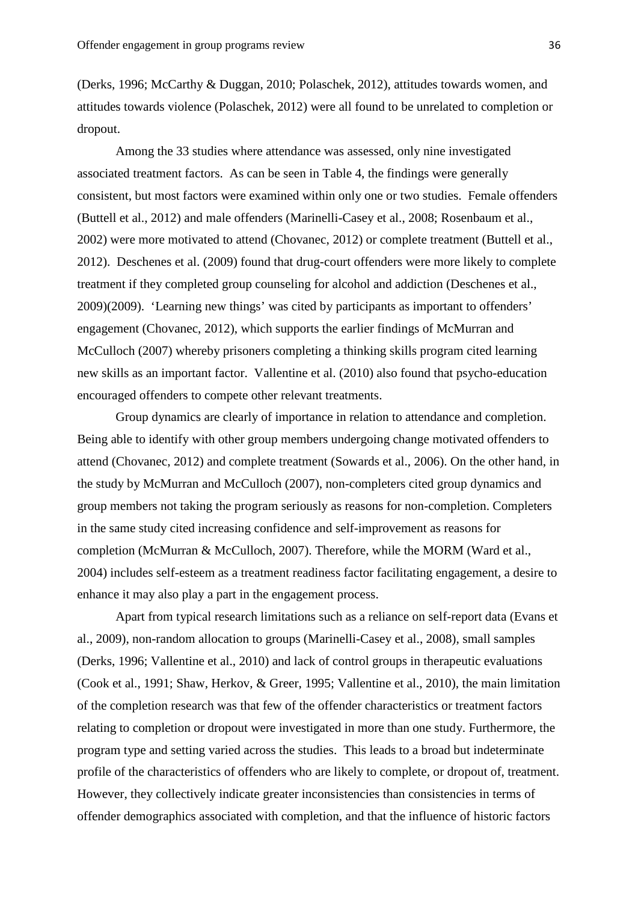(Derks, 1996; McCarthy & Duggan, 2010; Polaschek, 2012), attitudes towards women, and attitudes towards violence (Polaschek, 2012) were all found to be unrelated to completion or dropout.

Among the 33 studies where attendance was assessed, only nine investigated associated treatment factors. As can be seen in Table 4, the findings were generally consistent, but most factors were examined within only one or two studies. Female offenders (Buttell et al., 2012) and male offenders (Marinelli-Casey et al., 2008; Rosenbaum et al., 2002) were more motivated to attend (Chovanec, 2012) or complete treatment (Buttell et al., 2012). Deschenes et al. (2009) found that drug-court offenders were more likely to complete treatment if they completed group counseling for alcohol and addiction (Deschenes et al., 2009)(2009). 'Learning new things' was cited by participants as important to offenders' engagement (Chovanec, 2012), which supports the earlier findings of McMurran and McCulloch (2007) whereby prisoners completing a thinking skills program cited learning new skills as an important factor. Vallentine et al. (2010) also found that psycho-education encouraged offenders to compete other relevant treatments.

Group dynamics are clearly of importance in relation to attendance and completion. Being able to identify with other group members undergoing change motivated offenders to attend (Chovanec, 2012) and complete treatment (Sowards et al., 2006). On the other hand, in the study by McMurran and McCulloch (2007), non-completers cited group dynamics and group members not taking the program seriously as reasons for non-completion. Completers in the same study cited increasing confidence and self-improvement as reasons for completion (McMurran & McCulloch, 2007). Therefore, while the MORM (Ward et al., 2004) includes self-esteem as a treatment readiness factor facilitating engagement, a desire to enhance it may also play a part in the engagement process.

Apart from typical research limitations such as a reliance on self-report data (Evans et al., 2009), non-random allocation to groups (Marinelli-Casey et al., 2008), small samples (Derks, 1996; Vallentine et al., 2010) and lack of control groups in therapeutic evaluations (Cook et al., 1991; Shaw, Herkov, & Greer, 1995; Vallentine et al., 2010), the main limitation of the completion research was that few of the offender characteristics or treatment factors relating to completion or dropout were investigated in more than one study. Furthermore, the program type and setting varied across the studies. This leads to a broad but indeterminate profile of the characteristics of offenders who are likely to complete, or dropout of, treatment. However, they collectively indicate greater inconsistencies than consistencies in terms of offender demographics associated with completion, and that the influence of historic factors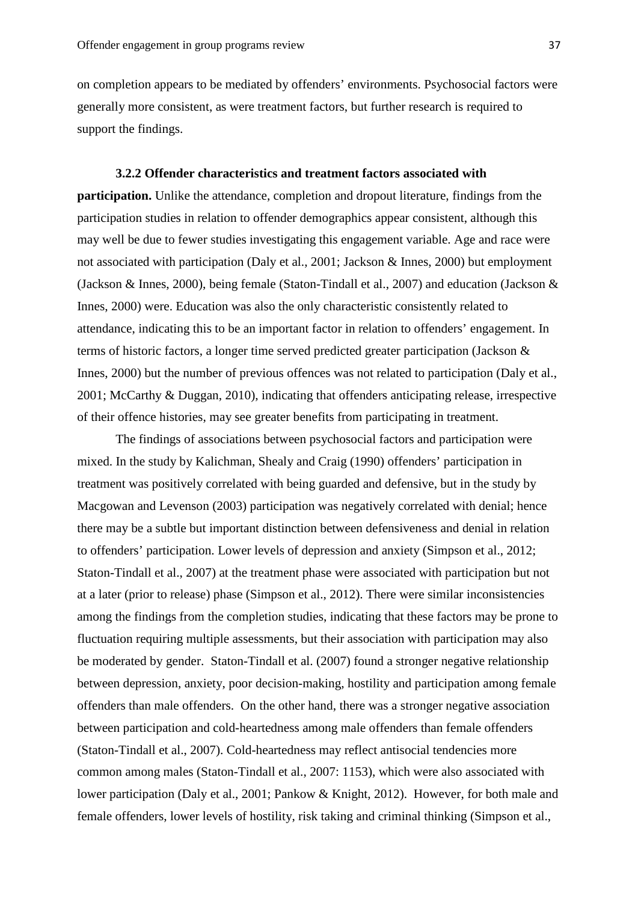on completion appears to be mediated by offenders' environments. Psychosocial factors were generally more consistent, as were treatment factors, but further research is required to support the findings.

# **3.2.2 Offender characteristics and treatment factors associated with**

**participation.** Unlike the attendance, completion and dropout literature, findings from the participation studies in relation to offender demographics appear consistent, although this may well be due to fewer studies investigating this engagement variable. Age and race were not associated with participation (Daly et al., 2001; Jackson & Innes, 2000) but employment (Jackson & Innes, 2000), being female (Staton-Tindall et al., 2007) and education (Jackson & Innes, 2000) were. Education was also the only characteristic consistently related to attendance, indicating this to be an important factor in relation to offenders' engagement. In terms of historic factors, a longer time served predicted greater participation (Jackson & Innes, 2000) but the number of previous offences was not related to participation (Daly et al., 2001; McCarthy & Duggan, 2010), indicating that offenders anticipating release, irrespective of their offence histories, may see greater benefits from participating in treatment.

The findings of associations between psychosocial factors and participation were mixed. In the study by Kalichman, Shealy and Craig (1990) offenders' participation in treatment was positively correlated with being guarded and defensive, but in the study by Macgowan and Levenson (2003) participation was negatively correlated with denial; hence there may be a subtle but important distinction between defensiveness and denial in relation to offenders' participation. Lower levels of depression and anxiety (Simpson et al., 2012; Staton-Tindall et al., 2007) at the treatment phase were associated with participation but not at a later (prior to release) phase (Simpson et al., 2012). There were similar inconsistencies among the findings from the completion studies, indicating that these factors may be prone to fluctuation requiring multiple assessments, but their association with participation may also be moderated by gender. Staton-Tindall et al. (2007) found a stronger negative relationship between depression, anxiety, poor decision-making, hostility and participation among female offenders than male offenders. On the other hand, there was a stronger negative association between participation and cold-heartedness among male offenders than female offenders (Staton-Tindall et al., 2007). Cold-heartedness may reflect antisocial tendencies more common among males (Staton-Tindall et al., 2007: 1153), which were also associated with lower participation (Daly et al., 2001; Pankow & Knight, 2012). However, for both male and female offenders, lower levels of hostility, risk taking and criminal thinking (Simpson et al.,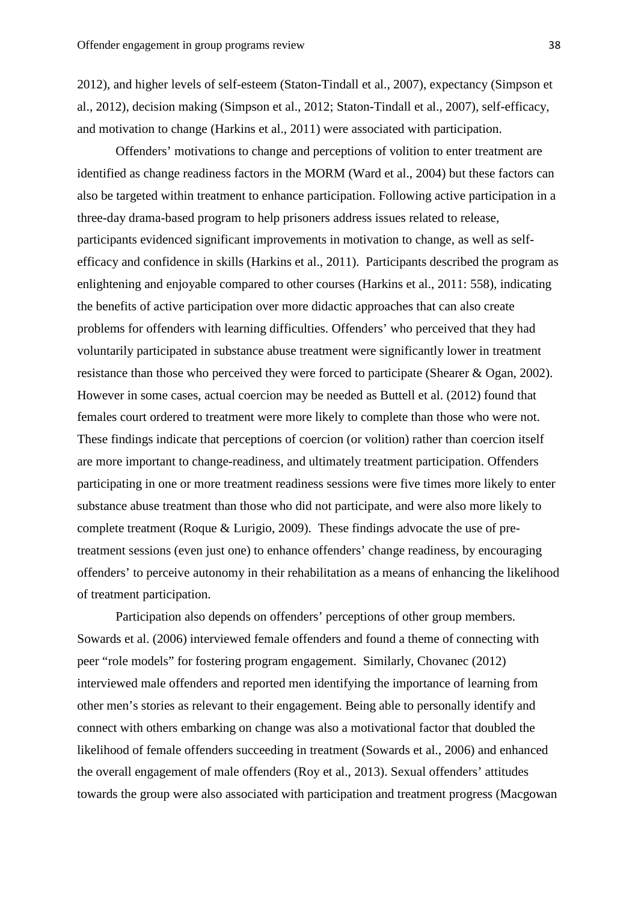2012), and higher levels of self-esteem (Staton-Tindall et al., 2007), expectancy (Simpson et al., 2012), decision making (Simpson et al., 2012; Staton-Tindall et al., 2007), self-efficacy, and motivation to change (Harkins et al., 2011) were associated with participation.

Offenders' motivations to change and perceptions of volition to enter treatment are identified as change readiness factors in the MORM (Ward et al., 2004) but these factors can also be targeted within treatment to enhance participation. Following active participation in a three-day drama-based program to help prisoners address issues related to release, participants evidenced significant improvements in motivation to change, as well as selfefficacy and confidence in skills (Harkins et al., 2011). Participants described the program as enlightening and enjoyable compared to other courses (Harkins et al., 2011: 558), indicating the benefits of active participation over more didactic approaches that can also create problems for offenders with learning difficulties. Offenders' who perceived that they had voluntarily participated in substance abuse treatment were significantly lower in treatment resistance than those who perceived they were forced to participate (Shearer & Ogan, 2002). However in some cases, actual coercion may be needed as Buttell et al. (2012) found that females court ordered to treatment were more likely to complete than those who were not. These findings indicate that perceptions of coercion (or volition) rather than coercion itself are more important to change-readiness, and ultimately treatment participation. Offenders participating in one or more treatment readiness sessions were five times more likely to enter substance abuse treatment than those who did not participate, and were also more likely to complete treatment (Roque & Lurigio, 2009). These findings advocate the use of pretreatment sessions (even just one) to enhance offenders' change readiness, by encouraging offenders' to perceive autonomy in their rehabilitation as a means of enhancing the likelihood of treatment participation.

Participation also depends on offenders' perceptions of other group members. Sowards et al. (2006) interviewed female offenders and found a theme of connecting with peer "role models" for fostering program engagement. Similarly, Chovanec (2012) interviewed male offenders and reported men identifying the importance of learning from other men's stories as relevant to their engagement. Being able to personally identify and connect with others embarking on change was also a motivational factor that doubled the likelihood of female offenders succeeding in treatment (Sowards et al., 2006) and enhanced the overall engagement of male offenders (Roy et al., 2013). Sexual offenders' attitudes towards the group were also associated with participation and treatment progress (Macgowan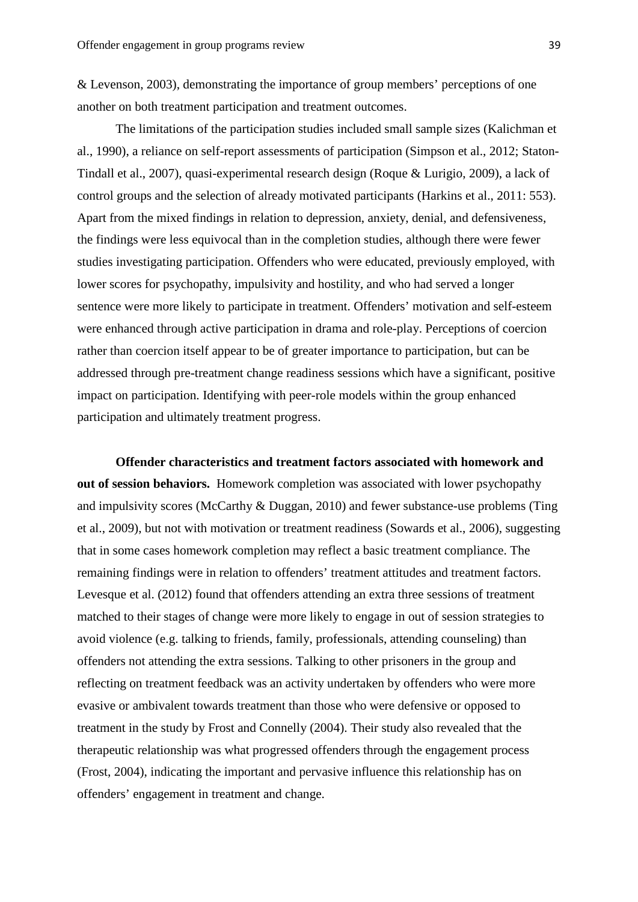& Levenson, 2003), demonstrating the importance of group members' perceptions of one another on both treatment participation and treatment outcomes.

The limitations of the participation studies included small sample sizes (Kalichman et al., 1990), a reliance on self-report assessments of participation (Simpson et al., 2012; Staton-Tindall et al., 2007), quasi-experimental research design (Roque & Lurigio, 2009), a lack of control groups and the selection of already motivated participants (Harkins et al., 2011: 553). Apart from the mixed findings in relation to depression, anxiety, denial, and defensiveness, the findings were less equivocal than in the completion studies, although there were fewer studies investigating participation. Offenders who were educated, previously employed, with lower scores for psychopathy, impulsivity and hostility, and who had served a longer sentence were more likely to participate in treatment. Offenders' motivation and self-esteem were enhanced through active participation in drama and role-play. Perceptions of coercion rather than coercion itself appear to be of greater importance to participation, but can be addressed through pre-treatment change readiness sessions which have a significant, positive impact on participation. Identifying with peer-role models within the group enhanced participation and ultimately treatment progress.

**Offender characteristics and treatment factors associated with homework and out of session behaviors.** Homework completion was associated with lower psychopathy and impulsivity scores (McCarthy & Duggan, 2010) and fewer substance-use problems (Ting et al., 2009), but not with motivation or treatment readiness (Sowards et al., 2006), suggesting that in some cases homework completion may reflect a basic treatment compliance. The remaining findings were in relation to offenders' treatment attitudes and treatment factors. Levesque et al. (2012) found that offenders attending an extra three sessions of treatment matched to their stages of change were more likely to engage in out of session strategies to avoid violence (e.g. talking to friends, family, professionals, attending counseling) than offenders not attending the extra sessions. Talking to other prisoners in the group and reflecting on treatment feedback was an activity undertaken by offenders who were more evasive or ambivalent towards treatment than those who were defensive or opposed to treatment in the study by Frost and Connelly (2004). Their study also revealed that the therapeutic relationship was what progressed offenders through the engagement process (Frost, 2004), indicating the important and pervasive influence this relationship has on offenders' engagement in treatment and change.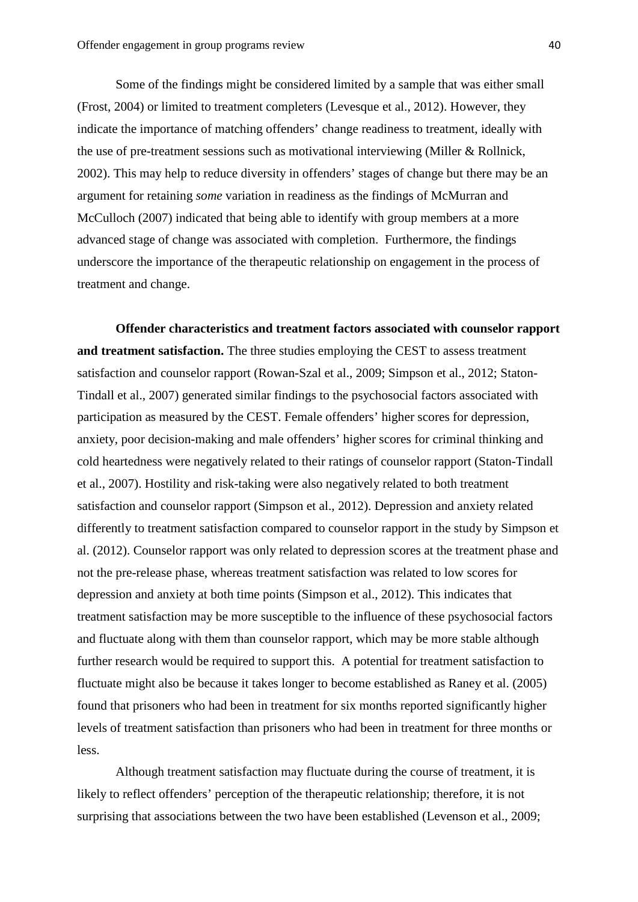Some of the findings might be considered limited by a sample that was either small (Frost, 2004) or limited to treatment completers (Levesque et al., 2012). However, they indicate the importance of matching offenders' change readiness to treatment, ideally with the use of pre-treatment sessions such as motivational interviewing (Miller & Rollnick, 2002). This may help to reduce diversity in offenders' stages of change but there may be an argument for retaining *some* variation in readiness as the findings of McMurran and McCulloch (2007) indicated that being able to identify with group members at a more advanced stage of change was associated with completion. Furthermore, the findings underscore the importance of the therapeutic relationship on engagement in the process of treatment and change.

**Offender characteristics and treatment factors associated with counselor rapport and treatment satisfaction.** The three studies employing the CEST to assess treatment satisfaction and counselor rapport (Rowan-Szal et al., 2009; Simpson et al., 2012; Staton-Tindall et al., 2007) generated similar findings to the psychosocial factors associated with participation as measured by the CEST. Female offenders' higher scores for depression, anxiety, poor decision-making and male offenders' higher scores for criminal thinking and cold heartedness were negatively related to their ratings of counselor rapport (Staton-Tindall et al., 2007). Hostility and risk-taking were also negatively related to both treatment satisfaction and counselor rapport (Simpson et al., 2012). Depression and anxiety related differently to treatment satisfaction compared to counselor rapport in the study by Simpson et al. (2012). Counselor rapport was only related to depression scores at the treatment phase and not the pre-release phase, whereas treatment satisfaction was related to low scores for depression and anxiety at both time points (Simpson et al., 2012). This indicates that treatment satisfaction may be more susceptible to the influence of these psychosocial factors and fluctuate along with them than counselor rapport, which may be more stable although further research would be required to support this. A potential for treatment satisfaction to fluctuate might also be because it takes longer to become established as Raney et al. (2005) found that prisoners who had been in treatment for six months reported significantly higher levels of treatment satisfaction than prisoners who had been in treatment for three months or less.

Although treatment satisfaction may fluctuate during the course of treatment, it is likely to reflect offenders' perception of the therapeutic relationship; therefore, it is not surprising that associations between the two have been established (Levenson et al., 2009;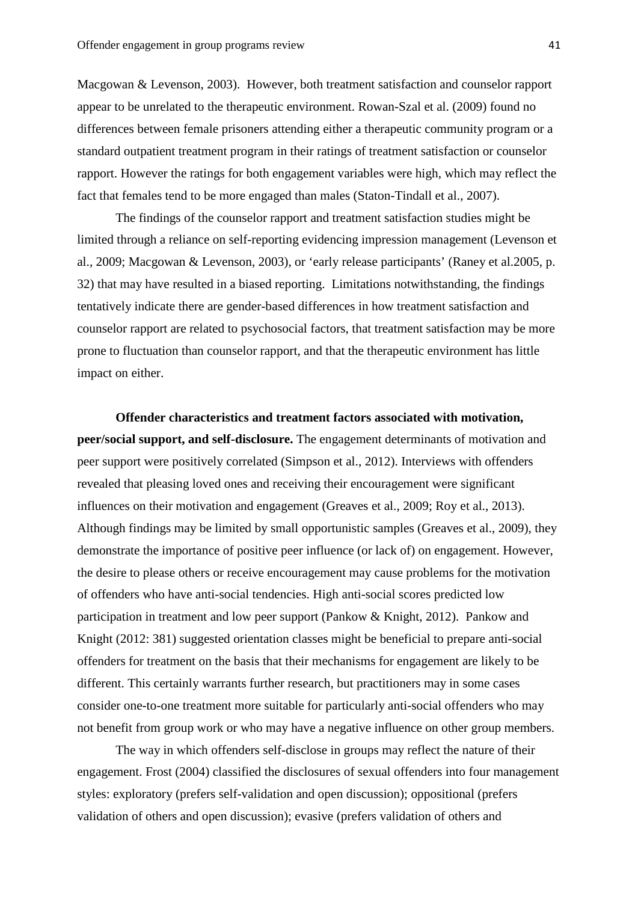Macgowan & Levenson, 2003). However, both treatment satisfaction and counselor rapport appear to be unrelated to the therapeutic environment. Rowan-Szal et al. (2009) found no differences between female prisoners attending either a therapeutic community program or a standard outpatient treatment program in their ratings of treatment satisfaction or counselor rapport. However the ratings for both engagement variables were high, which may reflect the fact that females tend to be more engaged than males (Staton-Tindall et al., 2007).

The findings of the counselor rapport and treatment satisfaction studies might be limited through a reliance on self-reporting evidencing impression management (Levenson et al., 2009; Macgowan & Levenson, 2003), or 'early release participants' (Raney et al.2005, p. 32) that may have resulted in a biased reporting. Limitations notwithstanding, the findings tentatively indicate there are gender-based differences in how treatment satisfaction and counselor rapport are related to psychosocial factors, that treatment satisfaction may be more prone to fluctuation than counselor rapport, and that the therapeutic environment has little impact on either.

**Offender characteristics and treatment factors associated with motivation, peer/social support, and self-disclosure.** The engagement determinants of motivation and peer support were positively correlated (Simpson et al., 2012). Interviews with offenders revealed that pleasing loved ones and receiving their encouragement were significant influences on their motivation and engagement (Greaves et al., 2009; Roy et al., 2013). Although findings may be limited by small opportunistic samples (Greaves et al., 2009), they demonstrate the importance of positive peer influence (or lack of) on engagement. However, the desire to please others or receive encouragement may cause problems for the motivation of offenders who have anti-social tendencies. High anti-social scores predicted low participation in treatment and low peer support (Pankow & Knight, 2012). Pankow and Knight (2012: 381) suggested orientation classes might be beneficial to prepare anti-social offenders for treatment on the basis that their mechanisms for engagement are likely to be different. This certainly warrants further research, but practitioners may in some cases consider one-to-one treatment more suitable for particularly anti-social offenders who may not benefit from group work or who may have a negative influence on other group members.

The way in which offenders self-disclose in groups may reflect the nature of their engagement. Frost (2004) classified the disclosures of sexual offenders into four management styles: exploratory (prefers self-validation and open discussion); oppositional (prefers validation of others and open discussion); evasive (prefers validation of others and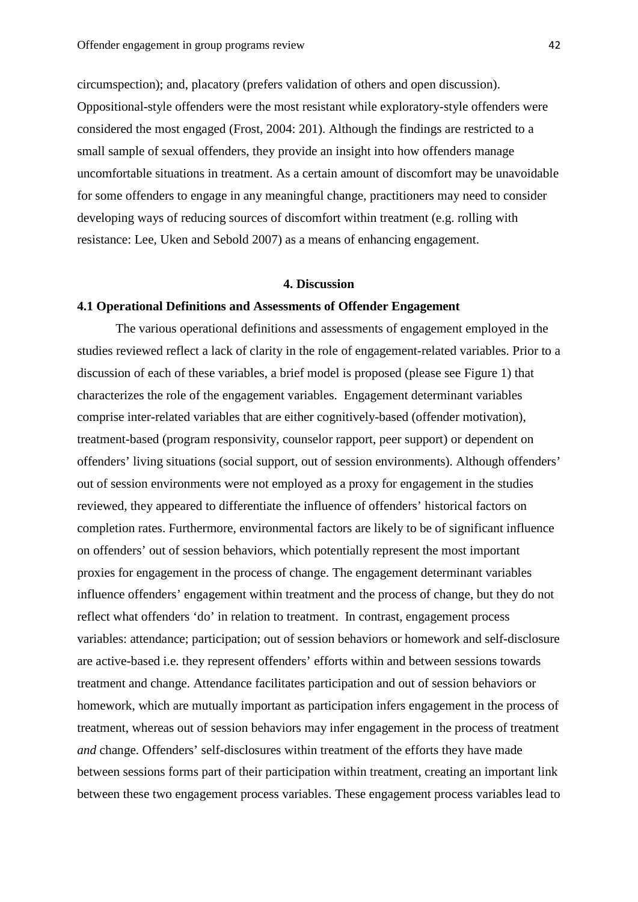circumspection); and, placatory (prefers validation of others and open discussion). Oppositional-style offenders were the most resistant while exploratory-style offenders were considered the most engaged (Frost, 2004: 201). Although the findings are restricted to a small sample of sexual offenders, they provide an insight into how offenders manage uncomfortable situations in treatment. As a certain amount of discomfort may be unavoidable for some offenders to engage in any meaningful change, practitioners may need to consider developing ways of reducing sources of discomfort within treatment (e.g. rolling with resistance: Lee, Uken and Sebold 2007) as a means of enhancing engagement.

### **4. Discussion**

### **4.1 Operational Definitions and Assessments of Offender Engagement**

The various operational definitions and assessments of engagement employed in the studies reviewed reflect a lack of clarity in the role of engagement-related variables. Prior to a discussion of each of these variables, a brief model is proposed (please see Figure 1) that characterizes the role of the engagement variables. Engagement determinant variables comprise inter-related variables that are either cognitively-based (offender motivation), treatment-based (program responsivity, counselor rapport, peer support) or dependent on offenders' living situations (social support, out of session environments). Although offenders' out of session environments were not employed as a proxy for engagement in the studies reviewed, they appeared to differentiate the influence of offenders' historical factors on completion rates. Furthermore, environmental factors are likely to be of significant influence on offenders' out of session behaviors, which potentially represent the most important proxies for engagement in the process of change. The engagement determinant variables influence offenders' engagement within treatment and the process of change, but they do not reflect what offenders 'do' in relation to treatment. In contrast, engagement process variables: attendance; participation; out of session behaviors or homework and self-disclosure are active-based i.e. they represent offenders' efforts within and between sessions towards treatment and change. Attendance facilitates participation and out of session behaviors or homework, which are mutually important as participation infers engagement in the process of treatment, whereas out of session behaviors may infer engagement in the process of treatment *and* change. Offenders' self-disclosures within treatment of the efforts they have made between sessions forms part of their participation within treatment, creating an important link between these two engagement process variables. These engagement process variables lead to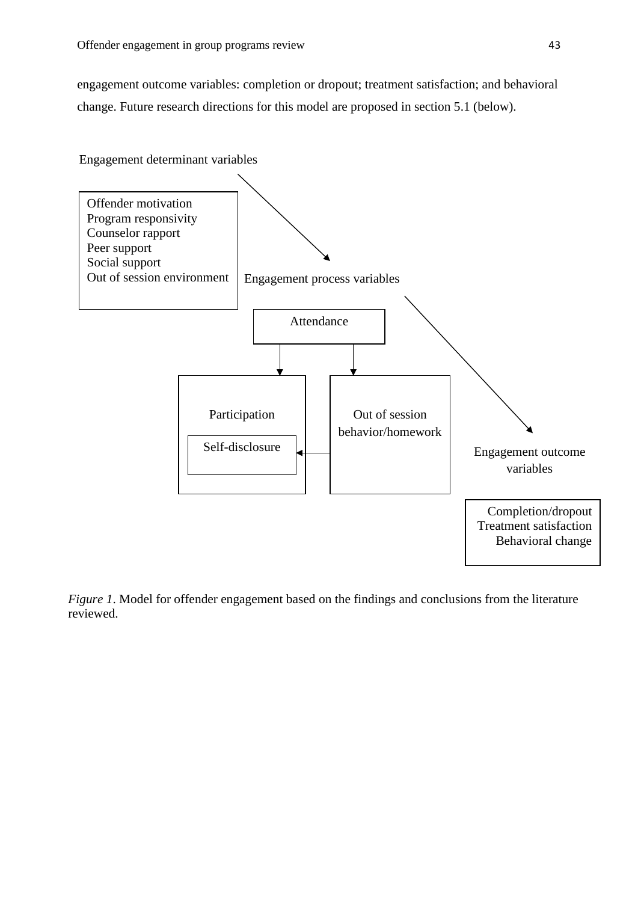engagement outcome variables: completion or dropout; treatment satisfaction; and behavioral change. Future research directions for this model are proposed in section 5.1 (below).



*Figure 1*. Model for offender engagement based on the findings and conclusions from the literature reviewed.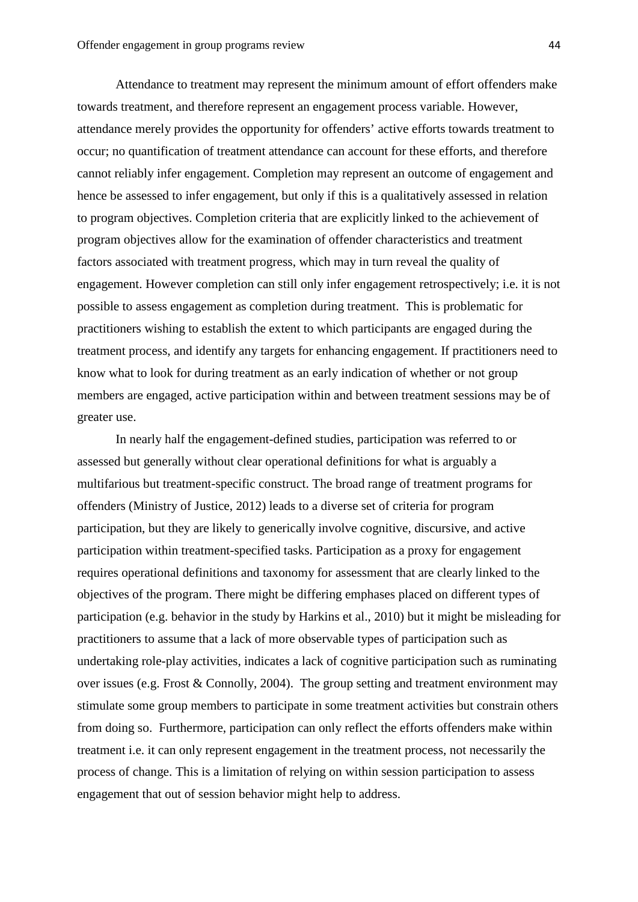Attendance to treatment may represent the minimum amount of effort offenders make towards treatment, and therefore represent an engagement process variable. However, attendance merely provides the opportunity for offenders' active efforts towards treatment to occur; no quantification of treatment attendance can account for these efforts, and therefore cannot reliably infer engagement. Completion may represent an outcome of engagement and hence be assessed to infer engagement, but only if this is a qualitatively assessed in relation to program objectives. Completion criteria that are explicitly linked to the achievement of program objectives allow for the examination of offender characteristics and treatment factors associated with treatment progress, which may in turn reveal the quality of engagement. However completion can still only infer engagement retrospectively; i.e. it is not possible to assess engagement as completion during treatment. This is problematic for practitioners wishing to establish the extent to which participants are engaged during the treatment process, and identify any targets for enhancing engagement. If practitioners need to know what to look for during treatment as an early indication of whether or not group members are engaged, active participation within and between treatment sessions may be of greater use.

In nearly half the engagement-defined studies, participation was referred to or assessed but generally without clear operational definitions for what is arguably a multifarious but treatment-specific construct. The broad range of treatment programs for offenders (Ministry of Justice, 2012) leads to a diverse set of criteria for program participation, but they are likely to generically involve cognitive, discursive, and active participation within treatment-specified tasks. Participation as a proxy for engagement requires operational definitions and taxonomy for assessment that are clearly linked to the objectives of the program. There might be differing emphases placed on different types of participation (e.g. behavior in the study by Harkins et al., 2010) but it might be misleading for practitioners to assume that a lack of more observable types of participation such as undertaking role-play activities, indicates a lack of cognitive participation such as ruminating over issues (e.g. Frost & Connolly, 2004). The group setting and treatment environment may stimulate some group members to participate in some treatment activities but constrain others from doing so. Furthermore, participation can only reflect the efforts offenders make within treatment i.e. it can only represent engagement in the treatment process, not necessarily the process of change. This is a limitation of relying on within session participation to assess engagement that out of session behavior might help to address.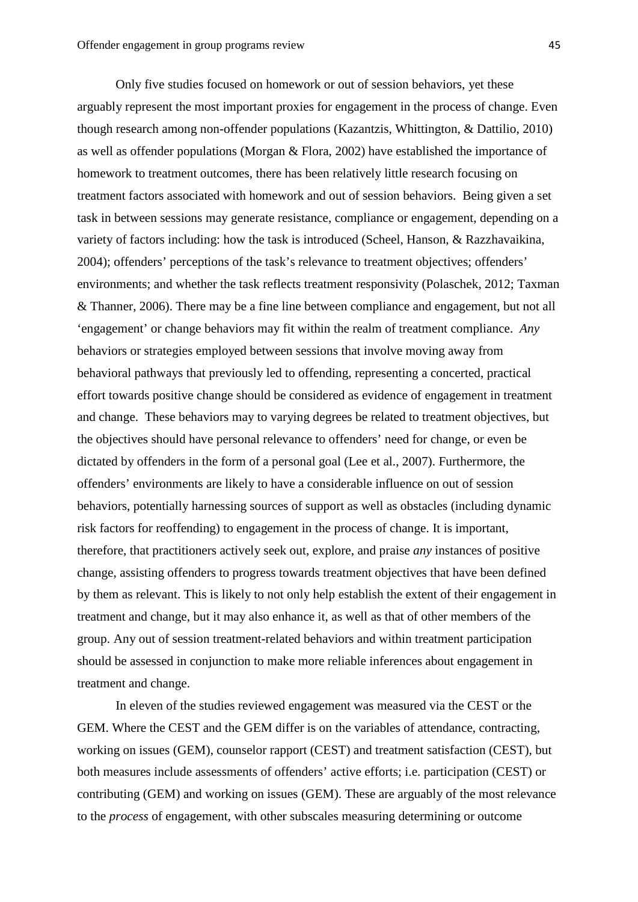Only five studies focused on homework or out of session behaviors, yet these arguably represent the most important proxies for engagement in the process of change. Even though research among non-offender populations (Kazantzis, Whittington, & Dattilio, 2010) as well as offender populations (Morgan & Flora, 2002) have established the importance of homework to treatment outcomes, there has been relatively little research focusing on treatment factors associated with homework and out of session behaviors. Being given a set task in between sessions may generate resistance, compliance or engagement, depending on a variety of factors including: how the task is introduced (Scheel, Hanson, & Razzhavaikina, 2004); offenders' perceptions of the task's relevance to treatment objectives; offenders' environments; and whether the task reflects treatment responsivity (Polaschek, 2012; Taxman & Thanner, 2006). There may be a fine line between compliance and engagement, but not all 'engagement' or change behaviors may fit within the realm of treatment compliance. *Any*  behaviors or strategies employed between sessions that involve moving away from behavioral pathways that previously led to offending, representing a concerted, practical effort towards positive change should be considered as evidence of engagement in treatment and change. These behaviors may to varying degrees be related to treatment objectives, but the objectives should have personal relevance to offenders' need for change, or even be dictated by offenders in the form of a personal goal (Lee et al., 2007). Furthermore, the offenders' environments are likely to have a considerable influence on out of session behaviors, potentially harnessing sources of support as well as obstacles (including dynamic risk factors for reoffending) to engagement in the process of change. It is important, therefore, that practitioners actively seek out, explore, and praise *any* instances of positive change, assisting offenders to progress towards treatment objectives that have been defined by them as relevant. This is likely to not only help establish the extent of their engagement in treatment and change, but it may also enhance it, as well as that of other members of the group. Any out of session treatment-related behaviors and within treatment participation should be assessed in conjunction to make more reliable inferences about engagement in treatment and change.

In eleven of the studies reviewed engagement was measured via the CEST or the GEM. Where the CEST and the GEM differ is on the variables of attendance, contracting, working on issues (GEM), counselor rapport (CEST) and treatment satisfaction (CEST), but both measures include assessments of offenders' active efforts; i.e. participation (CEST) or contributing (GEM) and working on issues (GEM). These are arguably of the most relevance to the *process* of engagement, with other subscales measuring determining or outcome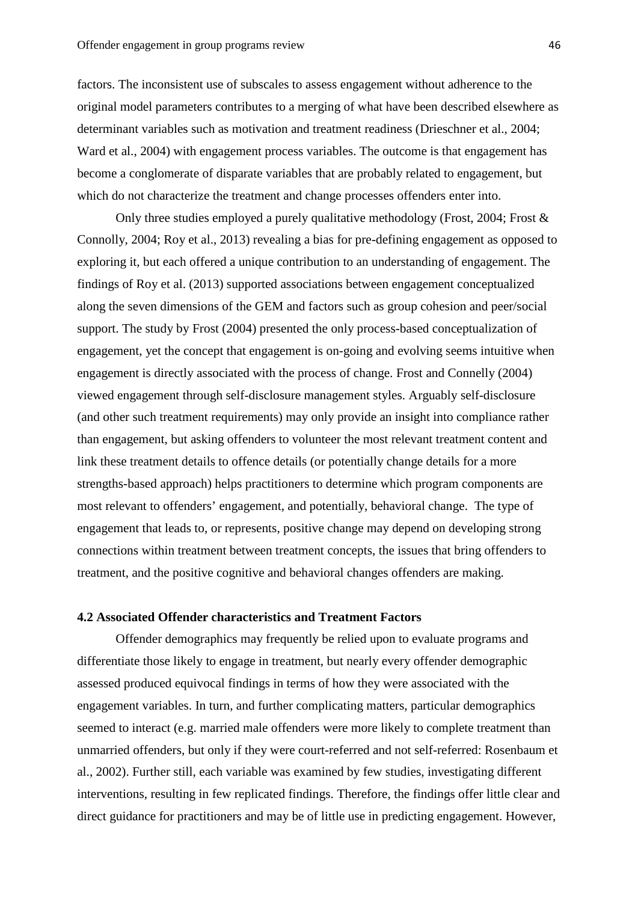factors. The inconsistent use of subscales to assess engagement without adherence to the original model parameters contributes to a merging of what have been described elsewhere as determinant variables such as motivation and treatment readiness (Drieschner et al., 2004; Ward et al., 2004) with engagement process variables. The outcome is that engagement has become a conglomerate of disparate variables that are probably related to engagement, but which do not characterize the treatment and change processes offenders enter into.

Only three studies employed a purely qualitative methodology (Frost, 2004; Frost  $\&$ Connolly, 2004; Roy et al., 2013) revealing a bias for pre-defining engagement as opposed to exploring it, but each offered a unique contribution to an understanding of engagement. The findings of Roy et al. (2013) supported associations between engagement conceptualized along the seven dimensions of the GEM and factors such as group cohesion and peer/social support. The study by Frost (2004) presented the only process-based conceptualization of engagement, yet the concept that engagement is on-going and evolving seems intuitive when engagement is directly associated with the process of change. Frost and Connelly (2004) viewed engagement through self-disclosure management styles. Arguably self-disclosure (and other such treatment requirements) may only provide an insight into compliance rather than engagement, but asking offenders to volunteer the most relevant treatment content and link these treatment details to offence details (or potentially change details for a more strengths-based approach) helps practitioners to determine which program components are most relevant to offenders' engagement, and potentially, behavioral change. The type of engagement that leads to, or represents, positive change may depend on developing strong connections within treatment between treatment concepts, the issues that bring offenders to treatment, and the positive cognitive and behavioral changes offenders are making.

# **4.2 Associated Offender characteristics and Treatment Factors**

Offender demographics may frequently be relied upon to evaluate programs and differentiate those likely to engage in treatment, but nearly every offender demographic assessed produced equivocal findings in terms of how they were associated with the engagement variables. In turn, and further complicating matters, particular demographics seemed to interact (e.g. married male offenders were more likely to complete treatment than unmarried offenders, but only if they were court-referred and not self-referred: Rosenbaum et al., 2002). Further still, each variable was examined by few studies, investigating different interventions, resulting in few replicated findings. Therefore, the findings offer little clear and direct guidance for practitioners and may be of little use in predicting engagement. However,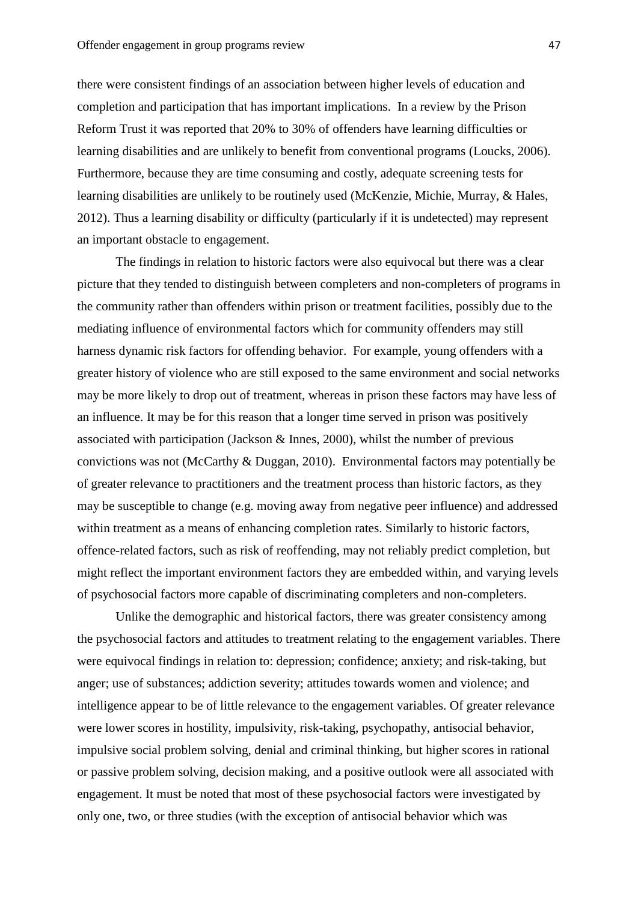there were consistent findings of an association between higher levels of education and completion and participation that has important implications. In a review by the Prison Reform Trust it was reported that 20% to 30% of offenders have learning difficulties or learning disabilities and are unlikely to benefit from conventional programs (Loucks, 2006). Furthermore, because they are time consuming and costly, adequate screening tests for learning disabilities are unlikely to be routinely used (McKenzie, Michie, Murray, & Hales, 2012). Thus a learning disability or difficulty (particularly if it is undetected) may represent an important obstacle to engagement.

The findings in relation to historic factors were also equivocal but there was a clear picture that they tended to distinguish between completers and non-completers of programs in the community rather than offenders within prison or treatment facilities, possibly due to the mediating influence of environmental factors which for community offenders may still harness dynamic risk factors for offending behavior. For example, young offenders with a greater history of violence who are still exposed to the same environment and social networks may be more likely to drop out of treatment, whereas in prison these factors may have less of an influence. It may be for this reason that a longer time served in prison was positively associated with participation (Jackson & Innes, 2000), whilst the number of previous convictions was not (McCarthy & Duggan, 2010). Environmental factors may potentially be of greater relevance to practitioners and the treatment process than historic factors, as they may be susceptible to change (e.g. moving away from negative peer influence) and addressed within treatment as a means of enhancing completion rates. Similarly to historic factors, offence-related factors, such as risk of reoffending, may not reliably predict completion, but might reflect the important environment factors they are embedded within, and varying levels of psychosocial factors more capable of discriminating completers and non-completers.

Unlike the demographic and historical factors, there was greater consistency among the psychosocial factors and attitudes to treatment relating to the engagement variables. There were equivocal findings in relation to: depression; confidence; anxiety; and risk-taking, but anger; use of substances; addiction severity; attitudes towards women and violence; and intelligence appear to be of little relevance to the engagement variables. Of greater relevance were lower scores in hostility, impulsivity, risk-taking, psychopathy, antisocial behavior, impulsive social problem solving, denial and criminal thinking, but higher scores in rational or passive problem solving, decision making, and a positive outlook were all associated with engagement. It must be noted that most of these psychosocial factors were investigated by only one, two, or three studies (with the exception of antisocial behavior which was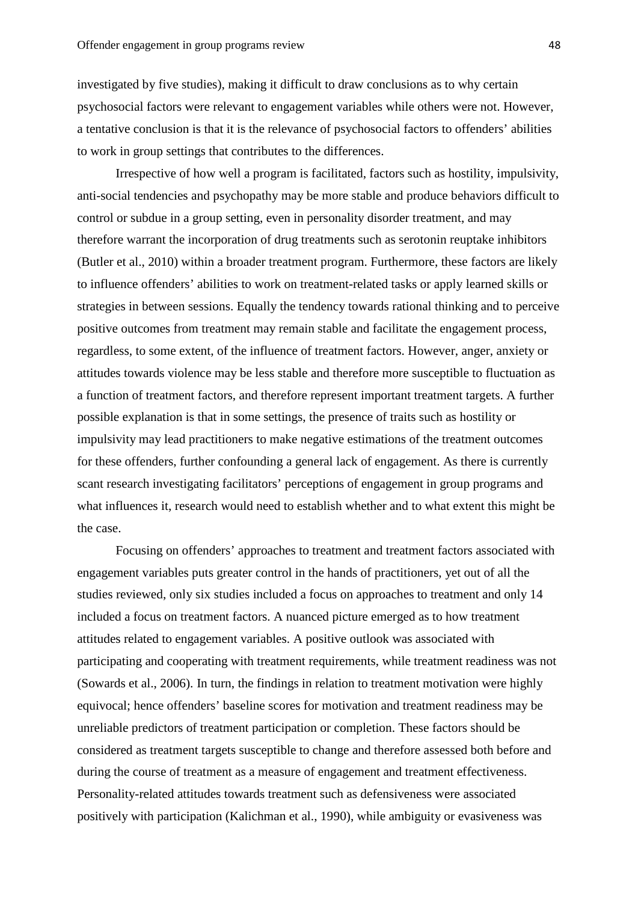investigated by five studies), making it difficult to draw conclusions as to why certain psychosocial factors were relevant to engagement variables while others were not. However, a tentative conclusion is that it is the relevance of psychosocial factors to offenders' abilities to work in group settings that contributes to the differences.

Irrespective of how well a program is facilitated, factors such as hostility, impulsivity, anti-social tendencies and psychopathy may be more stable and produce behaviors difficult to control or subdue in a group setting, even in personality disorder treatment, and may therefore warrant the incorporation of drug treatments such as serotonin reuptake inhibitors (Butler et al., 2010) within a broader treatment program. Furthermore, these factors are likely to influence offenders' abilities to work on treatment-related tasks or apply learned skills or strategies in between sessions. Equally the tendency towards rational thinking and to perceive positive outcomes from treatment may remain stable and facilitate the engagement process, regardless, to some extent, of the influence of treatment factors. However, anger, anxiety or attitudes towards violence may be less stable and therefore more susceptible to fluctuation as a function of treatment factors, and therefore represent important treatment targets. A further possible explanation is that in some settings, the presence of traits such as hostility or impulsivity may lead practitioners to make negative estimations of the treatment outcomes for these offenders, further confounding a general lack of engagement. As there is currently scant research investigating facilitators' perceptions of engagement in group programs and what influences it, research would need to establish whether and to what extent this might be the case.

Focusing on offenders' approaches to treatment and treatment factors associated with engagement variables puts greater control in the hands of practitioners, yet out of all the studies reviewed, only six studies included a focus on approaches to treatment and only 14 included a focus on treatment factors. A nuanced picture emerged as to how treatment attitudes related to engagement variables. A positive outlook was associated with participating and cooperating with treatment requirements, while treatment readiness was not (Sowards et al., 2006). In turn, the findings in relation to treatment motivation were highly equivocal; hence offenders' baseline scores for motivation and treatment readiness may be unreliable predictors of treatment participation or completion. These factors should be considered as treatment targets susceptible to change and therefore assessed both before and during the course of treatment as a measure of engagement and treatment effectiveness. Personality-related attitudes towards treatment such as defensiveness were associated positively with participation (Kalichman et al., 1990), while ambiguity or evasiveness was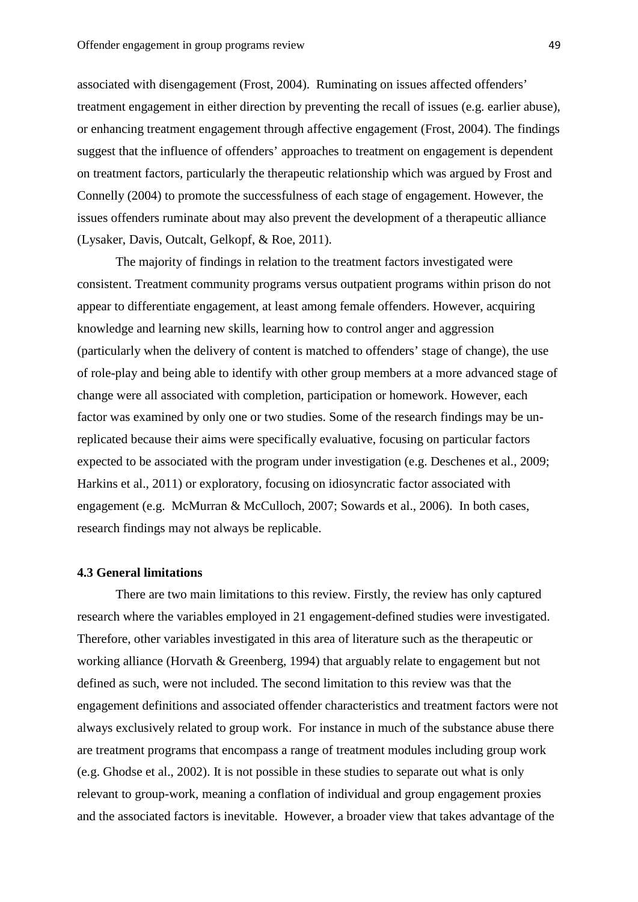associated with disengagement (Frost, 2004). Ruminating on issues affected offenders' treatment engagement in either direction by preventing the recall of issues (e.g. earlier abuse), or enhancing treatment engagement through affective engagement (Frost, 2004). The findings suggest that the influence of offenders' approaches to treatment on engagement is dependent on treatment factors, particularly the therapeutic relationship which was argued by Frost and Connelly (2004) to promote the successfulness of each stage of engagement. However, the issues offenders ruminate about may also prevent the development of a therapeutic alliance (Lysaker, Davis, Outcalt, Gelkopf, & Roe, 2011).

The majority of findings in relation to the treatment factors investigated were consistent. Treatment community programs versus outpatient programs within prison do not appear to differentiate engagement, at least among female offenders. However, acquiring knowledge and learning new skills, learning how to control anger and aggression (particularly when the delivery of content is matched to offenders' stage of change), the use of role-play and being able to identify with other group members at a more advanced stage of change were all associated with completion, participation or homework. However, each factor was examined by only one or two studies. Some of the research findings may be unreplicated because their aims were specifically evaluative, focusing on particular factors expected to be associated with the program under investigation (e.g. Deschenes et al., 2009; Harkins et al., 2011) or exploratory, focusing on idiosyncratic factor associated with engagement (e.g. McMurran & McCulloch, 2007; Sowards et al., 2006). In both cases, research findings may not always be replicable.

### **4.3 General limitations**

There are two main limitations to this review. Firstly, the review has only captured research where the variables employed in 21 engagement-defined studies were investigated. Therefore, other variables investigated in this area of literature such as the therapeutic or working alliance (Horvath & Greenberg, 1994) that arguably relate to engagement but not defined as such, were not included. The second limitation to this review was that the engagement definitions and associated offender characteristics and treatment factors were not always exclusively related to group work. For instance in much of the substance abuse there are treatment programs that encompass a range of treatment modules including group work (e.g. Ghodse et al., 2002). It is not possible in these studies to separate out what is only relevant to group-work, meaning a conflation of individual and group engagement proxies and the associated factors is inevitable. However, a broader view that takes advantage of the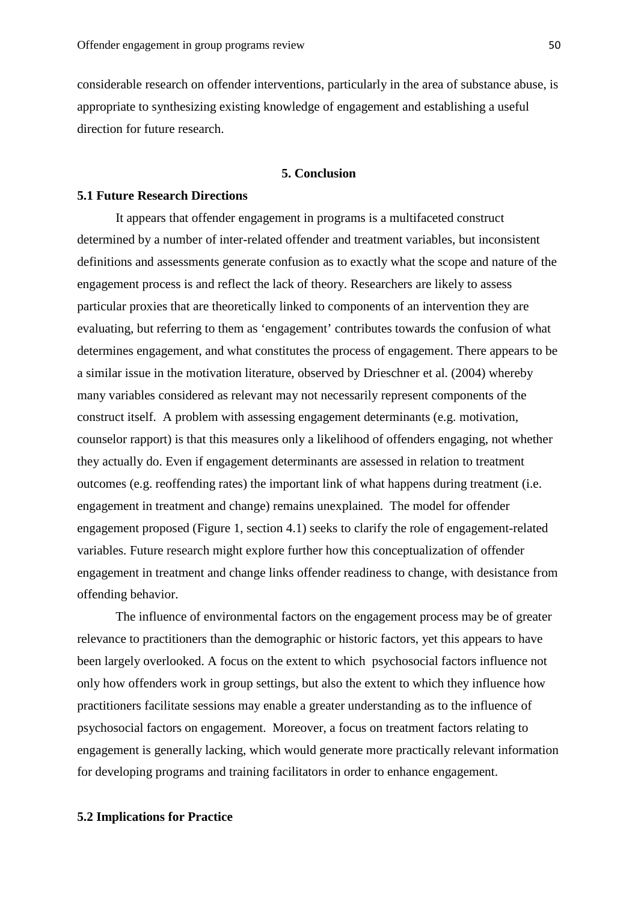considerable research on offender interventions, particularly in the area of substance abuse, is appropriate to synthesizing existing knowledge of engagement and establishing a useful direction for future research.

# **5. Conclusion**

### **5.1 Future Research Directions**

It appears that offender engagement in programs is a multifaceted construct determined by a number of inter-related offender and treatment variables, but inconsistent definitions and assessments generate confusion as to exactly what the scope and nature of the engagement process is and reflect the lack of theory. Researchers are likely to assess particular proxies that are theoretically linked to components of an intervention they are evaluating, but referring to them as 'engagement' contributes towards the confusion of what determines engagement, and what constitutes the process of engagement. There appears to be a similar issue in the motivation literature, observed by Drieschner et al. (2004) whereby many variables considered as relevant may not necessarily represent components of the construct itself. A problem with assessing engagement determinants (e.g. motivation, counselor rapport) is that this measures only a likelihood of offenders engaging, not whether they actually do. Even if engagement determinants are assessed in relation to treatment outcomes (e.g. reoffending rates) the important link of what happens during treatment (i.e. engagement in treatment and change) remains unexplained. The model for offender engagement proposed (Figure 1, section 4.1) seeks to clarify the role of engagement-related variables. Future research might explore further how this conceptualization of offender engagement in treatment and change links offender readiness to change, with desistance from offending behavior.

The influence of environmental factors on the engagement process may be of greater relevance to practitioners than the demographic or historic factors, yet this appears to have been largely overlooked. A focus on the extent to which psychosocial factors influence not only how offenders work in group settings, but also the extent to which they influence how practitioners facilitate sessions may enable a greater understanding as to the influence of psychosocial factors on engagement. Moreover, a focus on treatment factors relating to engagement is generally lacking, which would generate more practically relevant information for developing programs and training facilitators in order to enhance engagement.

### **5.2 Implications for Practice**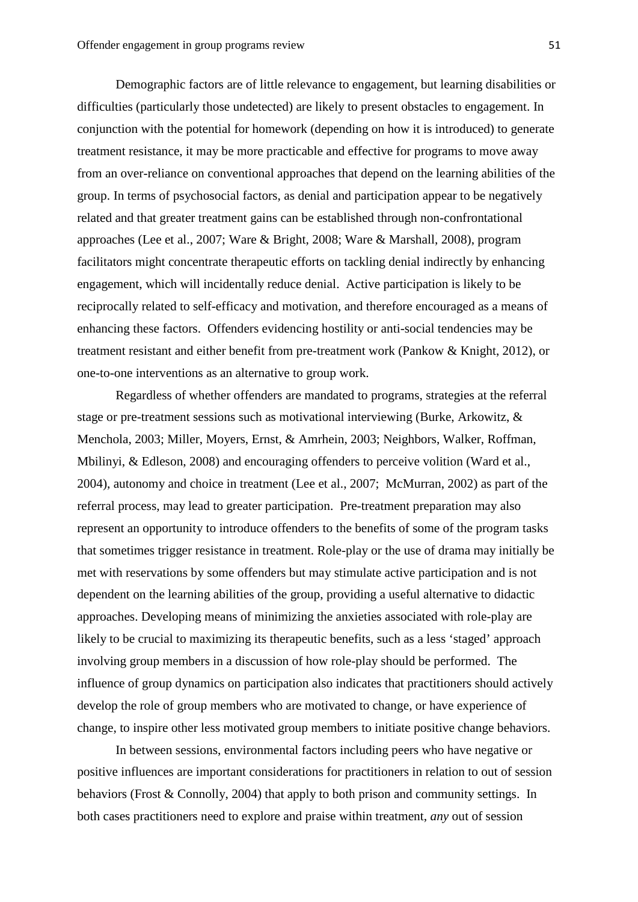Demographic factors are of little relevance to engagement, but learning disabilities or difficulties (particularly those undetected) are likely to present obstacles to engagement. In conjunction with the potential for homework (depending on how it is introduced) to generate treatment resistance, it may be more practicable and effective for programs to move away from an over-reliance on conventional approaches that depend on the learning abilities of the group. In terms of psychosocial factors, as denial and participation appear to be negatively related and that greater treatment gains can be established through non-confrontational approaches (Lee et al., 2007; Ware & Bright, 2008; Ware & Marshall, 2008), program facilitators might concentrate therapeutic efforts on tackling denial indirectly by enhancing engagement, which will incidentally reduce denial. Active participation is likely to be reciprocally related to self-efficacy and motivation, and therefore encouraged as a means of enhancing these factors. Offenders evidencing hostility or anti-social tendencies may be treatment resistant and either benefit from pre-treatment work (Pankow & Knight, 2012), or one-to-one interventions as an alternative to group work.

Regardless of whether offenders are mandated to programs, strategies at the referral stage or pre-treatment sessions such as motivational interviewing (Burke, Arkowitz, & Menchola, 2003; Miller, Moyers, Ernst, & Amrhein, 2003; Neighbors, Walker, Roffman, Mbilinyi, & Edleson, 2008) and encouraging offenders to perceive volition (Ward et al., 2004), autonomy and choice in treatment (Lee et al., 2007; McMurran, 2002) as part of the referral process, may lead to greater participation. Pre-treatment preparation may also represent an opportunity to introduce offenders to the benefits of some of the program tasks that sometimes trigger resistance in treatment. Role-play or the use of drama may initially be met with reservations by some offenders but may stimulate active participation and is not dependent on the learning abilities of the group, providing a useful alternative to didactic approaches. Developing means of minimizing the anxieties associated with role-play are likely to be crucial to maximizing its therapeutic benefits, such as a less 'staged' approach involving group members in a discussion of how role-play should be performed. The influence of group dynamics on participation also indicates that practitioners should actively develop the role of group members who are motivated to change, or have experience of change, to inspire other less motivated group members to initiate positive change behaviors.

In between sessions, environmental factors including peers who have negative or positive influences are important considerations for practitioners in relation to out of session behaviors (Frost & Connolly, 2004) that apply to both prison and community settings. In both cases practitioners need to explore and praise within treatment, *any* out of session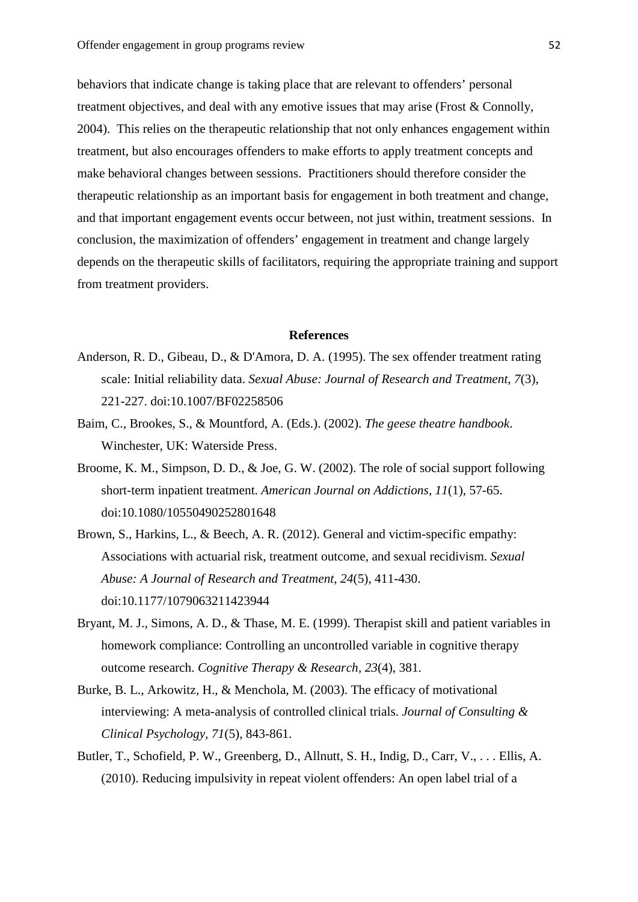behaviors that indicate change is taking place that are relevant to offenders' personal treatment objectives, and deal with any emotive issues that may arise (Frost & Connolly, 2004). This relies on the therapeutic relationship that not only enhances engagement within treatment, but also encourages offenders to make efforts to apply treatment concepts and make behavioral changes between sessions. Practitioners should therefore consider the therapeutic relationship as an important basis for engagement in both treatment and change, and that important engagement events occur between, not just within, treatment sessions. In conclusion, the maximization of offenders' engagement in treatment and change largely depends on the therapeutic skills of facilitators, requiring the appropriate training and support from treatment providers.

### **References**

- Anderson, R. D., Gibeau, D., & D'Amora, D. A. (1995). The sex offender treatment rating scale: Initial reliability data. *Sexual Abuse: Journal of Research and Treatment, 7*(3), 221-227. doi:10.1007/BF02258506
- Baim, C., Brookes, S., & Mountford, A. (Eds.). (2002). *The geese theatre handbook*. Winchester, UK: Waterside Press.
- Broome, K. M., Simpson, D. D., & Joe, G. W. (2002). The role of social support following short-term inpatient treatment. *American Journal on Addictions, 11*(1), 57-65. doi:10.1080/10550490252801648
- Brown, S., Harkins, L., & Beech, A. R. (2012). General and victim-specific empathy: Associations with actuarial risk, treatment outcome, and sexual recidivism. *Sexual Abuse: A Journal of Research and Treatment, 24*(5), 411-430. doi:10.1177/1079063211423944
- Bryant, M. J., Simons, A. D., & Thase, M. E. (1999). Therapist skill and patient variables in homework compliance: Controlling an uncontrolled variable in cognitive therapy outcome research. *Cognitive Therapy & Research, 23*(4), 381.
- Burke, B. L., Arkowitz, H., & Menchola, M. (2003). The efficacy of motivational interviewing: A meta-analysis of controlled clinical trials. *Journal of Consulting & Clinical Psychology, 71*(5), 843-861.
- Butler, T., Schofield, P. W., Greenberg, D., Allnutt, S. H., Indig, D., Carr, V., . . . Ellis, A. (2010). Reducing impulsivity in repeat violent offenders: An open label trial of a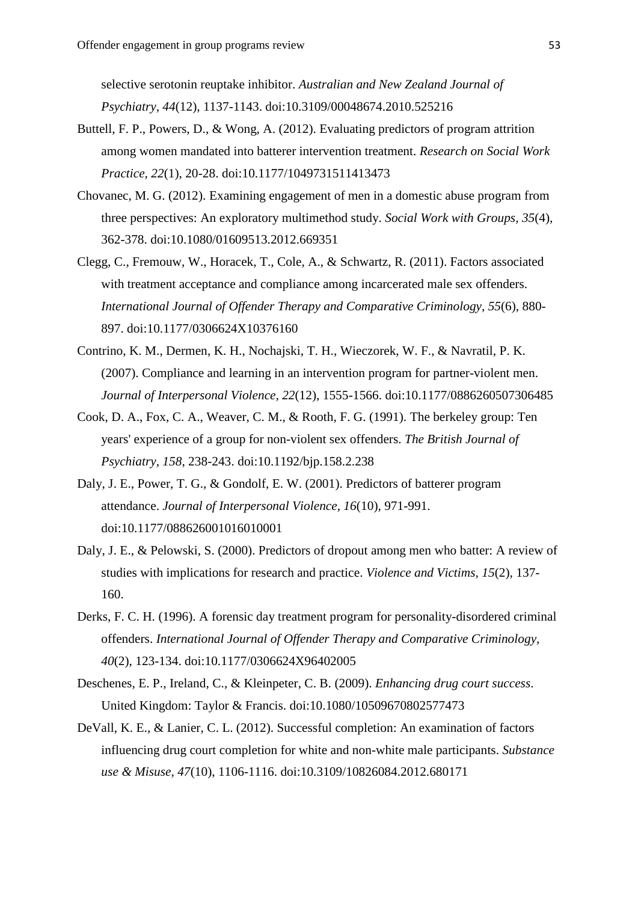selective serotonin reuptake inhibitor. *Australian and New Zealand Journal of Psychiatry, 44*(12), 1137-1143. doi:10.3109/00048674.2010.525216

- Buttell, F. P., Powers, D., & Wong, A. (2012). Evaluating predictors of program attrition among women mandated into batterer intervention treatment. *Research on Social Work Practice, 22*(1), 20-28. doi:10.1177/1049731511413473
- Chovanec, M. G. (2012). Examining engagement of men in a domestic abuse program from three perspectives: An exploratory multimethod study. *Social Work with Groups, 35*(4), 362-378. doi:10.1080/01609513.2012.669351
- Clegg, C., Fremouw, W., Horacek, T., Cole, A., & Schwartz, R. (2011). Factors associated with treatment acceptance and compliance among incarcerated male sex offenders. *International Journal of Offender Therapy and Comparative Criminology, 55*(6), 880- 897. doi:10.1177/0306624X10376160
- Contrino, K. M., Dermen, K. H., Nochajski, T. H., Wieczorek, W. F., & Navratil, P. K. (2007). Compliance and learning in an intervention program for partner-violent men. *Journal of Interpersonal Violence, 22*(12), 1555-1566. doi:10.1177/0886260507306485
- Cook, D. A., Fox, C. A., Weaver, C. M., & Rooth, F. G. (1991). The berkeley group: Ten years' experience of a group for non-violent sex offenders. *The British Journal of Psychiatry, 158*, 238-243. doi:10.1192/bjp.158.2.238
- Daly, J. E., Power, T. G., & Gondolf, E. W. (2001). Predictors of batterer program attendance. *Journal of Interpersonal Violence, 16*(10), 971-991. doi:10.1177/088626001016010001
- Daly, J. E., & Pelowski, S. (2000). Predictors of dropout among men who batter: A review of studies with implications for research and practice. *Violence and Victims, 15*(2), 137- 160.
- Derks, F. C. H. (1996). A forensic day treatment program for personality-disordered criminal offenders. *International Journal of Offender Therapy and Comparative Criminology, 40*(2), 123-134. doi:10.1177/0306624X96402005
- Deschenes, E. P., Ireland, C., & Kleinpeter, C. B. (2009). *Enhancing drug court success*. United Kingdom: Taylor & Francis. doi:10.1080/10509670802577473
- DeVall, K. E., & Lanier, C. L. (2012). Successful completion: An examination of factors influencing drug court completion for white and non-white male participants. *Substance use & Misuse, 47*(10), 1106-1116. doi:10.3109/10826084.2012.680171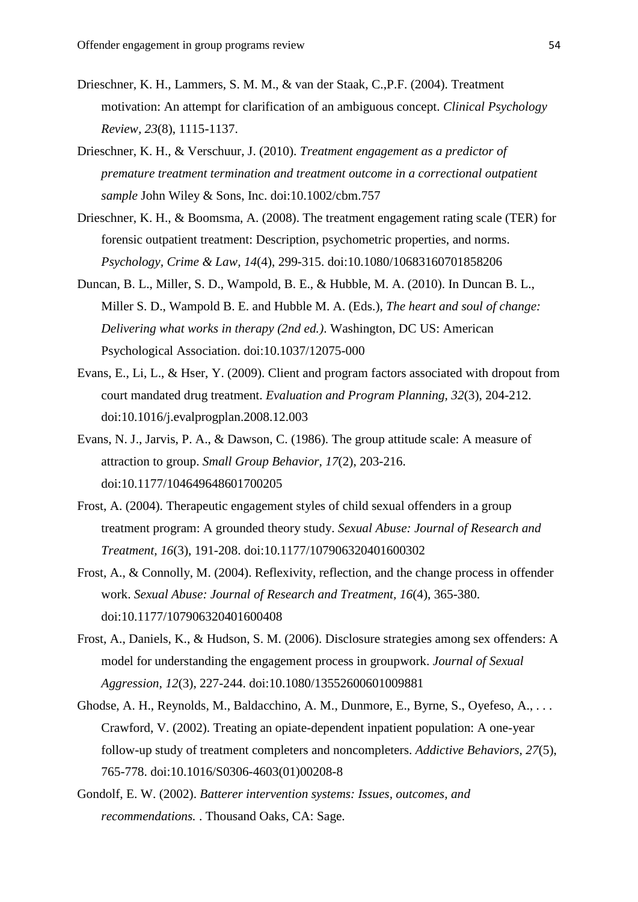- Drieschner, K. H., Lammers, S. M. M., & van der Staak, C.,P.F. (2004). Treatment motivation: An attempt for clarification of an ambiguous concept. *Clinical Psychology Review, 23*(8), 1115-1137.
- Drieschner, K. H., & Verschuur, J. (2010). *Treatment engagement as a predictor of premature treatment termination and treatment outcome in a correctional outpatient sample* John Wiley & Sons, Inc. doi:10.1002/cbm.757
- Drieschner, K. H., & Boomsma, A. (2008). The treatment engagement rating scale (TER) for forensic outpatient treatment: Description, psychometric properties, and norms. *Psychology, Crime & Law, 14*(4), 299-315. doi:10.1080/10683160701858206
- Duncan, B. L., Miller, S. D., Wampold, B. E., & Hubble, M. A. (2010). In Duncan B. L., Miller S. D., Wampold B. E. and Hubble M. A. (Eds.), *The heart and soul of change: Delivering what works in therapy (2nd ed.)*. Washington, DC US: American Psychological Association. doi:10.1037/12075-000
- Evans, E., Li, L., & Hser, Y. (2009). Client and program factors associated with dropout from court mandated drug treatment. *Evaluation and Program Planning, 32*(3), 204-212. doi:10.1016/j.evalprogplan.2008.12.003
- Evans, N. J., Jarvis, P. A., & Dawson, C. (1986). The group attitude scale: A measure of attraction to group. *Small Group Behavior, 17*(2), 203-216. doi:10.1177/104649648601700205
- Frost, A. (2004). Therapeutic engagement styles of child sexual offenders in a group treatment program: A grounded theory study. *Sexual Abuse: Journal of Research and Treatment, 16*(3), 191-208. doi:10.1177/107906320401600302
- Frost, A., & Connolly, M. (2004). Reflexivity, reflection, and the change process in offender work. *Sexual Abuse: Journal of Research and Treatment, 16*(4), 365-380. doi:10.1177/107906320401600408
- Frost, A., Daniels, K., & Hudson, S. M. (2006). Disclosure strategies among sex offenders: A model for understanding the engagement process in groupwork. *Journal of Sexual Aggression, 12*(3), 227-244. doi:10.1080/13552600601009881
- Ghodse, A. H., Reynolds, M., Baldacchino, A. M., Dunmore, E., Byrne, S., Oyefeso, A., . . . Crawford, V. (2002). Treating an opiate-dependent inpatient population: A one-year follow-up study of treatment completers and noncompleters. *Addictive Behaviors, 27*(5), 765-778. doi:10.1016/S0306-4603(01)00208-8
- Gondolf, E. W. (2002). *Batterer intervention systems: Issues, outcomes, and recommendations.* . Thousand Oaks, CA: Sage.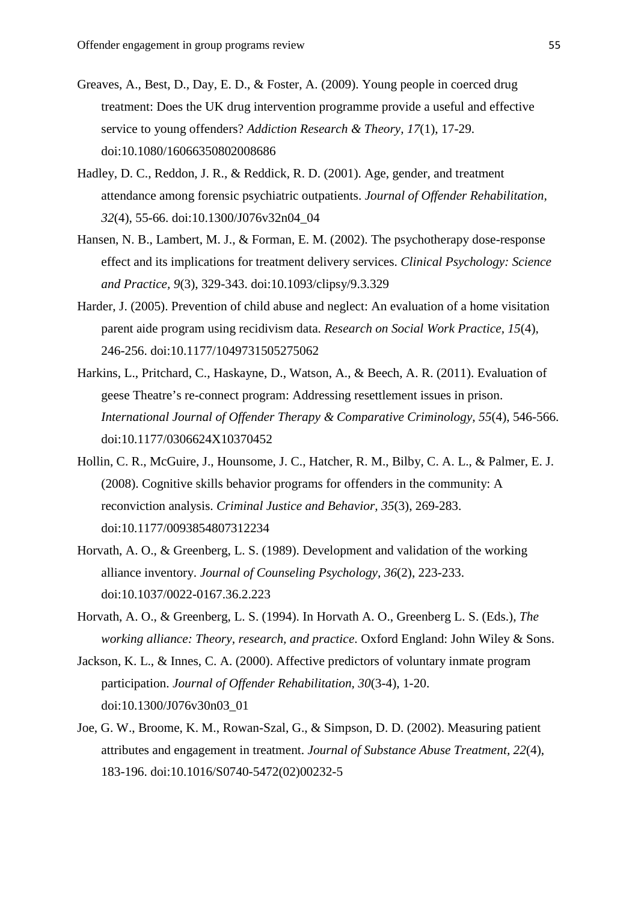- Greaves, A., Best, D., Day, E. D., & Foster, A. (2009). Young people in coerced drug treatment: Does the UK drug intervention programme provide a useful and effective service to young offenders? *Addiction Research & Theory, 17*(1), 17-29. doi:10.1080/16066350802008686
- Hadley, D. C., Reddon, J. R., & Reddick, R. D. (2001). Age, gender, and treatment attendance among forensic psychiatric outpatients. *Journal of Offender Rehabilitation, 32*(4), 55-66. doi:10.1300/J076v32n04\_04
- Hansen, N. B., Lambert, M. J., & Forman, E. M. (2002). The psychotherapy dose-response effect and its implications for treatment delivery services. *Clinical Psychology: Science and Practice, 9*(3), 329-343. doi:10.1093/clipsy/9.3.329
- Harder, J. (2005). Prevention of child abuse and neglect: An evaluation of a home visitation parent aide program using recidivism data. *Research on Social Work Practice, 15*(4), 246-256. doi:10.1177/1049731505275062
- Harkins, L., Pritchard, C., Haskayne, D., Watson, A., & Beech, A. R. (2011). Evaluation of geese Theatre's re-connect program: Addressing resettlement issues in prison. *International Journal of Offender Therapy & Comparative Criminology, 55*(4), 546-566. doi:10.1177/0306624X10370452
- Hollin, C. R., McGuire, J., Hounsome, J. C., Hatcher, R. M., Bilby, C. A. L., & Palmer, E. J. (2008). Cognitive skills behavior programs for offenders in the community: A reconviction analysis. *Criminal Justice and Behavior, 35*(3), 269-283. doi:10.1177/0093854807312234
- Horvath, A. O., & Greenberg, L. S. (1989). Development and validation of the working alliance inventory. *Journal of Counseling Psychology, 36*(2), 223-233. doi:10.1037/0022-0167.36.2.223
- Horvath, A. O., & Greenberg, L. S. (1994). In Horvath A. O., Greenberg L. S. (Eds.), *The working alliance: Theory, research, and practice*. Oxford England: John Wiley & Sons.
- Jackson, K. L., & Innes, C. A. (2000). Affective predictors of voluntary inmate program participation. *Journal of Offender Rehabilitation, 30*(3-4), 1-20. doi:10.1300/J076v30n03\_01
- Joe, G. W., Broome, K. M., Rowan-Szal, G., & Simpson, D. D. (2002). Measuring patient attributes and engagement in treatment. *Journal of Substance Abuse Treatment, 22*(4), 183-196. doi:10.1016/S0740-5472(02)00232-5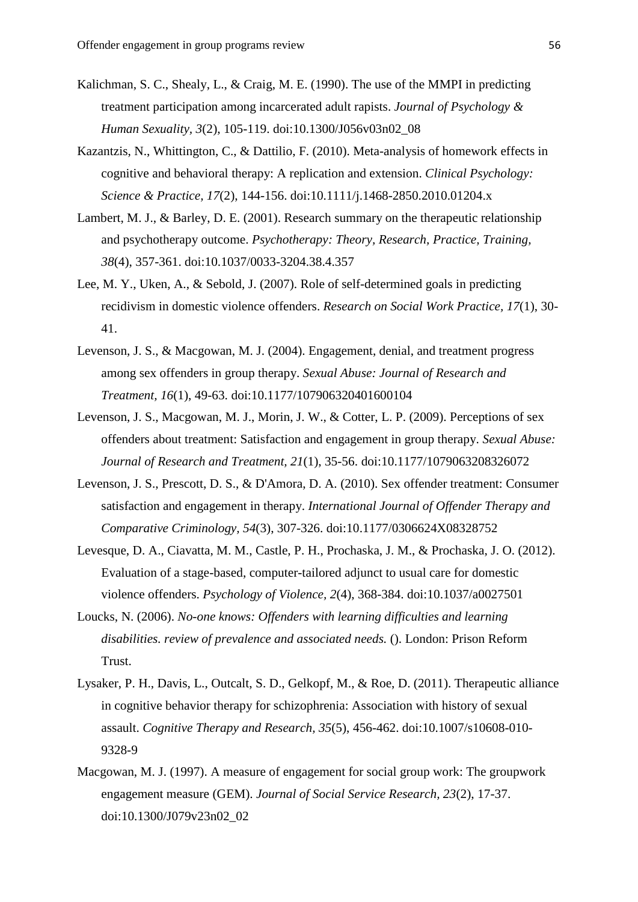- Kalichman, S. C., Shealy, L., & Craig, M. E. (1990). The use of the MMPI in predicting treatment participation among incarcerated adult rapists. *Journal of Psychology & Human Sexuality, 3*(2), 105-119. doi:10.1300/J056v03n02\_08
- Kazantzis, N., Whittington, C., & Dattilio, F. (2010). Meta-analysis of homework effects in cognitive and behavioral therapy: A replication and extension. *Clinical Psychology: Science & Practice, 17*(2), 144-156. doi:10.1111/j.1468-2850.2010.01204.x
- Lambert, M. J., & Barley, D. E. (2001). Research summary on the therapeutic relationship and psychotherapy outcome. *Psychotherapy: Theory, Research, Practice, Training, 38*(4), 357-361. doi:10.1037/0033-3204.38.4.357
- Lee, M. Y., Uken, A., & Sebold, J. (2007). Role of self-determined goals in predicting recidivism in domestic violence offenders. *Research on Social Work Practice, 17*(1), 30- 41.
- Levenson, J. S., & Macgowan, M. J. (2004). Engagement, denial, and treatment progress among sex offenders in group therapy. *Sexual Abuse: Journal of Research and Treatment, 16*(1), 49-63. doi:10.1177/107906320401600104
- Levenson, J. S., Macgowan, M. J., Morin, J. W., & Cotter, L. P. (2009). Perceptions of sex offenders about treatment: Satisfaction and engagement in group therapy. *Sexual Abuse: Journal of Research and Treatment, 21*(1), 35-56. doi:10.1177/1079063208326072
- Levenson, J. S., Prescott, D. S., & D'Amora, D. A. (2010). Sex offender treatment: Consumer satisfaction and engagement in therapy. *International Journal of Offender Therapy and Comparative Criminology, 54*(3), 307-326. doi:10.1177/0306624X08328752
- Levesque, D. A., Ciavatta, M. M., Castle, P. H., Prochaska, J. M., & Prochaska, J. O. (2012). Evaluation of a stage-based, computer-tailored adjunct to usual care for domestic violence offenders. *Psychology of Violence, 2*(4), 368-384. doi:10.1037/a0027501
- Loucks, N. (2006). *No-one knows: Offenders with learning difficulties and learning disabilities. review of prevalence and associated needs.* (). London: Prison Reform Trust.
- Lysaker, P. H., Davis, L., Outcalt, S. D., Gelkopf, M., & Roe, D. (2011). Therapeutic alliance in cognitive behavior therapy for schizophrenia: Association with history of sexual assault. *Cognitive Therapy and Research, 35*(5), 456-462. doi:10.1007/s10608-010- 9328-9
- Macgowan, M. J. (1997). A measure of engagement for social group work: The groupwork engagement measure (GEM). *Journal of Social Service Research, 23*(2), 17-37. doi:10.1300/J079v23n02\_02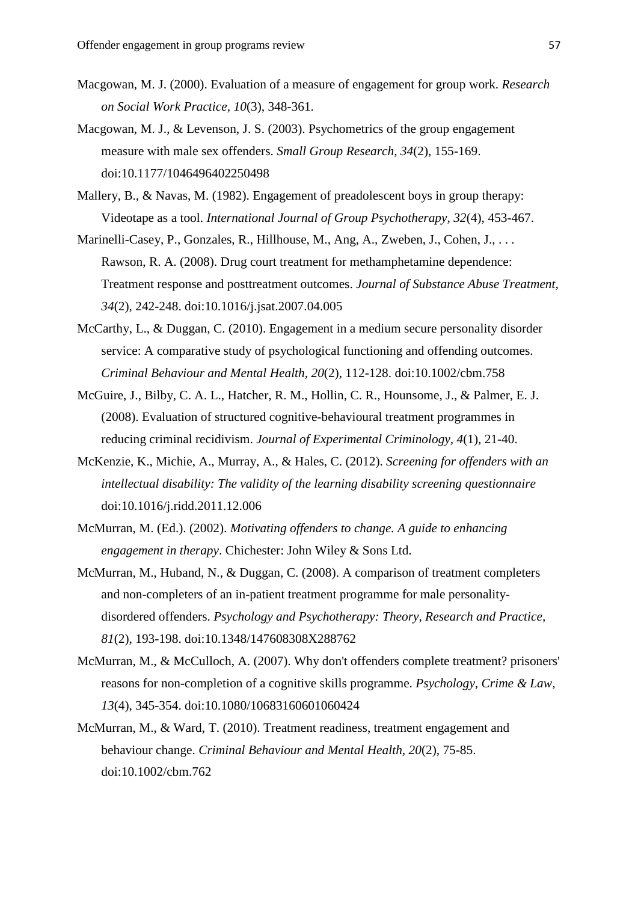- Macgowan, M. J. (2000). Evaluation of a measure of engagement for group work. *Research on Social Work Practice, 10*(3), 348-361.
- Macgowan, M. J., & Levenson, J. S. (2003). Psychometrics of the group engagement measure with male sex offenders. *Small Group Research, 34*(2), 155-169. doi:10.1177/1046496402250498
- Mallery, B., & Navas, M. (1982). Engagement of preadolescent boys in group therapy: Videotape as a tool. *International Journal of Group Psychotherapy, 32*(4), 453-467.
- Marinelli-Casey, P., Gonzales, R., Hillhouse, M., Ang, A., Zweben, J., Cohen, J., . . . Rawson, R. A. (2008). Drug court treatment for methamphetamine dependence: Treatment response and posttreatment outcomes. *Journal of Substance Abuse Treatment, 34*(2), 242-248. doi:10.1016/j.jsat.2007.04.005
- McCarthy, L., & Duggan, C. (2010). Engagement in a medium secure personality disorder service: A comparative study of psychological functioning and offending outcomes. *Criminal Behaviour and Mental Health, 20*(2), 112-128. doi:10.1002/cbm.758
- McGuire, J., Bilby, C. A. L., Hatcher, R. M., Hollin, C. R., Hounsome, J., & Palmer, E. J. (2008). Evaluation of structured cognitive-behavioural treatment programmes in reducing criminal recidivism. *Journal of Experimental Criminology, 4*(1), 21-40.
- McKenzie, K., Michie, A., Murray, A., & Hales, C. (2012). *Screening for offenders with an intellectual disability: The validity of the learning disability screening questionnaire* doi:10.1016/j.ridd.2011.12.006
- McMurran, M. (Ed.). (2002). *Motivating offenders to change. A guide to enhancing engagement in therapy*. Chichester: John Wiley & Sons Ltd.
- McMurran, M., Huband, N., & Duggan, C. (2008). A comparison of treatment completers and non-completers of an in-patient treatment programme for male personalitydisordered offenders. *Psychology and Psychotherapy: Theory, Research and Practice, 81*(2), 193-198. doi:10.1348/147608308X288762
- McMurran, M., & McCulloch, A. (2007). Why don't offenders complete treatment? prisoners' reasons for non-completion of a cognitive skills programme. *Psychology, Crime & Law, 13*(4), 345-354. doi:10.1080/10683160601060424
- McMurran, M., & Ward, T. (2010). Treatment readiness, treatment engagement and behaviour change. *Criminal Behaviour and Mental Health, 20*(2), 75-85. doi:10.1002/cbm.762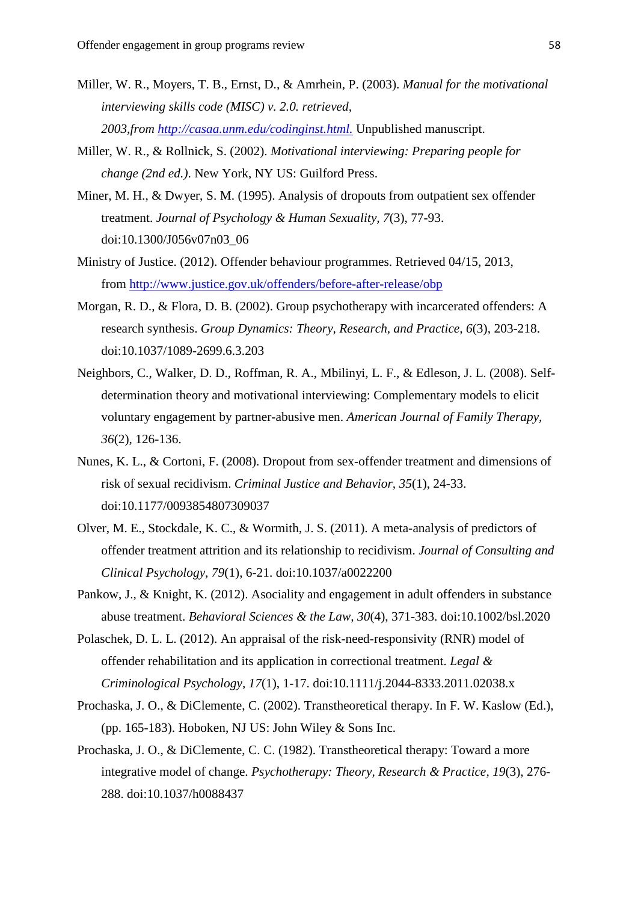- Miller, W. R., Moyers, T. B., Ernst, D., & Amrhein, P. (2003). *Manual for the motivational interviewing skills code (MISC) v. 2.0. retrieved, 2003,from<http://casaa.unm.edu/codinginst.html.>* Unpublished manuscript.
- Miller, W. R., & Rollnick, S. (2002). *Motivational interviewing: Preparing people for change (2nd ed.)*. New York, NY US: Guilford Press.
- Miner, M. H., & Dwyer, S. M. (1995). Analysis of dropouts from outpatient sex offender treatment. *Journal of Psychology & Human Sexuality, 7*(3), 77-93. doi:10.1300/J056v07n03\_06
- Ministry of Justice. (2012). Offender behaviour programmes. Retrieved 04/15, 2013, from<http://www.justice.gov.uk/offenders/before-after-release/obp>
- Morgan, R. D., & Flora, D. B. (2002). Group psychotherapy with incarcerated offenders: A research synthesis. *Group Dynamics: Theory, Research, and Practice, 6*(3), 203-218. doi:10.1037/1089-2699.6.3.203
- Neighbors, C., Walker, D. D., Roffman, R. A., Mbilinyi, L. F., & Edleson, J. L. (2008). Selfdetermination theory and motivational interviewing: Complementary models to elicit voluntary engagement by partner-abusive men. *American Journal of Family Therapy, 36*(2), 126-136.
- Nunes, K. L., & Cortoni, F. (2008). Dropout from sex-offender treatment and dimensions of risk of sexual recidivism. *Criminal Justice and Behavior, 35*(1), 24-33. doi:10.1177/0093854807309037
- Olver, M. E., Stockdale, K. C., & Wormith, J. S. (2011). A meta-analysis of predictors of offender treatment attrition and its relationship to recidivism. *Journal of Consulting and Clinical Psychology, 79*(1), 6-21. doi:10.1037/a0022200
- Pankow, J., & Knight, K. (2012). Asociality and engagement in adult offenders in substance abuse treatment. *Behavioral Sciences & the Law, 30*(4), 371-383. doi:10.1002/bsl.2020
- Polaschek, D. L. L. (2012). An appraisal of the risk-need-responsivity (RNR) model of offender rehabilitation and its application in correctional treatment. *Legal & Criminological Psychology, 17*(1), 1-17. doi:10.1111/j.2044-8333.2011.02038.x
- Prochaska, J. O., & DiClemente, C. (2002). Transtheoretical therapy. In F. W. Kaslow (Ed.), (pp. 165-183). Hoboken, NJ US: John Wiley & Sons Inc.
- Prochaska, J. O., & DiClemente, C. C. (1982). Transtheoretical therapy: Toward a more integrative model of change. *Psychotherapy: Theory, Research & Practice, 19*(3), 276- 288. doi:10.1037/h0088437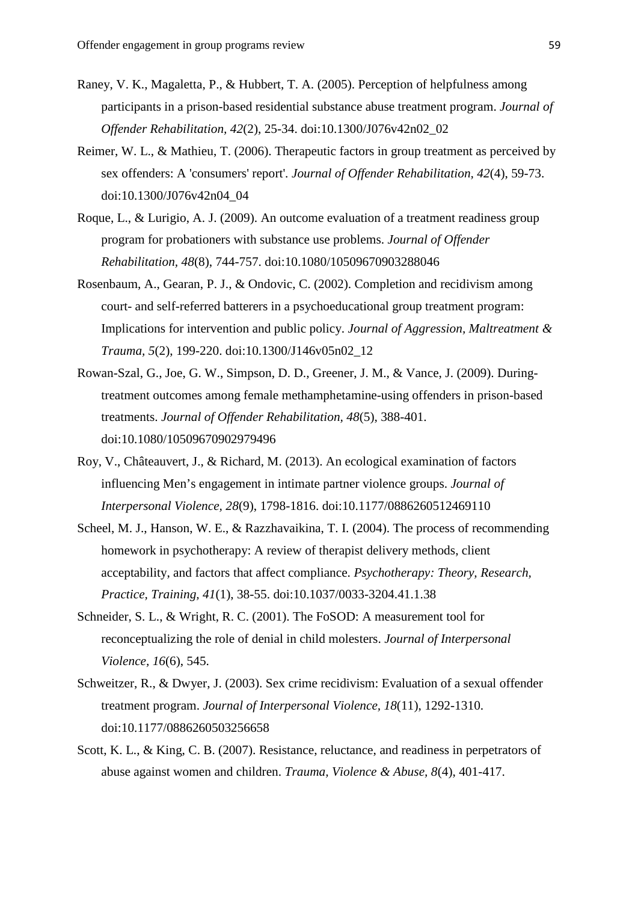- Raney, V. K., Magaletta, P., & Hubbert, T. A. (2005). Perception of helpfulness among participants in a prison-based residential substance abuse treatment program. *Journal of Offender Rehabilitation, 42*(2), 25-34. doi:10.1300/J076v42n02\_02
- Reimer, W. L., & Mathieu, T. (2006). Therapeutic factors in group treatment as perceived by sex offenders: A 'consumers' report'. *Journal of Offender Rehabilitation, 42*(4), 59-73. doi:10.1300/J076v42n04\_04
- Roque, L., & Lurigio, A. J. (2009). An outcome evaluation of a treatment readiness group program for probationers with substance use problems. *Journal of Offender Rehabilitation, 48*(8), 744-757. doi:10.1080/10509670903288046
- Rosenbaum, A., Gearan, P. J., & Ondovic, C. (2002). Completion and recidivism among court- and self-referred batterers in a psychoeducational group treatment program: Implications for intervention and public policy. *Journal of Aggression, Maltreatment & Trauma, 5*(2), 199-220. doi:10.1300/J146v05n02\_12
- Rowan-Szal, G., Joe, G. W., Simpson, D. D., Greener, J. M., & Vance, J. (2009). Duringtreatment outcomes among female methamphetamine-using offenders in prison-based treatments. *Journal of Offender Rehabilitation, 48*(5), 388-401. doi:10.1080/10509670902979496
- Roy, V., Châteauvert, J., & Richard, M. (2013). An ecological examination of factors influencing Men's engagement in intimate partner violence groups. *Journal of Interpersonal Violence, 28*(9), 1798-1816. doi:10.1177/0886260512469110
- Scheel, M. J., Hanson, W. E., & Razzhavaikina, T. I. (2004). The process of recommending homework in psychotherapy: A review of therapist delivery methods, client acceptability, and factors that affect compliance. *Psychotherapy: Theory, Research, Practice, Training, 41*(1), 38-55. doi:10.1037/0033-3204.41.1.38
- Schneider, S. L., & Wright, R. C. (2001). The FoSOD: A measurement tool for reconceptualizing the role of denial in child molesters. *Journal of Interpersonal Violence, 16*(6), 545.
- Schweitzer, R., & Dwyer, J. (2003). Sex crime recidivism: Evaluation of a sexual offender treatment program. *Journal of Interpersonal Violence, 18*(11), 1292-1310. doi:10.1177/0886260503256658
- Scott, K. L., & King, C. B. (2007). Resistance, reluctance, and readiness in perpetrators of abuse against women and children. *Trauma, Violence & Abuse, 8*(4), 401-417.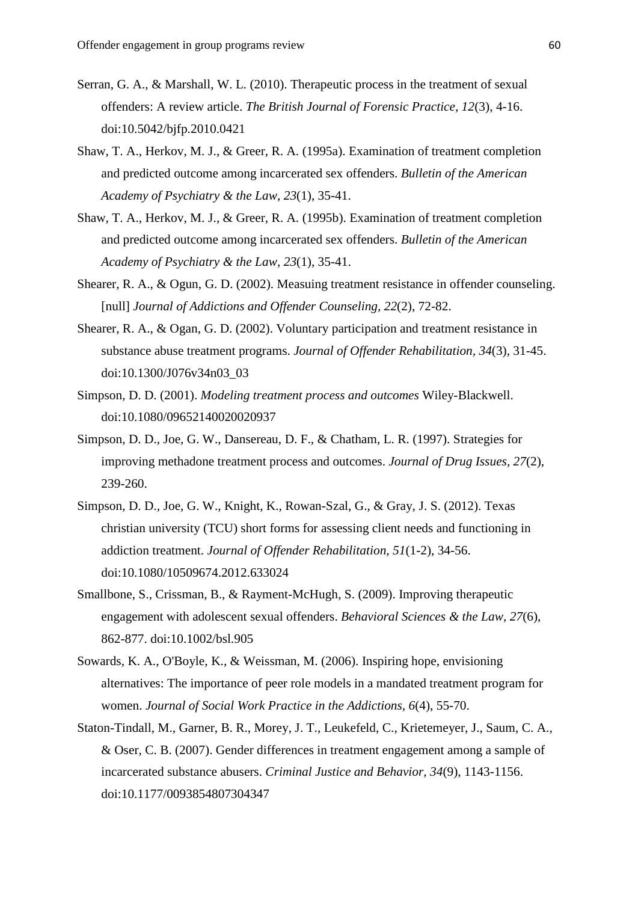- Serran, G. A., & Marshall, W. L. (2010). Therapeutic process in the treatment of sexual offenders: A review article. *The British Journal of Forensic Practice, 12*(3), 4-16. doi:10.5042/bjfp.2010.0421
- Shaw, T. A., Herkov, M. J., & Greer, R. A. (1995a). Examination of treatment completion and predicted outcome among incarcerated sex offenders. *Bulletin of the American Academy of Psychiatry & the Law, 23*(1), 35-41.
- Shaw, T. A., Herkov, M. J., & Greer, R. A. (1995b). Examination of treatment completion and predicted outcome among incarcerated sex offenders. *Bulletin of the American Academy of Psychiatry & the Law, 23*(1), 35-41.
- Shearer, R. A., & Ogun, G. D. (2002). Measuing treatment resistance in offender counseling. [null] *Journal of Addictions and Offender Counseling, 22*(2), 72-82.
- Shearer, R. A., & Ogan, G. D. (2002). Voluntary participation and treatment resistance in substance abuse treatment programs. *Journal of Offender Rehabilitation, 34*(3), 31-45. doi:10.1300/J076v34n03\_03
- Simpson, D. D. (2001). *Modeling treatment process and outcomes* Wiley-Blackwell. doi:10.1080/09652140020020937
- Simpson, D. D., Joe, G. W., Dansereau, D. F., & Chatham, L. R. (1997). Strategies for improving methadone treatment process and outcomes. *Journal of Drug Issues, 27*(2), 239-260.
- Simpson, D. D., Joe, G. W., Knight, K., Rowan-Szal, G., & Gray, J. S. (2012). Texas christian university (TCU) short forms for assessing client needs and functioning in addiction treatment. *Journal of Offender Rehabilitation, 51*(1-2), 34-56. doi:10.1080/10509674.2012.633024
- Smallbone, S., Crissman, B., & Rayment-McHugh, S. (2009). Improving therapeutic engagement with adolescent sexual offenders. *Behavioral Sciences & the Law, 27*(6), 862-877. doi:10.1002/bsl.905
- Sowards, K. A., O'Boyle, K., & Weissman, M. (2006). Inspiring hope, envisioning alternatives: The importance of peer role models in a mandated treatment program for women. *Journal of Social Work Practice in the Addictions, 6*(4), 55-70.
- Staton-Tindall, M., Garner, B. R., Morey, J. T., Leukefeld, C., Krietemeyer, J., Saum, C. A., & Oser, C. B. (2007). Gender differences in treatment engagement among a sample of incarcerated substance abusers. *Criminal Justice and Behavior, 34*(9), 1143-1156. doi:10.1177/0093854807304347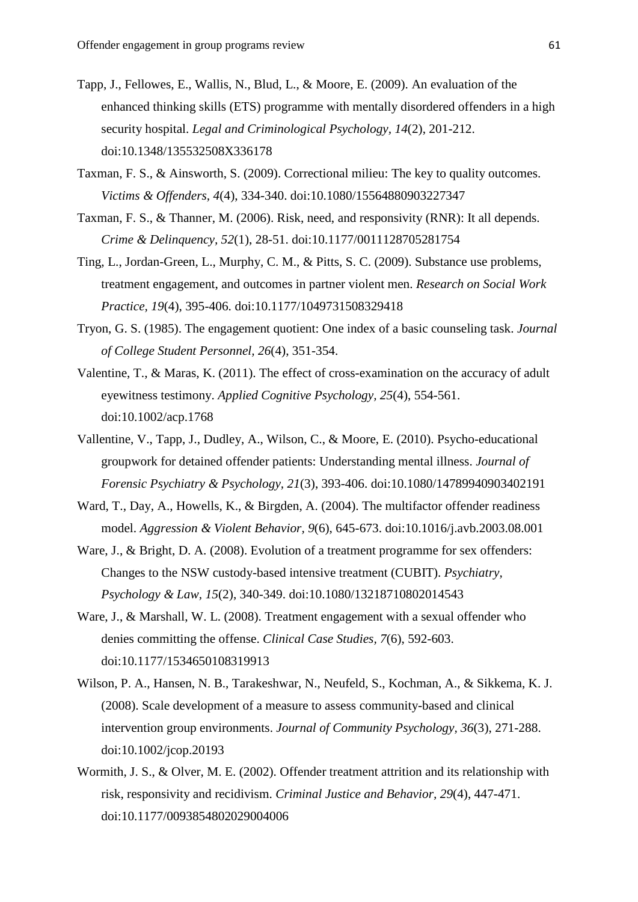- Tapp, J., Fellowes, E., Wallis, N., Blud, L., & Moore, E. (2009). An evaluation of the enhanced thinking skills (ETS) programme with mentally disordered offenders in a high security hospital. *Legal and Criminological Psychology, 14*(2), 201-212. doi:10.1348/135532508X336178
- Taxman, F. S., & Ainsworth, S. (2009). Correctional milieu: The key to quality outcomes. *Victims & Offenders, 4*(4), 334-340. doi:10.1080/15564880903227347
- Taxman, F. S., & Thanner, M. (2006). Risk, need, and responsivity (RNR): It all depends. *Crime & Delinquency, 52*(1), 28-51. doi:10.1177/0011128705281754
- Ting, L., Jordan-Green, L., Murphy, C. M., & Pitts, S. C. (2009). Substance use problems, treatment engagement, and outcomes in partner violent men. *Research on Social Work Practice, 19*(4), 395-406. doi:10.1177/1049731508329418
- Tryon, G. S. (1985). The engagement quotient: One index of a basic counseling task. *Journal of College Student Personnel, 26*(4), 351-354.
- Valentine, T., & Maras, K. (2011). The effect of cross-examination on the accuracy of adult eyewitness testimony. *Applied Cognitive Psychology, 25*(4), 554-561. doi:10.1002/acp.1768
- Vallentine, V., Tapp, J., Dudley, A., Wilson, C., & Moore, E. (2010). Psycho-educational groupwork for detained offender patients: Understanding mental illness. *Journal of Forensic Psychiatry & Psychology, 21*(3), 393-406. doi:10.1080/14789940903402191
- Ward, T., Day, A., Howells, K., & Birgden, A. (2004). The multifactor offender readiness model. *Aggression & Violent Behavior, 9*(6), 645-673. doi:10.1016/j.avb.2003.08.001
- Ware, J., & Bright, D. A. (2008). Evolution of a treatment programme for sex offenders: Changes to the NSW custody-based intensive treatment (CUBIT). *Psychiatry, Psychology & Law, 15*(2), 340-349. doi:10.1080/13218710802014543
- Ware, J., & Marshall, W. L. (2008). Treatment engagement with a sexual offender who denies committing the offense. *Clinical Case Studies, 7*(6), 592-603. doi:10.1177/1534650108319913
- Wilson, P. A., Hansen, N. B., Tarakeshwar, N., Neufeld, S., Kochman, A., & Sikkema, K. J. (2008). Scale development of a measure to assess community-based and clinical intervention group environments. *Journal of Community Psychology, 36*(3), 271-288. doi:10.1002/jcop.20193
- Wormith, J. S., & Olver, M. E. (2002). Offender treatment attrition and its relationship with risk, responsivity and recidivism. *Criminal Justice and Behavior, 29*(4), 447-471. doi:10.1177/0093854802029004006